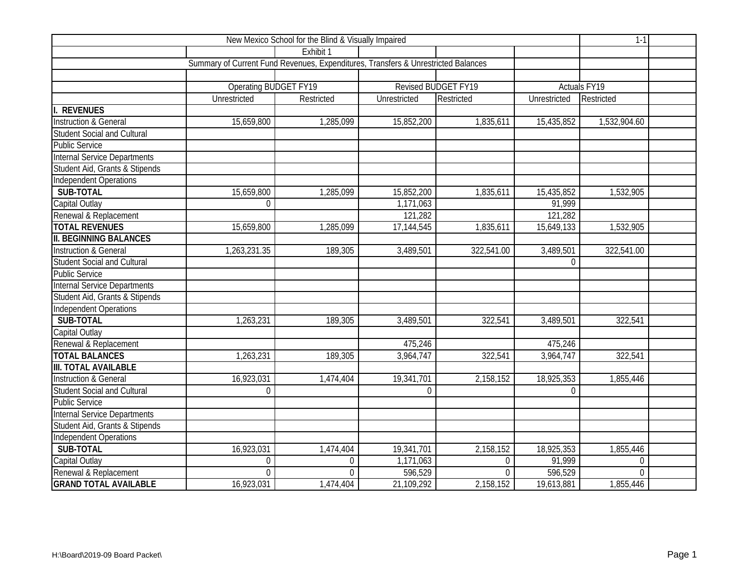|                                     | $1-1$                                                                             |             |              |                     |              |                     |  |
|-------------------------------------|-----------------------------------------------------------------------------------|-------------|--------------|---------------------|--------------|---------------------|--|
|                                     |                                                                                   | Exhibit 1   |              |                     |              |                     |  |
|                                     | Summary of Current Fund Revenues, Expenditures, Transfers & Unrestricted Balances |             |              |                     |              |                     |  |
|                                     |                                                                                   |             |              |                     |              |                     |  |
|                                     | <b>Operating BUDGET FY19</b>                                                      |             |              | Revised BUDGET FY19 |              | <b>Actuals FY19</b> |  |
|                                     | Unrestricted                                                                      | Restricted  | Unrestricted | Restricted          | Unrestricted | Restricted          |  |
| <b>REVENUES</b>                     |                                                                                   |             |              |                     |              |                     |  |
| <b>Instruction &amp; General</b>    | 15,659,800                                                                        | 1,285,099   | 15,852,200   | 1,835,611           | 15,435,852   | 1,532,904.60        |  |
| <b>Student Social and Cultural</b>  |                                                                                   |             |              |                     |              |                     |  |
| <b>Public Service</b>               |                                                                                   |             |              |                     |              |                     |  |
| Internal Service Departments        |                                                                                   |             |              |                     |              |                     |  |
| Student Aid, Grants & Stipends      |                                                                                   |             |              |                     |              |                     |  |
| Independent Operations              |                                                                                   |             |              |                     |              |                     |  |
| SUB-TOTAL                           | 15,659,800                                                                        | 1,285,099   | 15,852,200   | 1,835,611           | 15,435,852   | 1,532,905           |  |
| Capital Outlay                      | $\Omega$                                                                          |             | 1,171,063    |                     | 91,999       |                     |  |
| Renewal & Replacement               |                                                                                   |             | 121,282      |                     | 121,282      |                     |  |
| <b>TOTAL REVENUES</b>               | 15,659,800                                                                        | 1,285,099   | 17,144,545   | 1,835,611           | 15,649,133   | 1,532,905           |  |
| <b>II. BEGINNING BALANCES</b>       |                                                                                   |             |              |                     |              |                     |  |
| <b>Instruction &amp; General</b>    | 1,263,231.35                                                                      | 189,305     | 3,489,501    | 322,541.00          | 3,489,501    | 322,541.00          |  |
| <b>Student Social and Cultural</b>  |                                                                                   |             |              |                     | $\Omega$     |                     |  |
| <b>Public Service</b>               |                                                                                   |             |              |                     |              |                     |  |
| <b>Internal Service Departments</b> |                                                                                   |             |              |                     |              |                     |  |
| Student Aid, Grants & Stipends      |                                                                                   |             |              |                     |              |                     |  |
| <b>Independent Operations</b>       |                                                                                   |             |              |                     |              |                     |  |
| SUB-TOTAL                           | 1,263,231                                                                         | 189,305     | 3,489,501    | 322,541             | 3,489,501    | 322,541             |  |
| Capital Outlay                      |                                                                                   |             |              |                     |              |                     |  |
| Renewal & Replacement               |                                                                                   |             | 475,246      |                     | 475,246      |                     |  |
| <b>TOTAL BALANCES</b>               | 1,263,231                                                                         | 189,305     | 3,964,747    | 322,541             | 3,964,747    | 322,541             |  |
| <b>III. TOTAL AVAILABLE</b>         |                                                                                   |             |              |                     |              |                     |  |
| <b>Instruction &amp; General</b>    | 16,923,031                                                                        | 1,474,404   | 19,341,701   | 2,158,152           | 18,925,353   | 1,855,446           |  |
| <b>Student Social and Cultural</b>  | 0                                                                                 |             | $\Omega$     |                     | $\Omega$     |                     |  |
| <b>Public Service</b>               |                                                                                   |             |              |                     |              |                     |  |
| Internal Service Departments        |                                                                                   |             |              |                     |              |                     |  |
| Student Aid, Grants & Stipends      |                                                                                   |             |              |                     |              |                     |  |
| Independent Operations              |                                                                                   |             |              |                     |              |                     |  |
| SUB-TOTAL                           | 16,923,031                                                                        | 1,474,404   | 19,341,701   | 2,158,152           | 18,925,353   | 1,855,446           |  |
| Capital Outlay                      | 0                                                                                 | $\mathbf 0$ | 1,171,063    | $\mathbf{0}$        | 91,999       | $\overline{0}$      |  |
| Renewal & Replacement               | $\Omega$                                                                          | $\Omega$    | 596,529      | $\Omega$            | 596,529      | $\Omega$            |  |
| <b>GRAND TOTAL AVAILABLE</b>        | 16,923,031                                                                        | 1,474,404   | 21,109,292   | 2,158,152           | 19,613,881   | 1,855,446           |  |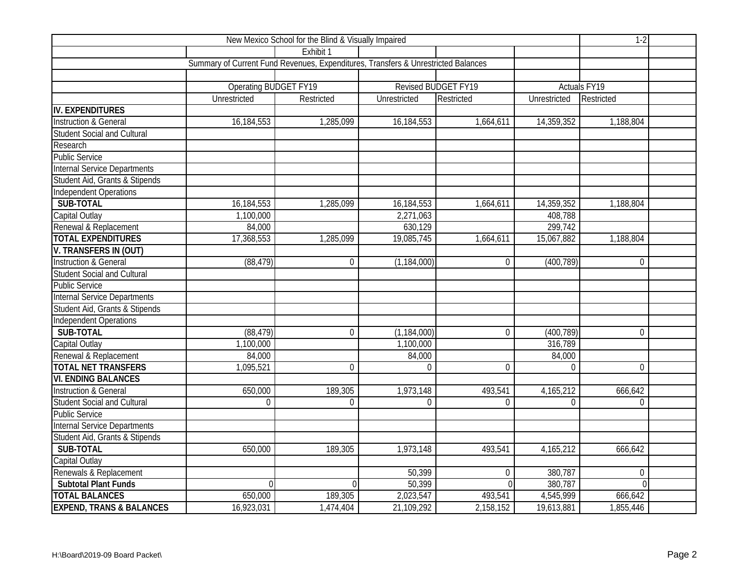|                                     | $1-2$                                                                             |                |                     |                     |                |                     |  |
|-------------------------------------|-----------------------------------------------------------------------------------|----------------|---------------------|---------------------|----------------|---------------------|--|
|                                     |                                                                                   | Exhibit 1      |                     |                     |                |                     |  |
|                                     | Summary of Current Fund Revenues, Expenditures, Transfers & Unrestricted Balances |                |                     |                     |                |                     |  |
|                                     |                                                                                   |                |                     |                     |                |                     |  |
|                                     | <b>Operating BUDGET FY19</b>                                                      |                |                     | Revised BUDGET FY19 |                | <b>Actuals FY19</b> |  |
|                                     | Unrestricted                                                                      | Restricted     | Unrestricted        | Restricted          | Unrestricted   | Restricted          |  |
| <b>IV. EXPENDITURES</b>             |                                                                                   |                |                     |                     |                |                     |  |
| Instruction & General               | 16,184,553                                                                        | 1,285,099      | 16,184,553          | 1,664,611           | 14,359,352     | 1,188,804           |  |
| <b>Student Social and Cultural</b>  |                                                                                   |                |                     |                     |                |                     |  |
| Research                            |                                                                                   |                |                     |                     |                |                     |  |
| <b>Public Service</b>               |                                                                                   |                |                     |                     |                |                     |  |
| Internal Service Departments        |                                                                                   |                |                     |                     |                |                     |  |
| Student Aid, Grants & Stipends      |                                                                                   |                |                     |                     |                |                     |  |
| Independent Operations              |                                                                                   |                |                     |                     |                |                     |  |
| SUB-TOTAL                           | 16,184,553                                                                        | 1,285,099      | 16,184,553          | 1,664,611           | 14,359,352     | 1,188,804           |  |
| Capital Outlay                      | 1,100,000                                                                         |                | 2,271,063           |                     | 408,788        |                     |  |
| Renewal & Replacement               | 84,000                                                                            |                | 630,129             |                     | 299,742        |                     |  |
| <b>TOTAL EXPENDITURES</b>           | 17,368,553                                                                        | 1,285,099      | 19,085,745          | 1,664,611           | 15,067,882     | 1,188,804           |  |
| V. TRANSFERS IN (OUT)               |                                                                                   |                |                     |                     |                |                     |  |
| <b>Instruction &amp; General</b>    | (88, 479)                                                                         | $\mathbf 0$    | (1, 184, 000)       | $\Omega$            | (400, 789)     | $\overline{0}$      |  |
| <b>Student Social and Cultural</b>  |                                                                                   |                |                     |                     |                |                     |  |
| <b>Public Service</b>               |                                                                                   |                |                     |                     |                |                     |  |
| Internal Service Departments        |                                                                                   |                |                     |                     |                |                     |  |
| Student Aid, Grants & Stipends      |                                                                                   |                |                     |                     |                |                     |  |
| <b>Independent Operations</b>       |                                                                                   |                |                     |                     |                |                     |  |
| SUB-TOTAL                           | (88, 479)                                                                         | $\overline{0}$ | (1, 184, 000)       | $\Omega$            | (400, 789)     | $\Omega$            |  |
| Capital Outlay                      | 1,100,000                                                                         |                | 1,100,000           |                     | 316,789        |                     |  |
| Renewal & Replacement               | 84,000                                                                            |                | 84,000              |                     | 84,000         |                     |  |
| <b>TOTAL NET TRANSFERS</b>          | 1,095,521                                                                         | $\overline{0}$ | $\mathbf{0}$        | $\theta$            | $\overline{0}$ | $\overline{0}$      |  |
| <b>VI. ENDING BALANCES</b>          |                                                                                   |                |                     |                     |                |                     |  |
| <b>Instruction &amp; General</b>    | 650,000                                                                           | 189,305        | 1,973,148           | 493,541             | 4,165,212      | 666,642             |  |
| <b>Student Social and Cultural</b>  | 0                                                                                 | $\Omega$       | $\Omega$            | $\Omega$            | $\overline{0}$ | $\Omega$            |  |
| <b>Public Service</b>               |                                                                                   |                |                     |                     |                |                     |  |
| <b>Internal Service Departments</b> |                                                                                   |                |                     |                     |                |                     |  |
| Student Aid, Grants & Stipends      |                                                                                   |                |                     |                     |                |                     |  |
| SUB-TOTAL                           | 650,000                                                                           | 189,305        | 1,973,148           | 493,541             | 4,165,212      | 666,642             |  |
| Capital Outlay                      |                                                                                   |                |                     |                     |                |                     |  |
| Renewals & Replacement              |                                                                                   |                | 50,399              | $\mathbf 0$         | 380,787        | $\overline{0}$      |  |
| <b>Subtotal Plant Funds</b>         | $\Omega$                                                                          | $\Omega$       | $\overline{50,399}$ | $\Omega$            | 380,787        | $\overline{0}$      |  |
| <b>TOTAL BALANCES</b>               | 650,000                                                                           | 189,305        | 2,023,547           | 493,541             | 4,545,999      | 666,642             |  |
| <b>EXPEND, TRANS &amp; BALANCES</b> | 16,923,031                                                                        | 1,474,404      | 21,109,292          | 2,158,152           | 19,613,881     | 1,855,446           |  |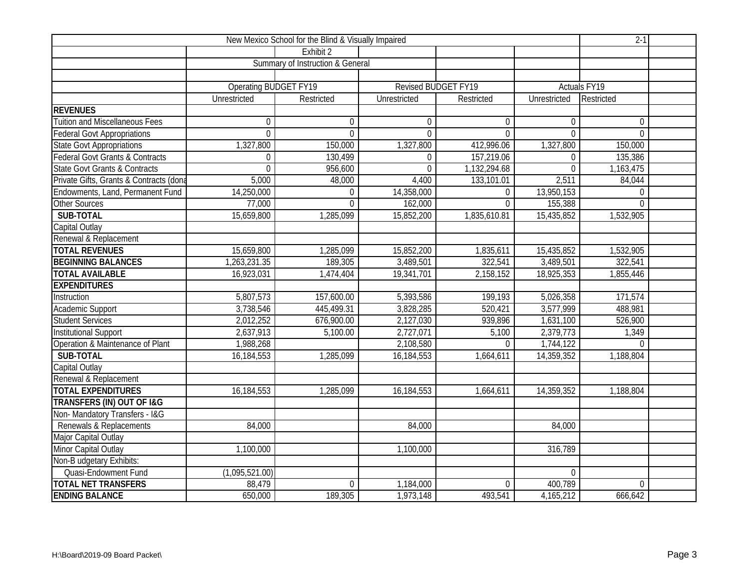|                                            |                              | New Mexico School for the Blind & Visually Impaired |                            |                |                | $2-1$               |  |
|--------------------------------------------|------------------------------|-----------------------------------------------------|----------------------------|----------------|----------------|---------------------|--|
|                                            |                              | Fxhibit 2                                           |                            |                |                |                     |  |
|                                            |                              | Summary of Instruction & General                    |                            |                |                |                     |  |
|                                            |                              |                                                     |                            |                |                |                     |  |
|                                            | <b>Operating BUDGET FY19</b> |                                                     | <b>Revised BUDGET FY19</b> |                |                | <b>Actuals FY19</b> |  |
|                                            | Unrestricted                 | Restricted                                          | Unrestricted               | Restricted     | Unrestricted   | Restricted          |  |
| <b>REVENUES</b>                            |                              |                                                     |                            |                |                |                     |  |
| <b>Tuition and Miscellaneous Fees</b>      | 0                            | $\Omega$                                            | $\Omega$                   | $\Omega$       | $\overline{0}$ | $\Omega$            |  |
| <b>Federal Govt Appropriations</b>         | $\overline{0}$               | $\overline{0}$                                      | $\overline{0}$             | $\Omega$       | $\overline{0}$ | $\overline{0}$      |  |
| <b>State Govt Appropriations</b>           | 1,327,800                    | 150,000                                             | 1,327,800                  | 412,996.06     | 1,327,800      | 150,000             |  |
| <b>Federal Govt Grants &amp; Contracts</b> | $\mathbf 0$                  | 130,499                                             | $\Omega$                   | 157,219.06     | $\overline{0}$ | 135,386             |  |
| <b>State Govt Grants &amp; Contracts</b>   | $\overline{0}$               | 956,600                                             | $\Omega$                   | 1,132,294.68   | $\mathbf{0}$   | 1,163,475           |  |
| Private Gifts, Grants & Contracts (dona    | 5,000                        | 48,000                                              | 4,400                      | 133,101.01     | 2,511          | 84,044              |  |
| Endowments, Land, Permanent Fund           | 14,250,000                   | $\overline{0}$                                      | 14,358,000                 | $\mathbf{0}$   | 13,950,153     | $\overline{0}$      |  |
| <b>Other Sources</b>                       | 77,000                       | $\Omega$                                            | 162,000                    | $\overline{0}$ | 155,388        | $\overline{0}$      |  |
| SUB-TOTAL                                  | 15,659,800                   | 1,285,099                                           | 15,852,200                 | 1,835,610.81   | 15,435,852     | 1,532,905           |  |
| Capital Outlay                             |                              |                                                     |                            |                |                |                     |  |
| Renewal & Replacement                      |                              |                                                     |                            |                |                |                     |  |
| <b>TOTAL REVENUES</b>                      | 15,659,800                   | 1,285,099                                           | 15,852,200                 | 1,835,611      | 15,435,852     | 1,532,905           |  |
| <b>BEGINNING BALANCES</b>                  | 1,263,231.35                 | 189,305                                             | 3,489,501                  | 322,541        | 3,489,501      | 322,541             |  |
| <b>TOTAL AVAILABLE</b>                     | 16,923,031                   | 1,474,404                                           | 19,341,701                 | 2,158,152      | 18,925,353     | 1,855,446           |  |
| <b>EXPENDITURES</b>                        |                              |                                                     |                            |                |                |                     |  |
| Instruction                                | 5,807,573                    | 157,600.00                                          | 5,393,586                  | 199,193        | 5,026,358      | 171,574             |  |
| Academic Support                           | 3,738,546                    | 445,499.31                                          | 3,828,285                  | 520,421        | 3,577,999      | 488,981             |  |
| <b>Student Services</b>                    | 2,012,252                    | 676,900.00                                          | 2,127,030                  | 939,896        | 1,631,100      | 526,900             |  |
| Institutional Support                      | 2,637,913                    | 5,100.00                                            | 2,727,071                  | 5,100          | 2,379,773      | 1,349               |  |
| Operation & Maintenance of Plant           | 1,988,268                    |                                                     | 2,108,580                  | $\Omega$       | 1,744,122      | $\Omega$            |  |
| SUB-TOTAL                                  | 16,184,553                   | 1,285,099                                           | 16, 184, 553               | 1,664,611      | 14,359,352     | 1,188,804           |  |
| Capital Outlay                             |                              |                                                     |                            |                |                |                     |  |
| Renewal & Replacement                      |                              |                                                     |                            |                |                |                     |  |
| <b>TOTAL EXPENDITURES</b>                  | 16,184,553                   | 1,285,099                                           | 16,184,553                 | 1,664,611      | 14,359,352     | 1,188,804           |  |
| TRANSFERS (IN) OUT OF I&G                  |                              |                                                     |                            |                |                |                     |  |
| Non-Mandatory Transfers - I&G              |                              |                                                     |                            |                |                |                     |  |
| Renewals & Replacements                    | 84,000                       |                                                     | 84,000                     |                | 84,000         |                     |  |
| Major Capital Outlay                       |                              |                                                     |                            |                |                |                     |  |
| Minor Capital Outlay                       | 1,100,000                    |                                                     | 1,100,000                  |                | 316,789        |                     |  |
| Non-B udgetary Exhibits:                   |                              |                                                     |                            |                |                |                     |  |
| Quasi-Endowment Fund                       | (1,095,521.00)               |                                                     |                            |                | $\overline{0}$ |                     |  |
| <b>TOTAL NET TRANSFERS</b>                 | 88,479                       | $\overline{0}$                                      | 1,184,000                  | $\Omega$       | 400,789        | $\overline{0}$      |  |
| <b>ENDING BALANCE</b>                      | 650,000                      | 189,305                                             | 1,973,148                  | 493,541        | 4,165,212      | 666,642             |  |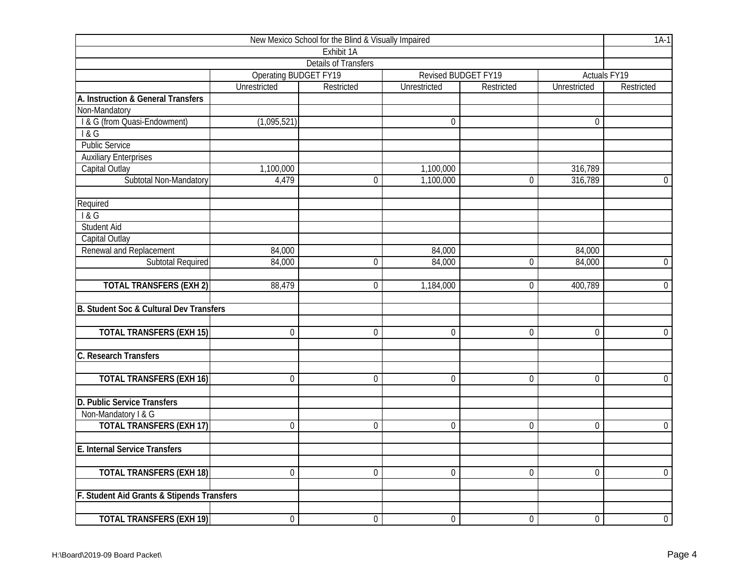| New Mexico School for the Blind & Visually Impaired |                              |                             |                     |                     |                     |                     |  |  |  |  |
|-----------------------------------------------------|------------------------------|-----------------------------|---------------------|---------------------|---------------------|---------------------|--|--|--|--|
|                                                     |                              | Exhibit 1A                  |                     |                     |                     |                     |  |  |  |  |
|                                                     |                              | <b>Details of Transfers</b> |                     |                     |                     |                     |  |  |  |  |
|                                                     | <b>Operating BUDGET FY19</b> |                             |                     | Revised BUDGET FY19 |                     | <b>Actuals FY19</b> |  |  |  |  |
|                                                     | Unrestricted                 | Restricted                  | <b>Unrestricted</b> | Restricted          | <b>Unrestricted</b> | Restricted          |  |  |  |  |
| A. Instruction & General Transfers                  |                              |                             |                     |                     |                     |                     |  |  |  |  |
| Non-Mandatory                                       |                              |                             |                     |                     |                     |                     |  |  |  |  |
| I & G (from Quasi-Endowment)                        | (1,095,521)                  |                             | $\mathbf{0}$        |                     | $\mathbf 0$         |                     |  |  |  |  |
| 18G                                                 |                              |                             |                     |                     |                     |                     |  |  |  |  |
| <b>Public Service</b>                               |                              |                             |                     |                     |                     |                     |  |  |  |  |
| <b>Auxiliary Enterprises</b>                        |                              |                             |                     |                     |                     |                     |  |  |  |  |
| Capital Outlay                                      | 1,100,000                    |                             | 1,100,000           |                     | 316,789             |                     |  |  |  |  |
| Subtotal Non-Mandatory                              | 4,479                        | 0                           | 1,100,000           | 0                   | 316,789             | $\overline{0}$      |  |  |  |  |
| Required                                            |                              |                             |                     |                     |                     |                     |  |  |  |  |
| 1&G                                                 |                              |                             |                     |                     |                     |                     |  |  |  |  |
| <b>Student Aid</b>                                  |                              |                             |                     |                     |                     |                     |  |  |  |  |
| Capital Outlay                                      |                              |                             |                     |                     |                     |                     |  |  |  |  |
| Renewal and Replacement                             | 84,000                       |                             | 84,000              |                     | 84,000              |                     |  |  |  |  |
| <b>Subtotal Required</b>                            | 84,000                       | $\overline{0}$              | 84,000              | $\overline{0}$      | 84,000              | $\mathbf 0$         |  |  |  |  |
| <b>TOTAL TRANSFERS (EXH 2)</b>                      | 88,479                       | $\Omega$                    | 1,184,000           | $\overline{0}$      | 400,789             | $\overline{0}$      |  |  |  |  |
| B. Student Soc & Cultural Dev Transfers             |                              |                             |                     |                     |                     |                     |  |  |  |  |
| <b>TOTAL TRANSFERS (EXH 15)</b>                     | $\mathbf 0$                  | $\overline{0}$              | $\mathbf 0$         | 0                   | $\mathbf 0$         | $\overline{0}$      |  |  |  |  |
|                                                     |                              |                             |                     |                     |                     |                     |  |  |  |  |
| C. Research Transfers                               |                              |                             |                     |                     |                     |                     |  |  |  |  |
| <b>TOTAL TRANSFERS (EXH 16)</b>                     | $\mathbf 0$                  | 0                           | $\theta$            | 0                   | 0                   | $\overline{0}$      |  |  |  |  |
| D. Public Service Transfers                         |                              |                             |                     |                     |                     |                     |  |  |  |  |
| Non-Mandatory I & G                                 |                              |                             |                     |                     |                     |                     |  |  |  |  |
| <b>TOTAL TRANSFERS (EXH 17)</b>                     | $\mathbf 0$                  | $\mathbf 0$                 | $\boldsymbol{0}$    | $\overline{0}$      | $\mathbf 0$         | $\overline{0}$      |  |  |  |  |
| E. Internal Service Transfers                       |                              |                             |                     |                     |                     |                     |  |  |  |  |
| <b>TOTAL TRANSFERS (EXH 18)</b>                     | $\overline{0}$               | $\overline{0}$              | $\overline{0}$      | $\overline{0}$      | $\overline{0}$      | $\mathbf 0$         |  |  |  |  |
| F. Student Aid Grants & Stipends Transfers          |                              |                             |                     |                     |                     |                     |  |  |  |  |
|                                                     |                              |                             |                     |                     |                     |                     |  |  |  |  |
| <b>TOTAL TRANSFERS (EXH 19)</b>                     | $\boldsymbol{0}$             | $\boldsymbol{0}$            | $\boldsymbol{0}$    | $\overline{0}$      | $\boldsymbol{0}$    | $\overline{0}$      |  |  |  |  |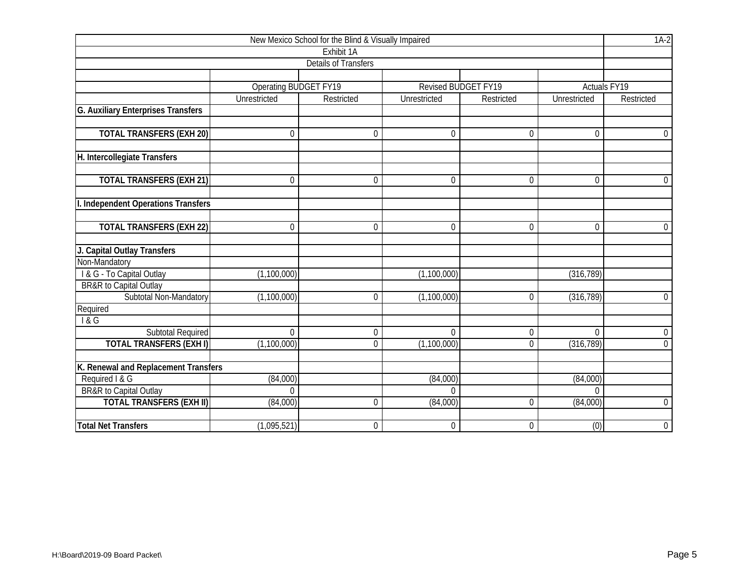|                                      |                              | New Mexico School for the Blind & Visually Impaired |                            |                  |                | $1A-2$              |
|--------------------------------------|------------------------------|-----------------------------------------------------|----------------------------|------------------|----------------|---------------------|
|                                      |                              | Exhibit 1A                                          |                            |                  |                |                     |
|                                      |                              | <b>Details of Transfers</b>                         |                            |                  |                |                     |
|                                      |                              |                                                     |                            |                  |                |                     |
|                                      | <b>Operating BUDGET FY19</b> |                                                     | <b>Revised BUDGET FY19</b> |                  |                | <b>Actuals FY19</b> |
|                                      | Unrestricted                 | Restricted                                          | Unrestricted               | Restricted       | Unrestricted   | Restricted          |
| G. Auxiliary Enterprises Transfers   |                              |                                                     |                            |                  |                |                     |
|                                      |                              |                                                     |                            |                  |                |                     |
| <b>TOTAL TRANSFERS (EXH 20)</b>      | $\Omega$                     | $\theta$                                            | $\theta$                   | $\overline{0}$   | $\mathbf{0}$   | $\Omega$            |
|                                      |                              |                                                     |                            |                  |                |                     |
| H. Intercollegiate Transfers         |                              |                                                     |                            |                  |                |                     |
|                                      |                              |                                                     |                            |                  |                |                     |
| <b>TOTAL TRANSFERS (EXH 21)</b>      | $\mathbf 0$                  | $\mathbf{0}$                                        | $\mathbf 0$                | $\mathbf 0$      | $\overline{0}$ | $\overline{0}$      |
|                                      |                              |                                                     |                            |                  |                |                     |
| I. Independent Operations Transfers  |                              |                                                     |                            |                  |                |                     |
|                                      |                              |                                                     |                            |                  |                |                     |
| <b>TOTAL TRANSFERS (EXH 22)</b>      | 0                            | $\mathbf{0}$                                        | $\mathbf 0$                | $\mathbf 0$      | $\mathbf 0$    | $\overline{0}$      |
|                                      |                              |                                                     |                            |                  |                |                     |
| J. Capital Outlay Transfers          |                              |                                                     |                            |                  |                |                     |
| Non-Mandatory                        |                              |                                                     |                            |                  |                |                     |
| I & G - To Capital Outlay            | (1, 100, 000)                |                                                     | (1,100,000)                |                  | (316, 789)     |                     |
| BR&R to Capital Outlay               |                              |                                                     |                            |                  |                |                     |
| Subtotal Non-Mandatory               | (1,100,000)                  | $\theta$                                            | (1,100,000)                | 0                | (316, 789)     | $\overline{0}$      |
| Required                             |                              |                                                     |                            |                  |                |                     |
| 1&G                                  |                              |                                                     |                            |                  |                |                     |
| <b>Subtotal Required</b>             | 0                            | $\mathbf 0$                                         | $\boldsymbol{0}$           | $\boldsymbol{0}$ | $\mathbf{0}$   | $\overline{0}$      |
| <b>TOTAL TRANSFERS (EXH I)</b>       | (1,100,000)                  | $\theta$                                            | (1,100,000)                | 0                | (316, 789)     | $\overline{0}$      |
|                                      |                              |                                                     |                            |                  |                |                     |
| K. Renewal and Replacement Transfers |                              |                                                     |                            |                  |                |                     |
| Required I & G                       | (84,000)                     |                                                     | (84,000)                   |                  | (84,000)       |                     |
| <b>BR&amp;R</b> to Capital Outlay    | $\Omega$                     |                                                     | $\Omega$                   |                  | $\Omega$       |                     |
| <b>TOTAL TRANSFERS (EXH II)</b>      | (84,000)                     | $\theta$                                            | (84,000)                   | 0                | (84,000)       | $\mathbf 0$         |
|                                      |                              |                                                     |                            |                  |                |                     |
| <b>Total Net Transfers</b>           | (1,095,521)                  | $\boldsymbol{0}$                                    | $\mathbf 0$                | $\boldsymbol{0}$ | (0)            | $0\,$               |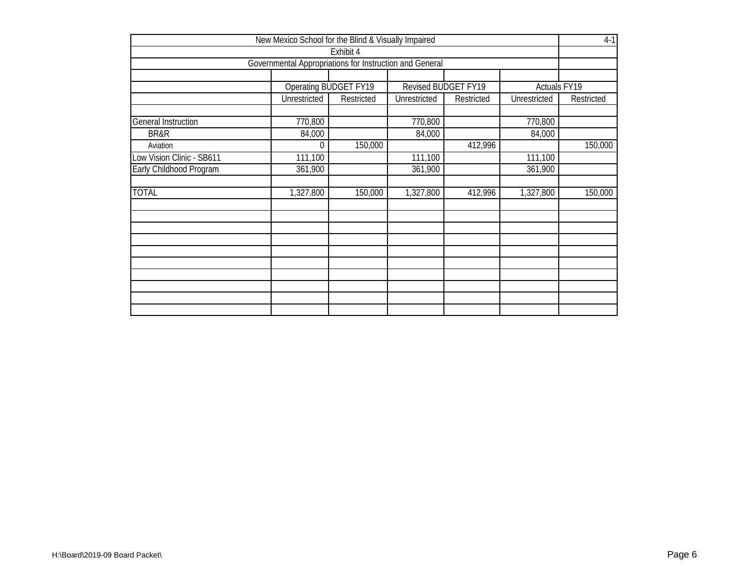|                            | New Mexico School for the Blind & Visually Impaired     |                       |                            |            |                         | $4-1$      |  |  |  |  |  |  |
|----------------------------|---------------------------------------------------------|-----------------------|----------------------------|------------|-------------------------|------------|--|--|--|--|--|--|
|                            |                                                         | Exhibit 4             |                            |            |                         |            |  |  |  |  |  |  |
|                            | Governmental Appropriations for Instruction and General |                       |                            |            |                         |            |  |  |  |  |  |  |
|                            |                                                         | Operating BUDGET FY19 | <b>Revised BUDGET FY19</b> |            | Actuals <sub>FY19</sub> |            |  |  |  |  |  |  |
|                            | Unrestricted                                            | Restricted            | Unrestricted               | Restricted | Unrestricted            | Restricted |  |  |  |  |  |  |
| <b>General Instruction</b> | 770,800                                                 |                       | 770,800                    |            | 770,800                 |            |  |  |  |  |  |  |
| BR&R                       | 84,000                                                  |                       | 84,000                     |            | 84,000                  |            |  |  |  |  |  |  |
| Aviation                   | 150,000<br>412,996<br>0                                 |                       |                            |            |                         |            |  |  |  |  |  |  |
| Low Vision Clinic - SB611  | 111,100                                                 |                       | 111,100                    |            | 111,100                 |            |  |  |  |  |  |  |
| Early Childhood Program    | 361,900                                                 |                       | 361,900                    |            | 361,900                 |            |  |  |  |  |  |  |
| <b>TOTAL</b>               | 1,327,800                                               | 150,000               | 1,327,800                  | 412,996    | 1,327,800               | 150,000    |  |  |  |  |  |  |
|                            |                                                         |                       |                            |            |                         |            |  |  |  |  |  |  |
|                            |                                                         |                       |                            |            |                         |            |  |  |  |  |  |  |
|                            |                                                         |                       |                            |            |                         |            |  |  |  |  |  |  |
|                            |                                                         |                       |                            |            |                         |            |  |  |  |  |  |  |
|                            |                                                         |                       |                            |            |                         |            |  |  |  |  |  |  |
|                            |                                                         |                       |                            |            |                         |            |  |  |  |  |  |  |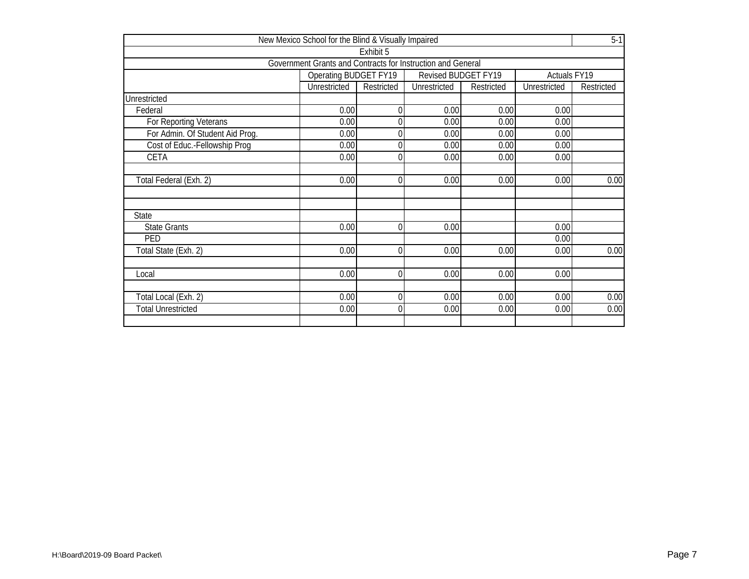|                                 | New Mexico School for the Blind & Visually Impaired         |            |                     |            |                     | $5-1$      |
|---------------------------------|-------------------------------------------------------------|------------|---------------------|------------|---------------------|------------|
|                                 |                                                             | Exhibit 5  |                     |            |                     |            |
|                                 | Government Grants and Contracts for Instruction and General |            |                     |            |                     |            |
|                                 | Operating BUDGET FY19                                       |            | Revised BUDGET FY19 |            | Actuals FY19        |            |
|                                 | Unrestricted                                                | Restricted | <b>Unrestricted</b> | Restricted | <b>Unrestricted</b> | Restricted |
| Unrestricted                    |                                                             |            |                     |            |                     |            |
| Federal                         | 0.00                                                        |            | 0.00                | 0.00       | 0.00                |            |
| For Reporting Veterans          | 0.00                                                        |            | 0.00                | 0.00       | 0.00                |            |
| For Admin. Of Student Aid Prog. | 0.00                                                        |            | 0.00                | 0.00       | 0.00                |            |
| Cost of Educ.-Fellowship Prog   | 0.00                                                        |            | 0.00                | 0.00       | 0.00                |            |
| <b>CETA</b>                     | 0.00                                                        |            | 0.00                | 0.00       | 0.00                |            |
|                                 |                                                             |            |                     |            |                     |            |
| Total Federal (Exh. 2)          | 0.00                                                        |            | 0.00                | 0.00       | 0.00                | 0.00       |
|                                 |                                                             |            |                     |            |                     |            |
|                                 |                                                             |            |                     |            |                     |            |
| <b>State</b>                    |                                                             |            |                     |            |                     |            |
| <b>State Grants</b>             | 0.00                                                        | 0          | 0.00                |            | 0.00                |            |
| PED                             |                                                             |            |                     |            | 0.00                |            |
| Total State (Exh. 2)            | 0.00                                                        | 0          | 0.00                | 0.00       | 0.00                | 0.00       |
|                                 |                                                             |            |                     |            |                     |            |
| Local                           | 0.00                                                        | 0          | 0.00                | 0.00       | 0.00                |            |
|                                 |                                                             |            |                     |            |                     |            |
| Total Local (Exh. 2)            | 0.00                                                        |            | 0.00                | 0.00       | 0.00                | 0.00       |
| <b>Total Unrestricted</b>       | 0.00                                                        | 0          | 0.00                | 0.00       | 0.00                | 0.00       |
|                                 |                                                             |            |                     |            |                     |            |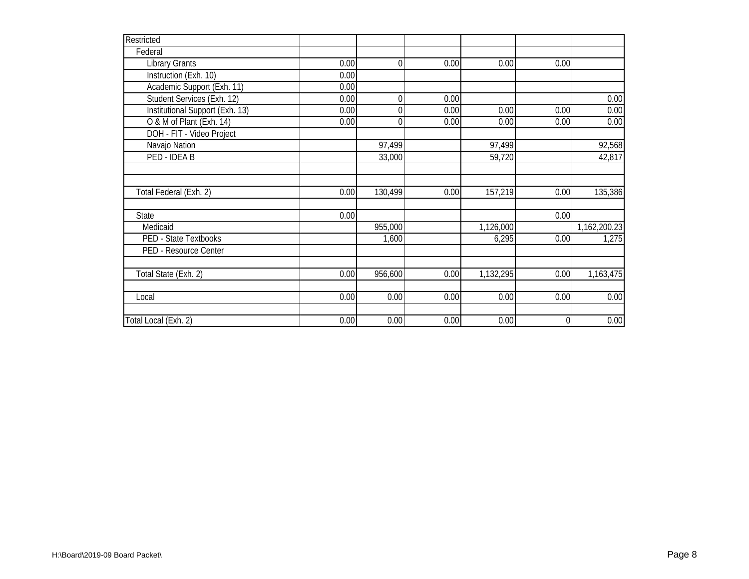| Restricted                      |      |         |      |           |             |              |
|---------------------------------|------|---------|------|-----------|-------------|--------------|
| Federal                         |      |         |      |           |             |              |
| <b>Library Grants</b>           | 0.00 | 0       | 0.00 | 0.00      | 0.00        |              |
| Instruction (Exh. 10)           | 0.00 |         |      |           |             |              |
| Academic Support (Exh. 11)      | 0.00 |         |      |           |             |              |
| Student Services (Exh. 12)      | 0.00 | O       | 0.00 |           |             | 0.00         |
| Institutional Support (Exh. 13) | 0.00 |         | 0.00 | 0.00      | 0.00        | 0.00         |
| O & M of Plant (Exh. 14)        | 0.00 |         | 0.00 | 0.00      | 0.00        | 0.00         |
| DOH - FIT - Video Project       |      |         |      |           |             |              |
| Navajo Nation                   |      | 97,499  |      | 97,499    |             | 92,568       |
| PED - IDEA B                    |      | 33,000  |      | 59,720    |             | 42,817       |
|                                 |      |         |      |           |             |              |
|                                 |      |         |      |           |             |              |
| Total Federal (Exh. 2)          | 0.00 | 130,499 | 0.00 | 157,219   | 0.00        | 135,386      |
| State                           | 0.00 |         |      |           | 0.00        |              |
| Medicaid                        |      | 955,000 |      | 1,126,000 |             | 1,162,200.23 |
| PED - State Textbooks           |      | 1,600   |      | 6,295     | 0.00        | 1,275        |
| PED - Resource Center           |      |         |      |           |             |              |
| Total State (Exh. 2)            | 0.00 | 956,600 | 0.00 | 1,132,295 | 0.00        | 1,163,475    |
|                                 |      |         |      |           |             |              |
| Local                           | 0.00 | 0.00    | 0.00 | 0.00      | 0.00        | 0.00         |
| Total Local (Exh. 2)            | 0.00 | 0.00    | 0.00 | 0.00      | $\mathbf 0$ | 0.00         |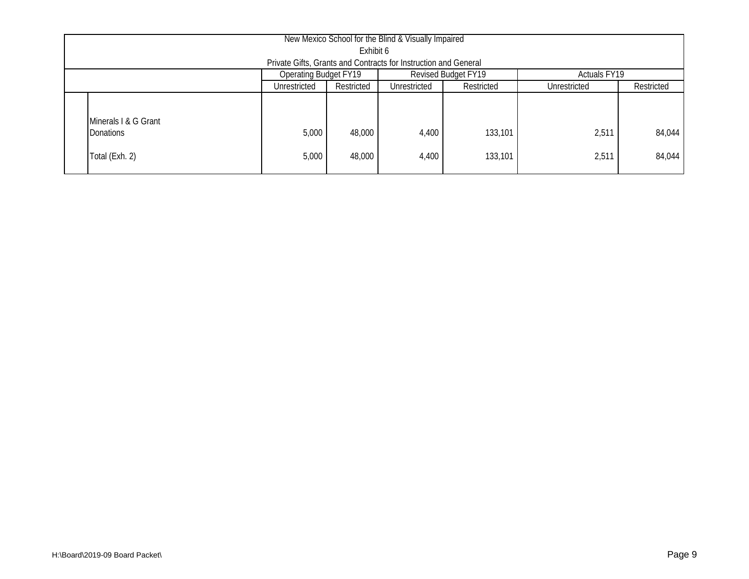| New Mexico School for the Blind & Visually Impaired                                    |       |        |       |         |       |        |  |  |  |  |  |
|----------------------------------------------------------------------------------------|-------|--------|-------|---------|-------|--------|--|--|--|--|--|
| Exhibit 6                                                                              |       |        |       |         |       |        |  |  |  |  |  |
| Private Gifts, Grants and Contracts for Instruction and General                        |       |        |       |         |       |        |  |  |  |  |  |
| <b>Operating Budget FY19</b><br><b>Revised Budget FY19</b><br><b>Actuals FY19</b>      |       |        |       |         |       |        |  |  |  |  |  |
| Unrestricted<br>Restricted<br>Restricted<br>Restricted<br>Unrestricted<br>Unrestricted |       |        |       |         |       |        |  |  |  |  |  |
| Minerals I & G Grant                                                                   |       |        |       |         |       |        |  |  |  |  |  |
| <b>Donations</b>                                                                       | 5,000 | 48,000 | 4,400 | 133,101 | 2,511 | 84,044 |  |  |  |  |  |
| Total (Exh. 2)                                                                         | 5,000 | 48,000 | 4,400 | 133,101 | 2,511 | 84,044 |  |  |  |  |  |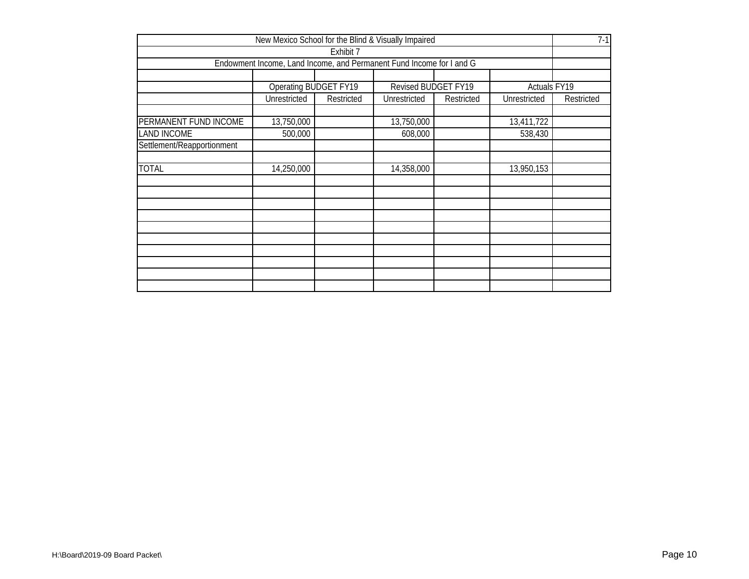|                                                                          | New Mexico School for the Blind & Visually Impaired                  |           |                            |  |              | $7-1$ |  |  |  |  |  |  |
|--------------------------------------------------------------------------|----------------------------------------------------------------------|-----------|----------------------------|--|--------------|-------|--|--|--|--|--|--|
|                                                                          |                                                                      | Exhibit 7 |                            |  |              |       |  |  |  |  |  |  |
|                                                                          | Endowment Income, Land Income, and Permanent Fund Income for I and G |           |                            |  |              |       |  |  |  |  |  |  |
|                                                                          |                                                                      |           |                            |  |              |       |  |  |  |  |  |  |
|                                                                          | Operating BUDGET FY19                                                |           | <b>Revised BUDGET FY19</b> |  | Actuals FY19 |       |  |  |  |  |  |  |
| Unrestricted<br>Restricted<br>Unrestricted<br>Unrestricted<br>Restricted |                                                                      |           |                            |  |              |       |  |  |  |  |  |  |
|                                                                          |                                                                      |           |                            |  |              |       |  |  |  |  |  |  |
|                                                                          | PERMANENT FUND INCOME<br>13,750,000<br>13,411,722<br>13,750,000      |           |                            |  |              |       |  |  |  |  |  |  |
|                                                                          | <b>LAND INCOME</b><br>608,000<br>538,430<br>500,000                  |           |                            |  |              |       |  |  |  |  |  |  |
| Settlement/Reapportionment                                               |                                                                      |           |                            |  |              |       |  |  |  |  |  |  |
|                                                                          |                                                                      |           |                            |  |              |       |  |  |  |  |  |  |
| <b>TOTAL</b>                                                             | 14,250,000                                                           |           | 14,358,000                 |  | 13,950,153   |       |  |  |  |  |  |  |
|                                                                          |                                                                      |           |                            |  |              |       |  |  |  |  |  |  |
|                                                                          |                                                                      |           |                            |  |              |       |  |  |  |  |  |  |
|                                                                          |                                                                      |           |                            |  |              |       |  |  |  |  |  |  |
|                                                                          |                                                                      |           |                            |  |              |       |  |  |  |  |  |  |
|                                                                          |                                                                      |           |                            |  |              |       |  |  |  |  |  |  |
|                                                                          |                                                                      |           |                            |  |              |       |  |  |  |  |  |  |
|                                                                          |                                                                      |           |                            |  |              |       |  |  |  |  |  |  |
|                                                                          |                                                                      |           |                            |  |              |       |  |  |  |  |  |  |
|                                                                          |                                                                      |           |                            |  |              |       |  |  |  |  |  |  |
|                                                                          |                                                                      |           |                            |  |              |       |  |  |  |  |  |  |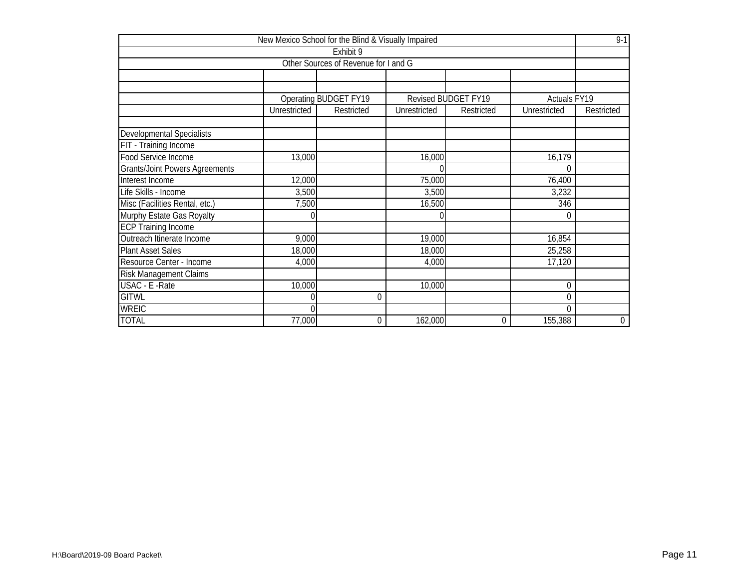|                                       |                | New Mexico School for the Blind & Visually Impaired |              |                     |              | $9 - 1$     |
|---------------------------------------|----------------|-----------------------------------------------------|--------------|---------------------|--------------|-------------|
|                                       |                | Exhibit 9                                           |              |                     |              |             |
|                                       |                | Other Sources of Revenue for I and G                |              |                     |              |             |
|                                       |                |                                                     |              |                     |              |             |
|                                       |                |                                                     |              |                     |              |             |
|                                       |                | <b>Operating BUDGET FY19</b>                        |              | Revised BUDGET FY19 | Actuals FY19 |             |
|                                       | Unrestricted   | Restricted                                          | Unrestricted | Restricted          | Unrestricted | Restricted  |
|                                       |                |                                                     |              |                     |              |             |
| <b>Developmental Specialists</b>      |                |                                                     |              |                     |              |             |
| FIT - Training Income                 |                |                                                     |              |                     |              |             |
| Food Service Income                   | 13,000         |                                                     | 16,000       |                     | 16,179       |             |
| <b>Grants/Joint Powers Agreements</b> |                |                                                     |              |                     | 0            |             |
| Interest Income                       | 12,000         |                                                     | 75,000       |                     | 76,400       |             |
| Life Skills - Income                  | 3,500          |                                                     | 3,500        |                     | 3,232        |             |
| Misc (Facilities Rental, etc.)        | 7,500          |                                                     | 16,500       |                     | 346          |             |
| Murphy Estate Gas Royalty             | 0              |                                                     |              |                     | 0            |             |
| <b>ECP Training Income</b>            |                |                                                     |              |                     |              |             |
| Outreach Itinerate Income             | 9,000          |                                                     | 19,000       |                     | 16,854       |             |
| <b>Plant Asset Sales</b>              | 18,000         |                                                     | 18,000       |                     | 25,258       |             |
| Resource Center - Income              | 4,000          |                                                     | 4,000        |                     | 17,120       |             |
| Risk Management Claims                |                |                                                     |              |                     |              |             |
| USAC - E - Rate                       | 10,000         |                                                     | 10,000       |                     | 0            |             |
| <b>GITWL</b>                          | 0              | 0                                                   |              |                     | 0            |             |
| <b>WREIC</b>                          | $\overline{0}$ |                                                     |              |                     | $\Omega$     |             |
| <b>TOTAL</b>                          | 77,000         | $\overline{0}$                                      | 162,000      | $\overline{0}$      | 155,388      | $\mathbf 0$ |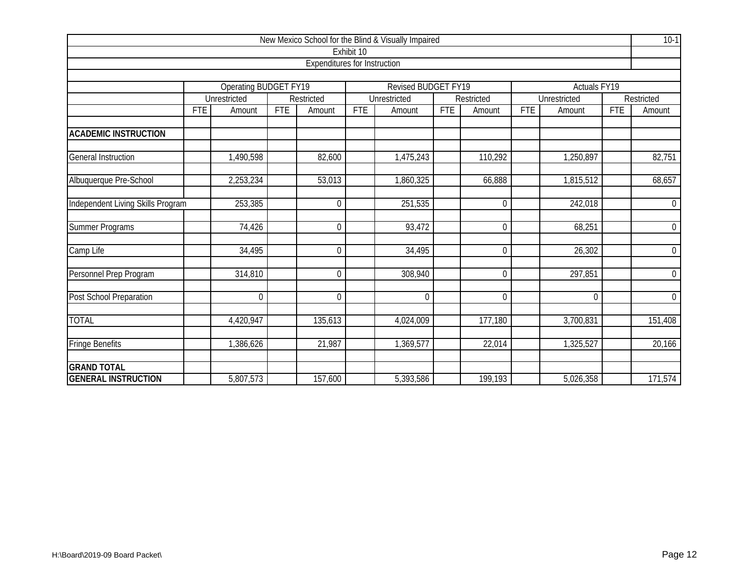|                                   |            |                       |            |                                     |              | New Mexico School for the Blind & Visually Impaired |            |                     |            |                         |            | $10-1$           |
|-----------------------------------|------------|-----------------------|------------|-------------------------------------|--------------|-----------------------------------------------------|------------|---------------------|------------|-------------------------|------------|------------------|
|                                   |            |                       |            |                                     | Exhibit 10   |                                                     |            |                     |            |                         |            |                  |
|                                   |            |                       |            | <b>Expenditures for Instruction</b> |              |                                                     |            |                     |            |                         |            |                  |
|                                   |            |                       |            |                                     |              |                                                     |            |                     |            |                         |            |                  |
|                                   |            | Operating BUDGET FY19 |            |                                     |              | <b>Revised BUDGET FY19</b>                          |            |                     |            | Actuals <sub>FY19</sub> |            |                  |
|                                   |            | Unrestricted          |            | Restricted                          | Unrestricted |                                                     | Restricted | <b>Unrestricted</b> |            | Restricted              |            |                  |
|                                   | <b>FTE</b> | Amount                | <b>FTE</b> | Amount                              | <b>FTE</b>   | Amount                                              | <b>FTE</b> | Amount              | <b>FTE</b> | Amount                  | <b>FTE</b> | Amount           |
| <b>ACADEMIC INSTRUCTION</b>       |            |                       |            |                                     |              |                                                     |            |                     |            |                         |            |                  |
|                                   |            |                       |            |                                     |              |                                                     |            |                     |            |                         |            |                  |
| <b>General Instruction</b>        |            | 1,490,598             |            | 82,600                              |              | 1,475,243                                           |            | 110,292             |            | 1,250,897               |            | 82,751           |
| Albuquerque Pre-School            |            | 2,253,234             |            | 53,013                              |              | 1,860,325                                           |            | 66,888              |            | 1,815,512               |            | 68,657           |
|                                   |            |                       |            |                                     |              |                                                     |            |                     |            |                         |            |                  |
| Independent Living Skills Program |            | 253,385               |            | 0                                   |              | 251,535                                             |            | $\boldsymbol{0}$    |            | 242,018                 |            | $\mathbf 0$      |
| Summer Programs                   |            | 74,426                |            | $\Omega$                            |              | 93,472                                              |            | $\mathbf 0$         |            | 68,251                  |            | $\boldsymbol{0}$ |
| Camp Life                         |            | 34,495                |            | $\Omega$                            |              | 34,495                                              |            | $\Omega$            |            | 26,302                  |            | $\overline{0}$   |
|                                   |            |                       |            |                                     |              |                                                     |            |                     |            |                         |            |                  |
| Personnel Prep Program            |            | 314,810               |            | 0                                   |              | 308,940                                             |            | $\boldsymbol{0}$    |            | 297,851                 |            | $\overline{0}$   |
| Post School Preparation           |            | $\mathbf 0$           |            | $\Omega$                            |              | $\Omega$                                            |            | $\boldsymbol{0}$    |            | $\boldsymbol{0}$        |            | $\boldsymbol{0}$ |
| <b>TOTAL</b>                      |            | 4,420,947             |            | 135,613                             |              | 4,024,009                                           |            | 177,180             |            | 3,700,831               |            | 151,408          |
| <b>Fringe Benefits</b>            |            | 1,386,626             |            | 21,987                              |              | 1,369,577                                           |            | 22,014              |            | 1,325,527               |            | 20,166           |
| <b>GRAND TOTAL</b>                |            |                       |            |                                     |              |                                                     |            |                     |            |                         |            |                  |
| <b>GENERAL INSTRUCTION</b>        |            | 5,807,573             |            | 157,600                             |              | 5,393,586                                           |            | 199,193             |            | 5,026,358               |            | 171,574          |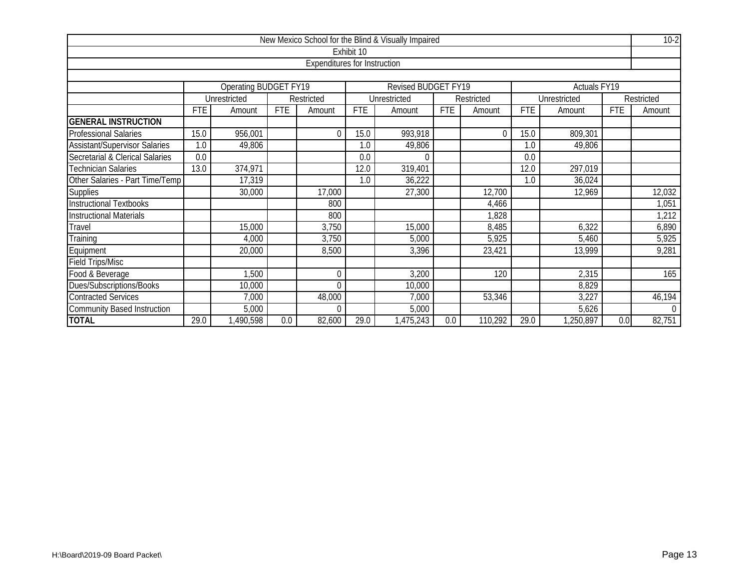|                                      |            |                              |            |                                     |            | New Mexico School for the Blind & Visually Impaired |            |            |            |              |            | $10-2$         |  |  |
|--------------------------------------|------------|------------------------------|------------|-------------------------------------|------------|-----------------------------------------------------|------------|------------|------------|--------------|------------|----------------|--|--|
|                                      |            |                              |            |                                     | Exhibit 10 |                                                     |            |            |            |              |            |                |  |  |
|                                      |            |                              |            | <b>Expenditures for Instruction</b> |            |                                                     |            |            |            |              |            |                |  |  |
|                                      |            |                              |            |                                     |            |                                                     |            |            |            |              |            |                |  |  |
|                                      |            | <b>Operating BUDGET FY19</b> |            |                                     |            | Revised BUDGET FY19                                 |            |            |            | Actuals FY19 |            |                |  |  |
|                                      |            | Unrestricted                 |            | Restricted                          |            | Unrestricted                                        |            | Restricted |            | Unrestricted |            | Restricted     |  |  |
|                                      | <b>FTE</b> | Amount                       | <b>FTE</b> | Amount                              | <b>FTE</b> | Amount                                              | <b>FTE</b> | Amount     | <b>FTE</b> | Amount       | <b>FTE</b> | Amount         |  |  |
| <b>GENERAL INSTRUCTION</b>           |            |                              |            |                                     |            |                                                     |            |            |            |              |            |                |  |  |
| <b>Professional Salaries</b>         | 15.0       | 956,001                      |            | $\Omega$                            | 15.0       | 993,918                                             |            | $\theta$   | 15.0       | 809,301      |            |                |  |  |
| <b>Assistant/Supervisor Salaries</b> | 1.0        | 49,806                       |            |                                     | 1.0        | 49,806                                              |            |            | 1.0        | 49,806       |            |                |  |  |
| Secretarial & Clerical Salaries      | 0.0        |                              |            |                                     | 0.0        |                                                     |            |            | 0.0        |              |            |                |  |  |
| <b>Technician Salaries</b>           | 13.0       | 374,971                      |            |                                     | 12.0       | 319,401                                             |            |            | 12.0       | 297,019      |            |                |  |  |
| Other Salaries - Part Time/Temp      |            | 17,319                       |            |                                     | 1.0        | 36,222                                              |            |            | 1.0        | 36,024       |            |                |  |  |
| <b>Supplies</b>                      |            | 30,000                       |            | 17,000                              |            | 27,300                                              |            | 12,700     |            | 12,969       |            | 12,032         |  |  |
| <b>Instructional Textbooks</b>       |            |                              |            | 800                                 |            |                                                     |            | 4,466      |            |              |            | 1,051          |  |  |
| <b>Instructional Materials</b>       |            |                              |            | 800                                 |            |                                                     |            | 828,       |            |              |            | 1,212          |  |  |
| Travel                               |            | 15,000                       |            | 3,750                               |            | 15,000                                              |            | 8,485      |            | 6,322        |            | 6,890          |  |  |
| Training                             |            | 4,000                        |            | 3,750                               |            | 5,000                                               |            | 5,925      |            | 5,460        |            | 5,925          |  |  |
| Equipment                            |            | 20,000                       |            | 8,500                               |            | 3,396                                               |            | 23,421     |            | 13,999       |            | 9,281          |  |  |
| <b>Field Trips/Misc</b>              |            |                              |            |                                     |            |                                                     |            |            |            |              |            |                |  |  |
| Food & Beverage                      |            | 1,500                        |            | 0                                   |            | 3,200                                               |            | 120        |            | 2,315        |            | 165            |  |  |
| Dues/Subscriptions/Books             |            | 10,000                       |            | $\overline{0}$                      |            | 10,000                                              |            |            |            | 8,829        |            |                |  |  |
| <b>Contracted Services</b>           |            | 7,000                        |            | 48,000                              |            | 7,000                                               |            | 53,346     |            | 3,227        |            | 46,194         |  |  |
| <b>Community Based Instruction</b>   |            | 5,000                        |            | 0                                   |            | 5,000                                               |            |            |            | 5,626        |            | $\overline{0}$ |  |  |
| <b>TOTAL</b>                         | 29.0       | ,490,598                     | 0.0        | 82,600                              | 29.0       | 1,475,243                                           | 0.0        | 110,292    | 29.0       | 1,250,897    | 0.0        | 82,751         |  |  |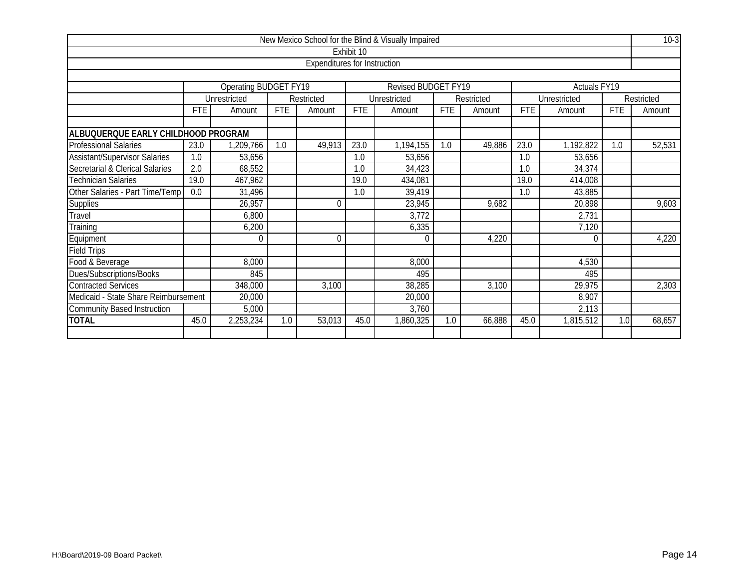|                                                               |                                                                   |              |            |                                     |            | New Mexico School for the Blind & Visually Impaired |            |            |            |              |            | $10-3$     |  |  |  |
|---------------------------------------------------------------|-------------------------------------------------------------------|--------------|------------|-------------------------------------|------------|-----------------------------------------------------|------------|------------|------------|--------------|------------|------------|--|--|--|
|                                                               |                                                                   |              |            |                                     | Exhibit 10 |                                                     |            |            |            |              |            |            |  |  |  |
|                                                               |                                                                   |              |            | <b>Expenditures for Instruction</b> |            |                                                     |            |            |            |              |            |            |  |  |  |
|                                                               |                                                                   |              |            |                                     |            |                                                     |            |            |            |              |            |            |  |  |  |
| Operating BUDGET FY19<br>Revised BUDGET FY19<br>Actuals FY19  |                                                                   |              |            |                                     |            |                                                     |            |            |            |              |            |            |  |  |  |
|                                                               |                                                                   | Unrestricted |            | Restricted                          |            | Unrestricted                                        |            | Restricted |            | Unrestricted |            | Restricted |  |  |  |
|                                                               | <b>FTE</b>                                                        | Amount       | <b>FTE</b> | Amount                              | <b>FTE</b> | Amount                                              | <b>FTE</b> | Amount     | <b>FTE</b> | Amount       | <b>FTE</b> | Amount     |  |  |  |
|                                                               |                                                                   |              |            |                                     |            |                                                     |            |            |            |              |            |            |  |  |  |
| ALBUQUERQUE EARLY CHILDHOOD PROGRAM                           |                                                                   |              |            |                                     |            |                                                     |            |            |            |              |            |            |  |  |  |
| <b>Professional Salaries</b>                                  | 23.0                                                              | ,209,766     | 1.0        | 49,913                              | 23.0       | 1,194,155                                           | 1.0        | 49,886     | 23.0       | 1,192,822    | 1.0        | 52,531     |  |  |  |
| <b>Assistant/Supervisor Salaries</b>                          | 1.0                                                               | 53,656       |            |                                     | 1.0        | 53,656                                              |            |            | 1.0        | 53,656       |            |            |  |  |  |
| Secretarial & Clerical Salaries                               | 2.0                                                               | 68,552       |            |                                     | 1.0        | 34,423                                              |            |            | 1.0        | 34,374       |            |            |  |  |  |
| <b>Technician Salaries</b>                                    | 19.0                                                              | 467,962      |            |                                     | 19.0       | 434,081                                             |            |            | 19.0       | 414,008      |            |            |  |  |  |
| Other Salaries - Part Time/Temp                               | 0.0                                                               | 31,496       |            |                                     | 1.0        | 39,419                                              |            |            | 1.0        | 43,885       |            |            |  |  |  |
| <b>Supplies</b>                                               |                                                                   | 26,957       |            | $\Omega$                            |            | 23,945                                              |            | 9,682      |            | 20,898       |            | 9,603      |  |  |  |
| Travel                                                        |                                                                   | 6,800        |            |                                     |            | 3,772                                               |            |            |            | 2,731        |            |            |  |  |  |
| Training                                                      |                                                                   | 6,200        |            |                                     |            | 6,335                                               |            |            |            | 7,120        |            |            |  |  |  |
| Equipment                                                     |                                                                   | $\Omega$     |            | $\Omega$                            |            | $\Omega$                                            |            | 4,220      |            | $\Omega$     |            | 4,220      |  |  |  |
| <b>Field Trips</b>                                            |                                                                   |              |            |                                     |            |                                                     |            |            |            |              |            |            |  |  |  |
| Food & Beverage                                               |                                                                   | 8,000        |            |                                     |            | 8,000                                               |            |            |            | 4,530        |            |            |  |  |  |
| Dues/Subscriptions/Books                                      |                                                                   | 845          |            |                                     |            | 495                                                 |            |            |            | 495          |            |            |  |  |  |
| <b>Contracted Services</b>                                    |                                                                   | 348,000      |            | 3,100                               |            | 38,285                                              |            | 3,100      |            | 29,975       |            | 2,303      |  |  |  |
|                                                               | Medicaid - State Share Reimbursement<br>8,907<br>20,000<br>20,000 |              |            |                                     |            |                                                     |            |            |            |              |            |            |  |  |  |
| <b>Community Based Instruction</b><br>5,000<br>3,760<br>2,113 |                                                                   |              |            |                                     |            |                                                     |            |            |            |              |            |            |  |  |  |
| <b>TOTAL</b>                                                  | 45.0                                                              | 2,253,234    | 1.0        | 53,013                              | 45.0       | 1,860,325                                           | 1.0        | 66,888     | 45.0       | 1,815,512    | 1.0        | 68,657     |  |  |  |
|                                                               |                                                                   |              |            |                                     |            |                                                     |            |            |            |              |            |            |  |  |  |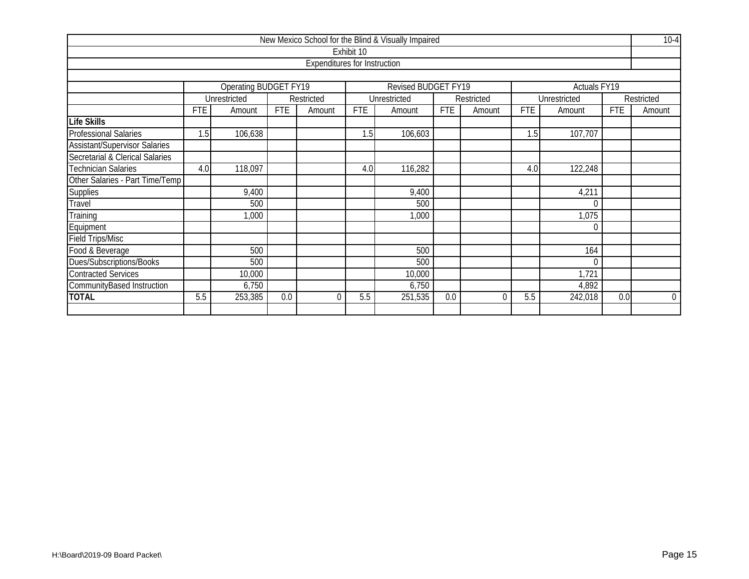|                                                                            |                           |                                             |            |                                     |            | New Mexico School for the Blind & Visually Impaired |            |            |            |              |            | $10-4$         |  |
|----------------------------------------------------------------------------|---------------------------|---------------------------------------------|------------|-------------------------------------|------------|-----------------------------------------------------|------------|------------|------------|--------------|------------|----------------|--|
|                                                                            |                           |                                             |            |                                     | Exhibit 10 |                                                     |            |            |            |              |            |                |  |
|                                                                            |                           |                                             |            | <b>Expenditures for Instruction</b> |            |                                                     |            |            |            |              |            |                |  |
|                                                                            |                           |                                             |            |                                     |            |                                                     |            |            |            |              |            |                |  |
| Operating BUDGET FY19<br><b>Revised BUDGET FY19</b><br><b>Actuals FY19</b> |                           |                                             |            |                                     |            |                                                     |            |            |            |              |            |                |  |
|                                                                            |                           | Unrestricted                                |            | Restricted                          |            | Unrestricted                                        |            | Restricted |            | Unrestricted |            | Restricted     |  |
|                                                                            | <b>FTE</b>                | Amount                                      | <b>FTE</b> | Amount                              | <b>FTE</b> | Amount                                              | <b>FTE</b> | Amount     | <b>FTE</b> | Amount       | <b>FTE</b> | Amount         |  |
| <b>Life Skills</b>                                                         |                           |                                             |            |                                     |            |                                                     |            |            |            |              |            |                |  |
| <b>Professional Salaries</b>                                               | 1.5                       | 106,638                                     |            |                                     | 1.5        | 106,603                                             |            |            | 1.5        | 107,707      |            |                |  |
| <b>Assistant/Supervisor Salaries</b>                                       |                           |                                             |            |                                     |            |                                                     |            |            |            |              |            |                |  |
| Secretarial & Clerical Salaries                                            |                           |                                             |            |                                     |            |                                                     |            |            |            |              |            |                |  |
| <b>Technician Salaries</b>                                                 | 4.0                       | 118,097<br>116,282<br>122,248<br>4.0<br>4.0 |            |                                     |            |                                                     |            |            |            |              |            |                |  |
| Other Salaries - Part Time/Temp                                            |                           |                                             |            |                                     |            |                                                     |            |            |            |              |            |                |  |
| <b>Supplies</b>                                                            |                           | 9,400                                       |            |                                     |            | 9,400                                               |            |            |            | 4,211        |            |                |  |
| Travel                                                                     |                           | 500                                         |            |                                     |            | 500                                                 |            |            |            | $\Omega$     |            |                |  |
| Training                                                                   |                           | 1,000                                       |            |                                     |            | 1,000                                               |            |            |            | 1,075        |            |                |  |
| Equipment                                                                  |                           |                                             |            |                                     |            |                                                     |            |            |            | $\mathbf 0$  |            |                |  |
| Field Trips/Misc                                                           |                           |                                             |            |                                     |            |                                                     |            |            |            |              |            |                |  |
| Food & Beverage                                                            |                           | 500                                         |            |                                     |            | 500                                                 |            |            |            | 164          |            |                |  |
| Dues/Subscriptions/Books                                                   |                           | 500                                         |            |                                     |            | 500                                                 |            |            |            | $\theta$     |            |                |  |
| <b>Contracted Services</b>                                                 | 1,721<br>10,000<br>10,000 |                                             |            |                                     |            |                                                     |            |            |            |              |            |                |  |
| CommunityBased Instruction                                                 | 6,750<br>6,750<br>4,892   |                                             |            |                                     |            |                                                     |            |            |            |              |            |                |  |
| <b>TOTAL</b>                                                               | 5.5                       | 253,385                                     | 0.0        | 0                                   | 5.5        | 251,535                                             | 0.0        | $\Omega$   | 5.5        | 242,018      | 0.0        | $\overline{0}$ |  |
|                                                                            |                           |                                             |            |                                     |            |                                                     |            |            |            |              |            |                |  |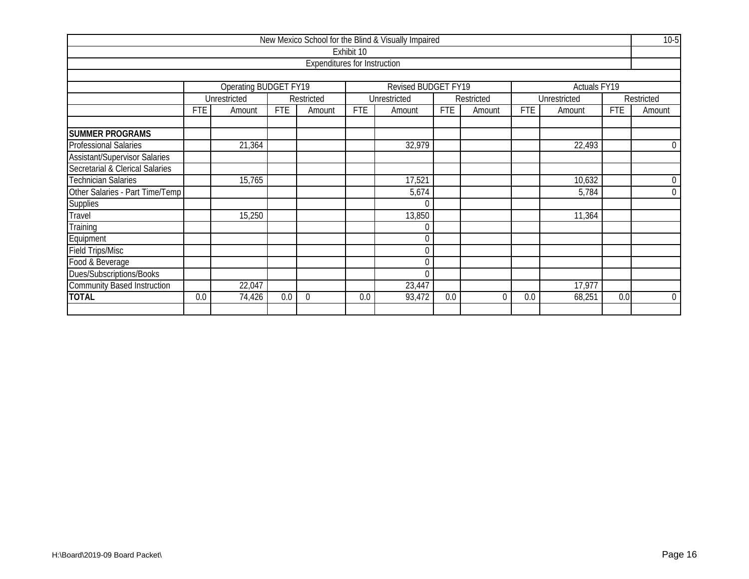|                                      |                            |                       |            |                                     |            | New Mexico School for the Blind & Visually Impaired |            |            |            |                     |            | $10-5$           |  |
|--------------------------------------|----------------------------|-----------------------|------------|-------------------------------------|------------|-----------------------------------------------------|------------|------------|------------|---------------------|------------|------------------|--|
|                                      |                            |                       |            |                                     | Exhibit 10 |                                                     |            |            |            |                     |            |                  |  |
|                                      |                            |                       |            | <b>Expenditures for Instruction</b> |            |                                                     |            |            |            |                     |            |                  |  |
|                                      |                            |                       |            |                                     |            |                                                     |            |            |            |                     |            |                  |  |
|                                      |                            | Operating BUDGET FY19 |            |                                     |            | <b>Revised BUDGET FY19</b>                          |            |            |            | <b>Actuals FY19</b> |            |                  |  |
|                                      |                            | Unrestricted          |            | Restricted                          |            | Unrestricted                                        |            | Restricted |            | Unrestricted        |            | Restricted       |  |
|                                      | <b>FTE</b>                 | Amount                | <b>FTE</b> | Amount                              | <b>FTE</b> | Amount                                              | <b>FTE</b> | Amount     | <b>FTE</b> | Amount              | <b>FTE</b> | Amount           |  |
| <b>SUMMER PROGRAMS</b>               |                            |                       |            |                                     |            |                                                     |            |            |            |                     |            |                  |  |
| <b>Professional Salaries</b>         |                            | 21,364                |            |                                     |            | 32,979                                              |            |            |            | 22,493              |            | $\overline{0}$   |  |
| <b>Assistant/Supervisor Salaries</b> |                            |                       |            |                                     |            |                                                     |            |            |            |                     |            |                  |  |
| Secretarial & Clerical Salaries      |                            |                       |            |                                     |            |                                                     |            |            |            |                     |            |                  |  |
| <b>Technician Salaries</b>           |                            | 15,765                |            |                                     |            | 17,521                                              |            |            |            | 10,632              |            | 0                |  |
| Other Salaries - Part Time/Temp      |                            |                       |            |                                     |            | 5,674                                               |            |            |            | 5,784               |            | $\boldsymbol{0}$ |  |
| <b>Supplies</b>                      |                            |                       |            |                                     |            |                                                     |            |            |            |                     |            |                  |  |
| Travel                               |                            | 15,250                |            |                                     |            | 13,850                                              |            |            |            | 11,364              |            |                  |  |
| Training                             |                            |                       |            |                                     |            |                                                     |            |            |            |                     |            |                  |  |
| Equipment                            |                            |                       |            |                                     |            | $\Omega$                                            |            |            |            |                     |            |                  |  |
| <b>Field Trips/Misc</b>              |                            |                       |            |                                     |            |                                                     |            |            |            |                     |            |                  |  |
| Food & Beverage                      |                            |                       |            |                                     |            | 0                                                   |            |            |            |                     |            |                  |  |
| Dues/Subscriptions/Books             |                            | $\theta$              |            |                                     |            |                                                     |            |            |            |                     |            |                  |  |
| <b>Community Based Instruction</b>   | 22,047<br>23,447<br>17,977 |                       |            |                                     |            |                                                     |            |            |            |                     |            |                  |  |
| <b>TOTAL</b>                         | 0.0                        | 74,426                | 0.0        | $\theta$                            | 0.0        | 93,472                                              | 0.0        | $\theta$   | 0.0        | 68,251              | 0.0        | $\overline{0}$   |  |
|                                      |                            |                       |            |                                     |            |                                                     |            |            |            |                     |            |                  |  |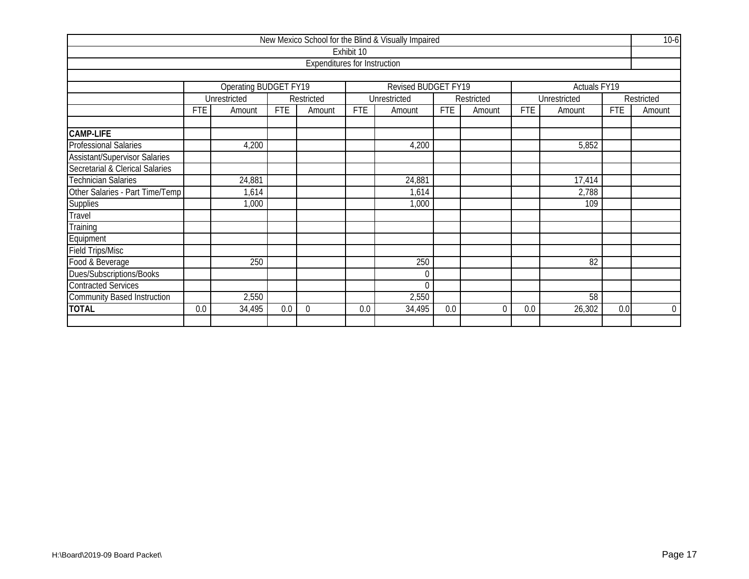|                                                                     |            |                      |            |                                     |            | New Mexico School for the Blind & Visually Impaired |            |            |            |              |            | $10-6$         |  |  |  |
|---------------------------------------------------------------------|------------|----------------------|------------|-------------------------------------|------------|-----------------------------------------------------|------------|------------|------------|--------------|------------|----------------|--|--|--|
|                                                                     |            |                      |            |                                     | Exhibit 10 |                                                     |            |            |            |              |            |                |  |  |  |
|                                                                     |            |                      |            | <b>Expenditures for Instruction</b> |            |                                                     |            |            |            |              |            |                |  |  |  |
|                                                                     |            |                      |            |                                     |            |                                                     |            |            |            |              |            |                |  |  |  |
| Operating BUDGET FY19<br>Revised BUDGET FY19<br><b>Actuals FY19</b> |            |                      |            |                                     |            |                                                     |            |            |            |              |            |                |  |  |  |
|                                                                     |            | Unrestricted         |            | Restricted                          |            | Unrestricted                                        |            | Restricted |            | Unrestricted |            | Restricted     |  |  |  |
|                                                                     | <b>FTE</b> | Amount               | <b>FTE</b> | Amount                              | <b>FTE</b> | Amount                                              | <b>FTE</b> | Amount     | <b>FTE</b> | Amount       | <b>FTE</b> | Amount         |  |  |  |
|                                                                     |            |                      |            |                                     |            |                                                     |            |            |            |              |            |                |  |  |  |
| CAMP-LIFE                                                           |            |                      |            |                                     |            |                                                     |            |            |            |              |            |                |  |  |  |
| Professional Salaries                                               |            | 4,200                |            |                                     |            | 4,200                                               |            |            |            | 5,852        |            |                |  |  |  |
| <b>Assistant/Supervisor Salaries</b>                                |            |                      |            |                                     |            |                                                     |            |            |            |              |            |                |  |  |  |
| <b>Secretarial &amp; Clerical Salaries</b>                          |            |                      |            |                                     |            |                                                     |            |            |            |              |            |                |  |  |  |
| <b>Technician Salaries</b>                                          |            | 24,881               |            |                                     |            | 24,881                                              |            |            |            | 17,414       |            |                |  |  |  |
| Other Salaries - Part Time/Temp                                     |            | 1,614                |            |                                     |            | 1,614                                               |            |            |            | 2,788        |            |                |  |  |  |
| Supplies                                                            |            | 1,000                |            |                                     |            | 1,000                                               |            |            |            | 109          |            |                |  |  |  |
| Travel                                                              |            |                      |            |                                     |            |                                                     |            |            |            |              |            |                |  |  |  |
| Training                                                            |            |                      |            |                                     |            |                                                     |            |            |            |              |            |                |  |  |  |
| Equipment                                                           |            |                      |            |                                     |            |                                                     |            |            |            |              |            |                |  |  |  |
| <b>Field Trips/Misc</b>                                             |            |                      |            |                                     |            |                                                     |            |            |            |              |            |                |  |  |  |
| Food & Beverage                                                     |            | 250                  |            |                                     |            | 250                                                 |            |            |            | 82           |            |                |  |  |  |
| Dues/Subscriptions/Books                                            |            |                      |            |                                     |            | 0                                                   |            |            |            |              |            |                |  |  |  |
| <b>Contracted Services</b>                                          |            |                      |            |                                     |            | $\Omega$                                            |            |            |            |              |            |                |  |  |  |
| <b>Community Based Instruction</b>                                  |            | 2,550<br>2,550<br>58 |            |                                     |            |                                                     |            |            |            |              |            |                |  |  |  |
| <b>TOTAL</b>                                                        | 0.0        | 34,495               | 0.0        | $\Omega$                            | 0.0        | 34,495                                              | 0.0        | $\theta$   | 0.0        | 26,302       | 0.0        | $\overline{0}$ |  |  |  |
|                                                                     |            |                      |            |                                     |            |                                                     |            |            |            |              |            |                |  |  |  |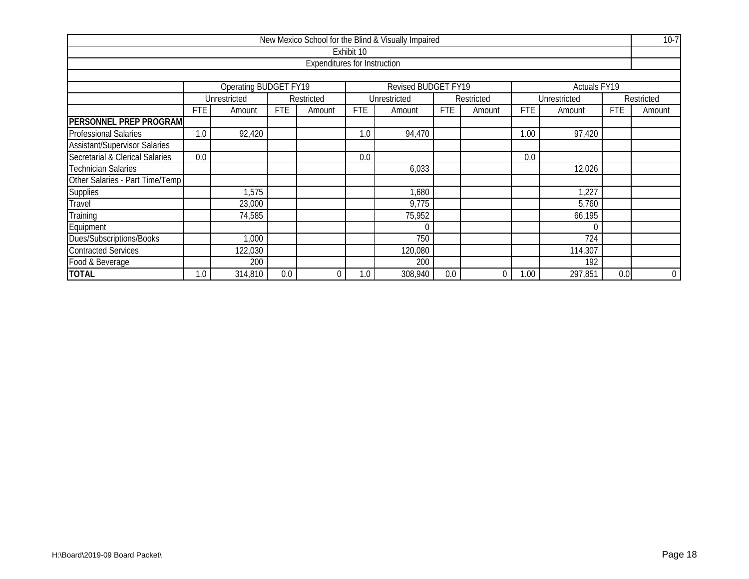|                                                                          |                                                                                                        |         |     |                                     |            | New Mexico School for the Blind & Visually Impaired |     |   |            |         |     | $10-7$           |  |  |  |
|--------------------------------------------------------------------------|--------------------------------------------------------------------------------------------------------|---------|-----|-------------------------------------|------------|-----------------------------------------------------|-----|---|------------|---------|-----|------------------|--|--|--|
|                                                                          |                                                                                                        |         |     |                                     | Exhibit 10 |                                                     |     |   |            |         |     |                  |  |  |  |
|                                                                          |                                                                                                        |         |     | <b>Expenditures for Instruction</b> |            |                                                     |     |   |            |         |     |                  |  |  |  |
|                                                                          |                                                                                                        |         |     |                                     |            |                                                     |     |   |            |         |     |                  |  |  |  |
| Operating BUDGET FY19<br>Revised BUDGET FY19<br>Actuals FY <sub>19</sub> |                                                                                                        |         |     |                                     |            |                                                     |     |   |            |         |     |                  |  |  |  |
|                                                                          | Unrestricted<br>Unrestricted<br>Unrestricted<br>Restricted<br>Restricted<br>Restricted                 |         |     |                                     |            |                                                     |     |   |            |         |     |                  |  |  |  |
|                                                                          | <b>FTE</b><br><b>FTE</b><br>FTE<br>FTE<br><b>FTE</b><br>Amount<br>Amount<br>Amount<br>Amount<br>Amount |         |     |                                     |            |                                                     |     |   | <b>FTE</b> | Amount  |     |                  |  |  |  |
| <b>PERSONNEL PREP PROGRAM</b>                                            |                                                                                                        |         |     |                                     |            |                                                     |     |   |            |         |     |                  |  |  |  |
| <b>Professional Salaries</b>                                             | 1.0                                                                                                    | 92,420  |     |                                     | 1.0        | 94,470                                              |     |   | 1.00       | 97,420  |     |                  |  |  |  |
| <b>Assistant/Supervisor Salaries</b>                                     |                                                                                                        |         |     |                                     |            |                                                     |     |   |            |         |     |                  |  |  |  |
| Secretarial & Clerical Salaries                                          | 0.0<br>0.0<br>0.0                                                                                      |         |     |                                     |            |                                                     |     |   |            |         |     |                  |  |  |  |
| <b>Technician Salaries</b>                                               |                                                                                                        |         |     |                                     |            | 6,033                                               |     |   |            | 12,026  |     |                  |  |  |  |
| Other Salaries - Part Time/Temp                                          |                                                                                                        |         |     |                                     |            |                                                     |     |   |            |         |     |                  |  |  |  |
| <b>Supplies</b>                                                          |                                                                                                        | 1,575   |     |                                     |            | 1,680                                               |     |   |            | 1,227   |     |                  |  |  |  |
| Travel                                                                   |                                                                                                        | 23,000  |     |                                     |            | 9,775                                               |     |   |            | 5,760   |     |                  |  |  |  |
| Training                                                                 |                                                                                                        | 74,585  |     |                                     |            | 75,952                                              |     |   |            | 66,195  |     |                  |  |  |  |
| Equipment                                                                |                                                                                                        |         |     |                                     |            |                                                     |     |   |            | 0       |     |                  |  |  |  |
| Dues/Subscriptions/Books                                                 | 750<br>724<br>1,000                                                                                    |         |     |                                     |            |                                                     |     |   |            |         |     |                  |  |  |  |
| <b>Contracted Services</b>                                               | 122,030<br>114,307<br>120,080                                                                          |         |     |                                     |            |                                                     |     |   |            |         |     |                  |  |  |  |
| Food & Beverage                                                          |                                                                                                        | 200     |     |                                     |            | 200                                                 |     |   |            | 192     |     |                  |  |  |  |
| <b>TOTAL</b>                                                             | 1.0                                                                                                    | 314,810 | 0.0 | 0                                   | 1.0        | 308,940                                             | 0.0 | 0 | 1.00       | 297,851 | 0.0 | $\boldsymbol{0}$ |  |  |  |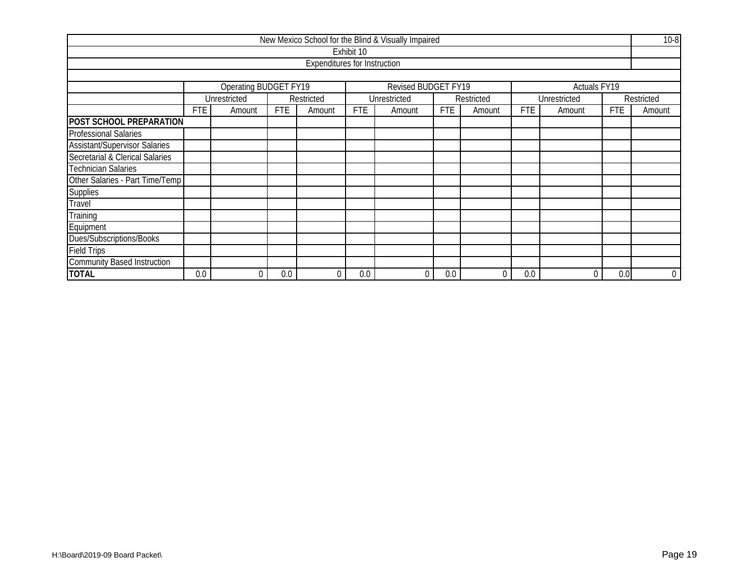|                                                                            |                                                                                              |              |     |                                     |            | New Mexico School for the Blind & Visually Impaired |     |                |        |              |        | $10-8$           |  |
|----------------------------------------------------------------------------|----------------------------------------------------------------------------------------------|--------------|-----|-------------------------------------|------------|-----------------------------------------------------|-----|----------------|--------|--------------|--------|------------------|--|
|                                                                            |                                                                                              |              |     |                                     | Exhibit 10 |                                                     |     |                |        |              |        |                  |  |
|                                                                            |                                                                                              |              |     | <b>Expenditures for Instruction</b> |            |                                                     |     |                |        |              |        |                  |  |
|                                                                            |                                                                                              |              |     |                                     |            |                                                     |     |                |        |              |        |                  |  |
| <b>Operating BUDGET FY19</b><br>Revised BUDGET FY19<br><b>Actuals FY19</b> |                                                                                              |              |     |                                     |            |                                                     |     |                |        |              |        |                  |  |
|                                                                            |                                                                                              | Unrestricted |     | Restricted                          |            | Unrestricted                                        |     | Restricted     |        | Unrestricted |        | Restricted       |  |
|                                                                            | <b>FTE</b><br><b>FTE</b><br><b>FTE</b><br><b>FTE</b><br>Amount<br>Amount<br>Amount<br>Amount |              |     |                                     |            |                                                     |     | <b>FTE</b>     | Amount | <b>FTE</b>   | Amount |                  |  |
| <b>POST SCHOOL PREPARATION</b>                                             |                                                                                              |              |     |                                     |            |                                                     |     |                |        |              |        |                  |  |
| <b>Professional Salaries</b>                                               |                                                                                              |              |     |                                     |            |                                                     |     |                |        |              |        |                  |  |
| <b>Assistant/Supervisor Salaries</b>                                       |                                                                                              |              |     |                                     |            |                                                     |     |                |        |              |        |                  |  |
| Secretarial & Clerical Salaries                                            |                                                                                              |              |     |                                     |            |                                                     |     |                |        |              |        |                  |  |
| <b>Technician Salaries</b>                                                 |                                                                                              |              |     |                                     |            |                                                     |     |                |        |              |        |                  |  |
| Other Salaries - Part Time/Temp                                            |                                                                                              |              |     |                                     |            |                                                     |     |                |        |              |        |                  |  |
| <b>Supplies</b>                                                            |                                                                                              |              |     |                                     |            |                                                     |     |                |        |              |        |                  |  |
| Travel                                                                     |                                                                                              |              |     |                                     |            |                                                     |     |                |        |              |        |                  |  |
| Training                                                                   |                                                                                              |              |     |                                     |            |                                                     |     |                |        |              |        |                  |  |
| Equipment                                                                  |                                                                                              |              |     |                                     |            |                                                     |     |                |        |              |        |                  |  |
| Dues/Subscriptions/Books                                                   |                                                                                              |              |     |                                     |            |                                                     |     |                |        |              |        |                  |  |
| <b>Field Trips</b>                                                         |                                                                                              |              |     |                                     |            |                                                     |     |                |        |              |        |                  |  |
| <b>Community Based Instruction</b>                                         |                                                                                              |              |     |                                     |            |                                                     |     |                |        |              |        |                  |  |
| <b>TOTAL</b>                                                               | 0.0                                                                                          | 0            | 0.0 | 0                                   | 0.0        |                                                     | 0.0 | $\overline{0}$ | 0.0    | 0            | 0.0    | $\boldsymbol{0}$ |  |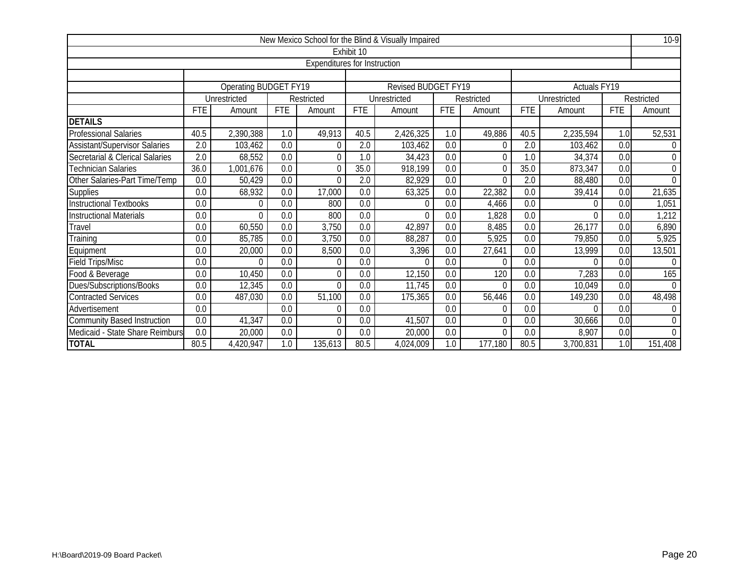|                                      |            |                       |            |                                     |            | New Mexico School for the Blind & Visually Impaired |            |            |            |                     |                  | $10-9$     |
|--------------------------------------|------------|-----------------------|------------|-------------------------------------|------------|-----------------------------------------------------|------------|------------|------------|---------------------|------------------|------------|
|                                      |            |                       |            |                                     | Exhibit 10 |                                                     |            |            |            |                     |                  |            |
|                                      |            |                       |            | <b>Expenditures for Instruction</b> |            |                                                     |            |            |            |                     |                  |            |
|                                      |            |                       |            |                                     |            |                                                     |            |            |            |                     |                  |            |
|                                      |            | Operating BUDGET FY19 |            |                                     |            | Revised BUDGET FY19                                 |            |            |            | <b>Actuals FY19</b> |                  |            |
|                                      |            | Unrestricted          |            | Restricted                          |            | Unrestricted                                        |            | Restricted |            | Unrestricted        |                  | Restricted |
|                                      | <b>FTE</b> | Amount                | <b>FTE</b> | Amount                              | <b>FTE</b> | Amount                                              | <b>FTE</b> | Amount     | <b>FTE</b> | Amount              | <b>FTE</b>       | Amount     |
| <b>DETAILS</b>                       |            |                       |            |                                     |            |                                                     |            |            |            |                     |                  |            |
| <b>Professional Salaries</b>         | 40.5       | 2,390,388             | 1.0        | 49,913                              | 40.5       | 2,426,325                                           | 1.0        | 49,886     | 40.5       | 2,235,594           | 1.0              | 52,531     |
| <b>Assistant/Supervisor Salaries</b> | 2.0        | 103,462               | 0.0        | $\Omega$                            | 2.0        | 103,462                                             | 0.0        | 0          | 2.0        | 103,462             | 0.0              | $\Omega$   |
| Secretarial & Clerical Salaries      | 2.0        | 68,552                | 0.0        | $\theta$                            | 1.0        | 34,423                                              | 0.0        | 0          | 1.0        | 34,374              | 0.0              | $\theta$   |
| Technician Salaries                  | 36.0       | 1,001,676             | 0.0        | $\theta$                            | 35.0       | 918,199                                             | 0.0        | $\theta$   | 35.0       | 873,347             | 0.0              | $\theta$   |
| Other Salaries-Part Time/Temp        | 0.0        | 50,429                | 0.0        | $\Omega$                            | 2.0        | 82,929                                              | 0.0        | $\Omega$   | 2.0        | 88,480              | 0.0              | $\Omega$   |
| <b>Supplies</b>                      | 0.0        | 68,932                | 0.0        | 17,000                              | 0.0        | 63,325                                              | 0.0        | 22,382     | 0.0        | 39,414              | 0.0              | 21,635     |
| <b>Instructional Textbooks</b>       | 0.0        | 0                     | 0.0        | 800                                 | 0.0        |                                                     | 0.0        | 4,466      | 0.0        | 0                   | 0.0              | 1,051      |
| <b>Instructional Materials</b>       | 0.0        | $\Omega$              | 0.0        | 800                                 | 0.0        |                                                     | 0.0        | 1,828      | 0.0        | $\Omega$            | 0.0              | 1,212      |
| Travel                               | 0.0        | 60,550                | 0.0        | 3,750                               | 0.0        | 42,897                                              | 0.0        | 8,485      | 0.0        | 26,177              | 0.0              | 6,890      |
| Training                             | 0.0        | 85,785                | 0.0        | 3,750                               | 0.0        | 88,287                                              | 0.0        | 5,925      | 0.0        | 79,850              | 0.0              | 5,925      |
| Equipment                            | 0.0        | 20,000                | 0.0        | 8,500                               | 0.0        | 3,396                                               | 0.0        | 27,641     | 0.0        | 13,999              | 0.0              | 13,501     |
| <b>Field Trips/Misc</b>              | 0.0        | $\Omega$              | 0.0        | $\Omega$                            | 0.0        |                                                     | 0.0        | $\Omega$   | 0.0        | $\Omega$            | 0.0              | $\Omega$   |
| Food & Beverage                      | 0.0        | 10,450                | 0.0        | 0                                   | 0.0        | 12,150                                              | 0.0        | 120        | 0.0        | 7,283               | 0.0              | 165        |
| Dues/Subscriptions/Books             | 0.0        | 12,345                | 0.0        | $\theta$                            | 0.0        | 11,745                                              | 0.0        | 0          | 0.0        | 10,049              | 0.0              | $\Omega$   |
| <b>Contracted Services</b>           | 0.0        | 487,030               | 0.0        | 51,100                              | 0.0        | 175,365                                             | 0.0        | 56,446     | 0.0        | 149,230             | 0.0              | 48,498     |
| Advertisement                        | 0.0        |                       | 0.0        | $\Omega$                            | 0.0        |                                                     | 0.0        | $\Omega$   | 0.0        | $\Omega$            | 0.0              | $\theta$   |
| <b>Community Based Instruction</b>   | 0.0        | 41,347                | 0.0        | $\Omega$                            | 0.0        | 41,507                                              | 0.0        | 0          | 0.0        | 30,666              | 0.0              | $\Omega$   |
| Medicaid - State Share Reimburs      | 0.0        | 20,000                | 0.0        | $\Omega$                            | 0.0        | 20,000                                              | 0.0        | $\Omega$   | 0.0        | 8,907               | $\overline{0.0}$ | $\Omega$   |
| <b>TOTAL</b>                         | 80.5       | 4,420,947             | 1.0        | 135,613                             | 80.5       | 4,024,009                                           | 1.0        | 177,180    | 80.5       | 3,700,831           | 1.0              | 151,408    |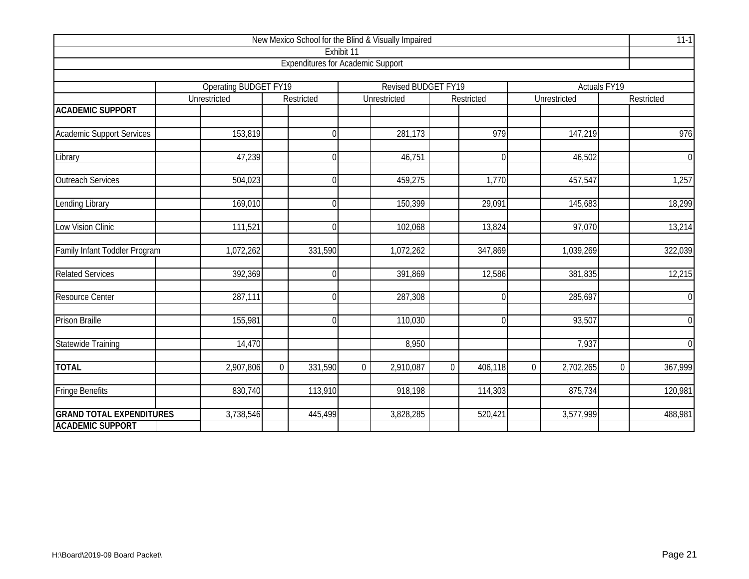|                                  |                                              |          |                                          |                | New Mexico School for the Blind & Visually Impaired |                |            |                |              |                     | $11-1$         |
|----------------------------------|----------------------------------------------|----------|------------------------------------------|----------------|-----------------------------------------------------|----------------|------------|----------------|--------------|---------------------|----------------|
|                                  |                                              |          |                                          | Exhibit 11     |                                                     |                |            |                |              |                     |                |
|                                  |                                              |          | <b>Expenditures for Academic Support</b> |                |                                                     |                |            |                |              |                     |                |
|                                  |                                              |          |                                          |                |                                                     |                |            |                |              |                     |                |
|                                  | <b>Operating BUDGET FY19</b><br>Unrestricted |          | Restricted                               |                | <b>Revised BUDGET FY19</b><br>Unrestricted          |                | Restricted |                | Unrestricted | <b>Actuals FY19</b> | Restricted     |
| <b>ACADEMIC SUPPORT</b>          |                                              |          |                                          |                |                                                     |                |            |                |              |                     |                |
| <b>Academic Support Services</b> | 153,819                                      |          | $\Omega$                                 |                | 281,173                                             |                | 979        |                | 147,219      |                     | 976            |
| Library                          | 47,239                                       |          | $\Omega$                                 |                | 46,751                                              |                | $\Omega$   |                | 46,502       |                     | $\overline{0}$ |
|                                  |                                              |          |                                          |                |                                                     |                |            |                |              |                     |                |
| <b>Outreach Services</b>         | 504,023                                      |          | $\theta$                                 |                | 459,275                                             |                | 1,770      |                | 457,547      |                     | 1,257          |
| Lending Library                  | 169,010                                      |          | $\Omega$                                 |                | 150,399                                             |                | 29,091     |                | 145,683      |                     | 18,299         |
| Low Vision Clinic                | 111,521                                      |          | $\Omega$                                 |                | 102,068                                             |                | 13,824     |                | 97,070       |                     | 13,214         |
| Family Infant Toddler Program    | 1,072,262                                    |          | 331,590                                  |                | 1,072,262                                           |                | 347,869    |                | 1,039,269    |                     | 322,039        |
| <b>Related Services</b>          | 392,369                                      |          | $\Omega$                                 |                | 391,869                                             |                | 12,586     |                | 381,835      |                     | 12,215         |
| <b>Resource Center</b>           | 287,111                                      |          | $\Omega$                                 |                | 287,308                                             |                | 0          |                | 285,697      |                     | $\overline{0}$ |
| <b>Prison Braille</b>            | 155,981                                      |          | $\Omega$                                 |                | 110,030                                             |                | 0          |                | 93,507       |                     | $\overline{0}$ |
| <b>Statewide Training</b>        | 14,470                                       |          |                                          |                | 8,950                                               |                |            |                | 7,937        |                     | $\overline{0}$ |
| <b>TOTAL</b>                     | 2,907,806                                    | $\Omega$ | 331,590                                  | $\overline{0}$ | 2,910,087                                           | $\overline{0}$ | 406,118    | $\overline{0}$ | 2,702,265    | $\mathbf 0$         | 367,999        |
| <b>Fringe Benefits</b>           | 830,740                                      |          | 113,910                                  |                | 918,198                                             |                | 114,303    |                | 875,734      |                     | 120,981        |
| <b>GRAND TOTAL EXPENDITURES</b>  | 3,738,546                                    |          | 445,499                                  |                | 3,828,285                                           |                | 520,421    |                | 3,577,999    |                     | 488,981        |
| <b>ACADEMIC SUPPORT</b>          |                                              |          |                                          |                |                                                     |                |            |                |              |                     |                |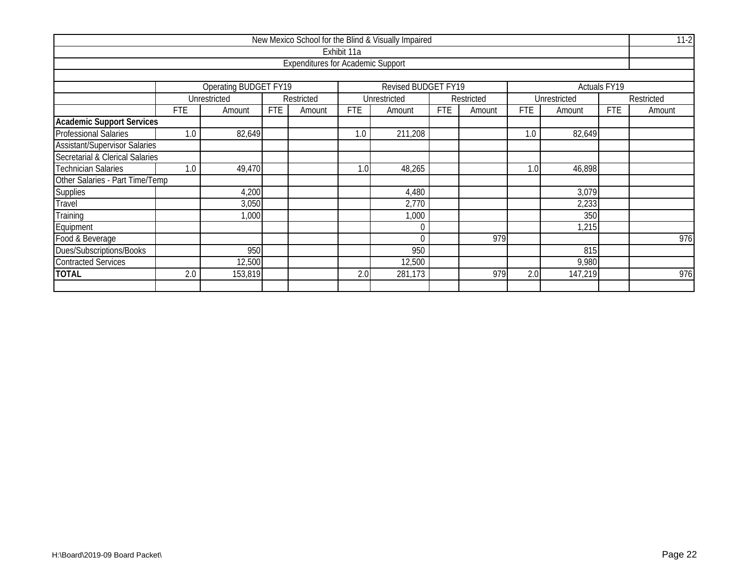|                                      |            |                              |            |                                          |             | New Mexico School for the Blind & Visually Impaired |            |            |            |              |                     | $11-2$     |
|--------------------------------------|------------|------------------------------|------------|------------------------------------------|-------------|-----------------------------------------------------|------------|------------|------------|--------------|---------------------|------------|
|                                      |            |                              |            |                                          | Exhibit 11a |                                                     |            |            |            |              |                     |            |
|                                      |            |                              |            | <b>Expenditures for Academic Support</b> |             |                                                     |            |            |            |              |                     |            |
|                                      |            |                              |            |                                          |             |                                                     |            |            |            |              |                     |            |
|                                      |            | <b>Operating BUDGET FY19</b> |            |                                          |             | Revised BUDGET FY19                                 |            |            |            |              | <b>Actuals FY19</b> |            |
|                                      |            | Unrestricted                 |            | Restricted                               |             | Unrestricted                                        |            | Restricted |            | Unrestricted |                     | Restricted |
|                                      | <b>FTE</b> | Amount                       | <b>FTE</b> | Amount                                   | <b>FTE</b>  | Amount                                              | <b>FTE</b> | Amount     | <b>FTE</b> | Amount       | <b>FTE</b>          | Amount     |
| <b>Academic Support Services</b>     |            |                              |            |                                          |             |                                                     |            |            |            |              |                     |            |
| <b>Professional Salaries</b>         | 1.0        | 82,649                       |            |                                          | 1.0         | 211,208                                             |            |            | 1.0        | 82,649       |                     |            |
| <b>Assistant/Supervisor Salaries</b> |            |                              |            |                                          |             |                                                     |            |            |            |              |                     |            |
| Secretarial & Clerical Salaries      |            |                              |            |                                          |             |                                                     |            |            |            |              |                     |            |
| <b>Technician Salaries</b>           | 1.0        | 49,470                       |            |                                          | 1.0         | 48,265                                              |            |            | 1.0        | 46,898       |                     |            |
| Other Salaries - Part Time/Temp      |            |                              |            |                                          |             |                                                     |            |            |            |              |                     |            |
| Supplies                             |            | 4,200                        |            |                                          |             | 4,480                                               |            |            |            | 3,079        |                     |            |
| Travel                               |            | 3,050                        |            |                                          |             | 2,770                                               |            |            |            | 2,233        |                     |            |
| Training                             |            | 1,000                        |            |                                          |             | 1,000                                               |            |            |            | 350          |                     |            |
| Equipment                            |            |                              |            |                                          |             | $\Omega$                                            |            |            |            | 1,215        |                     |            |
| Food & Beverage                      |            | 979                          |            |                                          |             |                                                     |            |            |            | 976          |                     |            |
| Dues/Subscriptions/Books             |            | 950<br>815<br>950            |            |                                          |             |                                                     |            |            |            |              |                     |            |
| <b>Contracted Services</b>           |            | 12,500                       |            |                                          |             | 12,500                                              |            |            |            | 9,980        |                     |            |
| <b>TOTAL</b>                         | 2.0        | 153,819                      |            |                                          | 2.0         | 281,173                                             |            | 979        | 2.0        | 147,219      |                     | 976        |
|                                      |            |                              |            |                                          |             |                                                     |            |            |            |              |                     |            |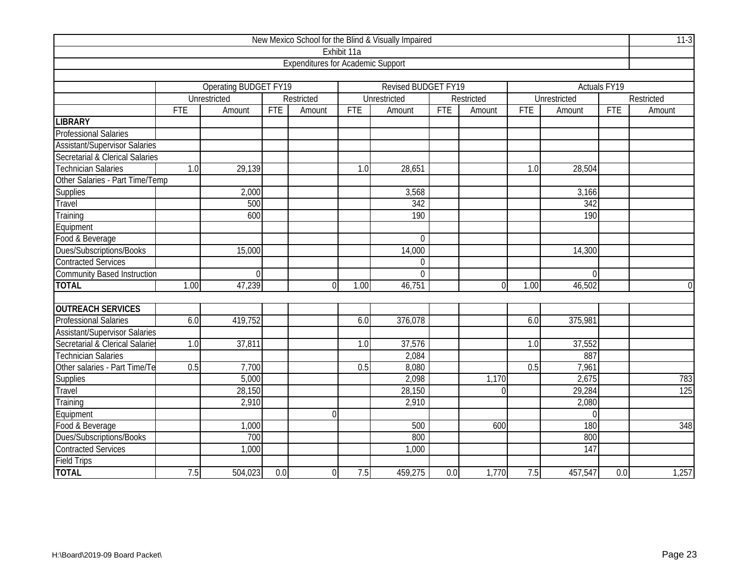|                                            |            |                              |            |                                          |             | New Mexico School for the Blind & Visually Impaired |            |                |                  |                  |                     | $11-3$         |
|--------------------------------------------|------------|------------------------------|------------|------------------------------------------|-------------|-----------------------------------------------------|------------|----------------|------------------|------------------|---------------------|----------------|
|                                            |            |                              |            |                                          | Exhibit 11a |                                                     |            |                |                  |                  |                     |                |
|                                            |            |                              |            | <b>Expenditures for Academic Support</b> |             |                                                     |            |                |                  |                  |                     |                |
|                                            |            |                              |            |                                          |             |                                                     |            |                |                  |                  |                     |                |
|                                            |            | <b>Operating BUDGET FY19</b> |            |                                          |             | <b>Revised BUDGET FY19</b>                          |            |                |                  |                  | <b>Actuals FY19</b> |                |
|                                            |            | Unrestricted                 |            | Restricted                               |             | Unrestricted                                        |            | Restricted     |                  | Unrestricted     |                     | Restricted     |
|                                            | <b>FTE</b> | Amount                       | <b>FTE</b> | Amount                                   | <b>FTE</b>  | Amount                                              | <b>FTE</b> | Amount         | <b>FTE</b>       | Amount           | <b>FTE</b>          | Amount         |
| <b>LIBRARY</b>                             |            |                              |            |                                          |             |                                                     |            |                |                  |                  |                     |                |
| Professional Salaries                      |            |                              |            |                                          |             |                                                     |            |                |                  |                  |                     |                |
| <b>Assistant/Supervisor Salaries</b>       |            |                              |            |                                          |             |                                                     |            |                |                  |                  |                     |                |
| <b>Secretarial &amp; Clerical Salaries</b> |            |                              |            |                                          |             |                                                     |            |                |                  |                  |                     |                |
| <b>Technician Salaries</b>                 | 1.0        | 29,139                       |            |                                          | 1.0         | 28,651                                              |            |                | 1.0              | 28,504           |                     |                |
| Other Salaries - Part Time/Temp            |            |                              |            |                                          |             |                                                     |            |                |                  |                  |                     |                |
| Supplies                                   |            | 2,000                        |            |                                          |             | 3,568                                               |            |                |                  | 3,166            |                     |                |
| Travel                                     |            | 500                          |            |                                          |             | 342                                                 |            |                |                  | 342              |                     |                |
| Training                                   |            | 600                          |            |                                          |             | 190                                                 |            |                |                  | 190              |                     |                |
| Equipment                                  |            |                              |            |                                          |             |                                                     |            |                |                  |                  |                     |                |
| Food & Beverage                            |            |                              |            |                                          |             | $\overline{0}$                                      |            |                |                  |                  |                     |                |
| Dues/Subscriptions/Books                   |            | 15,000                       |            |                                          |             | 14,000                                              |            |                |                  | 14,300           |                     |                |
| <b>Contracted Services</b>                 |            |                              |            |                                          |             | 0                                                   |            |                |                  |                  |                     |                |
| <b>Community Based Instruction</b>         |            | $\Omega$                     |            |                                          |             | $\overline{0}$                                      |            |                |                  | $\Omega$         |                     |                |
| <b>TOTAL</b>                               | 1.00       | 47,239                       |            | $\Omega$                                 | 1.00        | 46,751                                              |            | $\overline{0}$ | 1.00             | 46,502           |                     | $\overline{0}$ |
|                                            |            |                              |            |                                          |             |                                                     |            |                |                  |                  |                     |                |
| <b>OUTREACH SERVICES</b>                   |            |                              |            |                                          |             |                                                     |            |                |                  |                  |                     |                |
| <b>Professional Salaries</b>               | 6.0        | 419,752                      |            |                                          | 6.0         | 376,078                                             |            |                | 6.0              | 375,981          |                     |                |
| <b>Assistant/Supervisor Salaries</b>       |            |                              |            |                                          |             |                                                     |            |                |                  |                  |                     |                |
| Secretarial & Clerical Salaries            | 1.0        | 37,811                       |            |                                          | 1.0         | 37,576                                              |            |                | $\overline{1.0}$ | 37,552           |                     |                |
| <b>Technician Salaries</b>                 |            |                              |            |                                          |             | 2,084                                               |            |                |                  | 887              |                     |                |
| Other salaries - Part Time/Te              | 0.5        | 7,700                        |            |                                          | 0.5         | 8,080                                               |            |                | 0.5              | 7,961            |                     |                |
| Supplies                                   |            | 5,000                        |            |                                          |             | 2,098                                               |            | 1,170          |                  | 2,675            |                     | 783            |
| Travel                                     |            | 28,150                       |            |                                          |             | 28,150                                              |            | $\overline{0}$ |                  | 29,284           |                     | 125            |
| Training                                   |            | 2,910                        |            |                                          |             | 2,910                                               |            |                |                  | 2,080            |                     |                |
| Equipment                                  |            |                              |            | $\Omega$                                 |             |                                                     |            |                |                  | $\Omega$         |                     |                |
| Food & Beverage                            |            | 1,000                        |            |                                          |             | 500                                                 |            | 600            |                  | 180              |                     | 348            |
| Dues/Subscriptions/Books                   |            | 700                          |            |                                          |             | 800                                                 |            |                |                  | 800              |                     |                |
| <b>Contracted Services</b>                 |            | 1,000                        |            |                                          |             | 1,000                                               |            |                |                  | $\overline{147}$ |                     |                |
| <b>Field Trips</b>                         |            |                              |            |                                          |             |                                                     |            |                |                  |                  |                     |                |
| <b>TOTAL</b>                               | 7.5        | 504,023                      | 0.0        | $\overline{0}$                           | 7.5         | 459,275                                             | 0.0        | 1,770          | 7.5              | 457,547          | 0.0                 | 1,257          |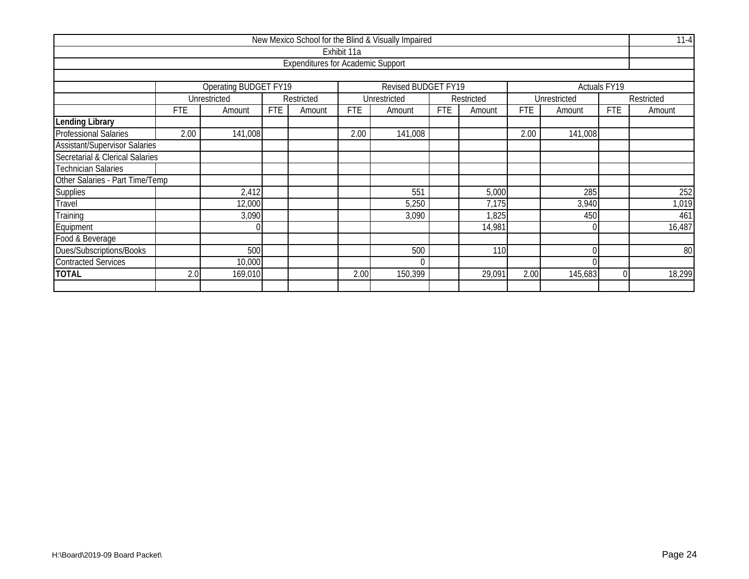|                                                                     |            |                    |            |                                          |             | New Mexico School for the Blind & Visually Impaired |            |            |            |              |            | $11 - 4$   |  |
|---------------------------------------------------------------------|------------|--------------------|------------|------------------------------------------|-------------|-----------------------------------------------------|------------|------------|------------|--------------|------------|------------|--|
|                                                                     |            |                    |            |                                          | Exhibit 11a |                                                     |            |            |            |              |            |            |  |
|                                                                     |            |                    |            | <b>Expenditures for Academic Support</b> |             |                                                     |            |            |            |              |            |            |  |
|                                                                     |            |                    |            |                                          |             |                                                     |            |            |            |              |            |            |  |
| <b>Operating BUDGET FY19</b><br>Revised BUDGET FY19<br>Actuals FY19 |            |                    |            |                                          |             |                                                     |            |            |            |              |            |            |  |
|                                                                     |            | Unrestricted       |            | Restricted                               |             | Unrestricted                                        |            | Restricted |            | Unrestricted |            | Restricted |  |
|                                                                     | <b>FTE</b> | Amount             | <b>FTE</b> | Amount                                   | <b>FTE</b>  | Amount                                              | <b>FTE</b> | Amount     | <b>FTE</b> | Amount       | <b>FTE</b> | Amount     |  |
| <b>Lending Library</b>                                              |            |                    |            |                                          |             |                                                     |            |            |            |              |            |            |  |
| <b>Professional Salaries</b>                                        | 2.00       | 141,008            |            |                                          | 2.00        | 141,008                                             |            |            | 2.00       | 141,008      |            |            |  |
| <b>Assistant/Supervisor Salaries</b>                                |            |                    |            |                                          |             |                                                     |            |            |            |              |            |            |  |
| Secretarial & Clerical Salaries                                     |            |                    |            |                                          |             |                                                     |            |            |            |              |            |            |  |
| <b>Technician Salaries</b>                                          |            |                    |            |                                          |             |                                                     |            |            |            |              |            |            |  |
| Other Salaries - Part Time/Temp                                     |            |                    |            |                                          |             |                                                     |            |            |            |              |            |            |  |
| <b>Supplies</b>                                                     |            | 2,412              |            |                                          |             | 551                                                 |            | 5,000      |            | 285          |            | 252        |  |
| Travel                                                              |            | 12,000             |            |                                          |             | 5,250                                               |            | 7,175      |            | 3,940        |            | 1,019      |  |
| Training                                                            |            | 3,090              |            |                                          |             | 3,090                                               |            | 1,825      |            | 450          |            | 461        |  |
| Equipment                                                           |            |                    |            |                                          |             |                                                     |            | 14,981     |            |              |            | 16,487     |  |
| Food & Beverage                                                     |            |                    |            |                                          |             |                                                     |            |            |            |              |            |            |  |
| Dues/Subscriptions/Books                                            |            | 500<br>500<br>110  |            |                                          |             |                                                     |            |            |            | 80           |            |            |  |
| <b>Contracted Services</b>                                          |            | 10,000<br>$\Omega$ |            |                                          |             |                                                     |            |            |            |              |            |            |  |
| <b>TOTAL</b>                                                        | 2.0        | 169,010            |            |                                          | 2.00        | 150,399                                             |            | 29,091     | 2.00       | 145,683      |            | 18,299     |  |
|                                                                     |            |                    |            |                                          |             |                                                     |            |            |            |              |            |            |  |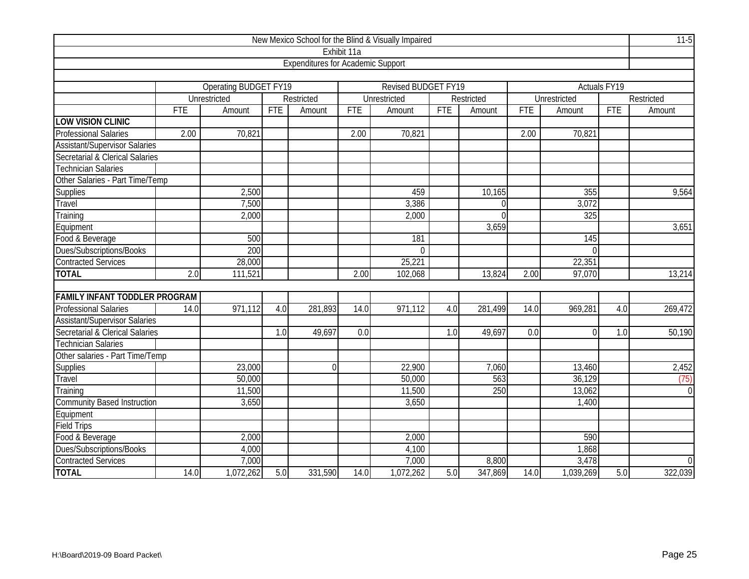| New Mexico School for the Blind & Visually Impaired |            |                              |            |                                          |                  |                            |                  |                |            |                     |              |                  |
|-----------------------------------------------------|------------|------------------------------|------------|------------------------------------------|------------------|----------------------------|------------------|----------------|------------|---------------------|--------------|------------------|
|                                                     |            |                              |            |                                          | Exhibit 11a      |                            |                  |                |            |                     |              |                  |
|                                                     |            |                              |            | <b>Expenditures for Academic Support</b> |                  |                            |                  |                |            |                     |              |                  |
|                                                     |            |                              |            |                                          |                  |                            |                  |                |            |                     |              |                  |
|                                                     |            | <b>Operating BUDGET FY19</b> |            |                                          |                  | <b>Revised BUDGET FY19</b> |                  |                |            |                     | Actuals FY19 |                  |
|                                                     |            | Unrestricted                 |            | Restricted                               |                  | Unrestricted               |                  | Restricted     |            | <b>Unrestricted</b> |              | Restricted       |
|                                                     | <b>FTE</b> | Amount                       | <b>FTE</b> | Amount                                   | <b>FTE</b>       | Amount                     | <b>FTE</b>       | Amount         | <b>FTE</b> | Amount              | <b>FTE</b>   | Amount           |
| <b>LOW VISION CLINIC</b>                            |            |                              |            |                                          |                  |                            |                  |                |            |                     |              |                  |
| Professional Salaries                               | 2.00       | 70,821                       |            |                                          | 2.00             | 70,821                     |                  |                | 2.00       | 70,821              |              |                  |
| Assistant/Supervisor Salaries                       |            |                              |            |                                          |                  |                            |                  |                |            |                     |              |                  |
| Secretarial & Clerical Salaries                     |            |                              |            |                                          |                  |                            |                  |                |            |                     |              |                  |
| <b>Technician Salaries</b>                          |            |                              |            |                                          |                  |                            |                  |                |            |                     |              |                  |
| Other Salaries - Part Time/Temp                     |            |                              |            |                                          |                  |                            |                  |                |            |                     |              |                  |
| Supplies                                            |            | 2,500                        |            |                                          |                  | 459                        |                  | 10,165         |            | 355                 |              | 9,564            |
| Travel                                              |            | 7,500                        |            |                                          |                  | 3,386                      |                  | $\Omega$       |            | 3,072               |              |                  |
| Training                                            |            | 2,000                        |            |                                          |                  | 2,000                      |                  | $\overline{0}$ |            | 325                 |              |                  |
| Equipment                                           |            |                              |            |                                          |                  |                            |                  | 3,659          |            |                     |              | 3,651            |
| Food & Beverage                                     |            | 500                          |            |                                          |                  | 181                        |                  |                |            | 145                 |              |                  |
| Dues/Subscriptions/Books                            |            | 200                          |            |                                          |                  | $\Omega$                   |                  |                |            | $\Omega$            |              |                  |
| <b>Contracted Services</b>                          |            | 28,000                       |            |                                          |                  | 25,221                     |                  |                |            | 22,351              |              |                  |
| <b>TOTAL</b>                                        | 2.0        | 111,521                      |            |                                          | 2.00             | 102,068                    |                  | 13,824         | 2.00       | 97,070              |              | 13,214           |
|                                                     |            |                              |            |                                          |                  |                            |                  |                |            |                     |              |                  |
| <b>FAMILY INFANT TODDLER PROGRAM</b>                |            |                              |            |                                          |                  |                            |                  |                |            |                     |              |                  |
| <b>Professional Salaries</b>                        | 14.0       | 971,112                      | 4.0        | 281,893                                  | 14.0             | 971,112                    | 4.0              | 281,499        | 14.0       | 969,281             | 4.0          | 269,472          |
| <b>Assistant/Supervisor Salaries</b>                |            |                              |            |                                          |                  |                            |                  |                |            |                     |              |                  |
| Secretarial & Clerical Salaries                     |            |                              | 1.0        | 49,697                                   | $\overline{0.0}$ |                            | $\overline{1.0}$ | 49,697         | 0.0        | $\Omega$            | 1.0          | 50,190           |
| <b>Technician Salaries</b>                          |            |                              |            |                                          |                  |                            |                  |                |            |                     |              |                  |
| Other salaries - Part Time/Temp                     |            |                              |            |                                          |                  |                            |                  |                |            |                     |              |                  |
| Supplies                                            |            | 23,000                       |            | $\theta$                                 |                  | 22,900                     |                  | 7,060          |            | 13,460              |              | 2,452            |
| Travel                                              |            | 50,000                       |            |                                          |                  | 50,000                     |                  | 563            |            | 36,129              |              | (75)             |
| Training                                            |            | 11,500                       |            |                                          |                  | 11,500                     |                  | 250            |            | 13,062              |              | $\overline{0}$   |
| <b>Community Based Instruction</b>                  |            | 3,650                        |            |                                          |                  | 3,650                      |                  |                |            | 1,400               |              |                  |
| Equipment                                           |            |                              |            |                                          |                  |                            |                  |                |            |                     |              |                  |
| Field Trips                                         |            |                              |            |                                          |                  |                            |                  |                |            |                     |              |                  |
| Food & Beverage                                     |            | 2,000                        |            |                                          |                  | 2,000                      |                  |                |            | 590                 |              |                  |
| Dues/Subscriptions/Books                            |            | 4,000                        |            |                                          |                  | 4,100                      |                  |                |            | 1,868               |              |                  |
| <b>Contracted Services</b>                          |            | 7,000                        |            |                                          |                  | 7,000                      |                  | 8,800          |            | 3,478               |              | $\boldsymbol{0}$ |
| <b>TOTAL</b>                                        | 14.0       | 1,072,262                    | 5.0        | 331,590                                  | 14.0             | 1,072,262                  | 5.0              | 347,869        | 14.0       | 1,039,269           | 5.0          | 322,039          |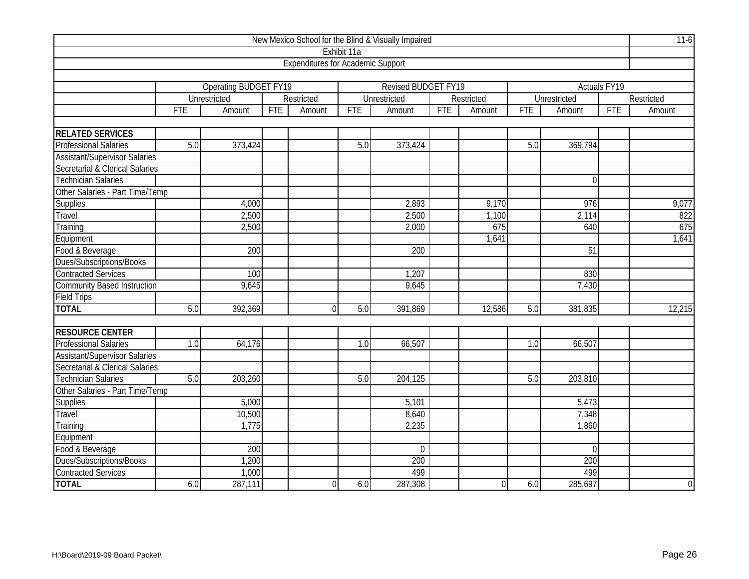| New Mexico School for the Blind & Visually Impaired |                  |                       |            |                                          |             |                     |            |                |            |                 |                     |                |
|-----------------------------------------------------|------------------|-----------------------|------------|------------------------------------------|-------------|---------------------|------------|----------------|------------|-----------------|---------------------|----------------|
|                                                     |                  |                       |            |                                          | Exhibit 11a |                     |            |                |            |                 |                     |                |
|                                                     |                  |                       |            | <b>Expenditures for Academic Support</b> |             |                     |            |                |            |                 |                     |                |
|                                                     |                  |                       |            |                                          |             |                     |            |                |            |                 |                     |                |
|                                                     |                  | Operating BUDGET FY19 |            |                                          |             | Revised BUDGET FY19 |            |                |            |                 | <b>Actuals FY19</b> |                |
|                                                     |                  | Unrestricted          |            | Restricted                               |             | <b>Unrestricted</b> |            | Restricted     |            | Unrestricted    |                     | Restricted     |
|                                                     | FTE              | Amount                | <b>FTE</b> | Amount                                   | <b>FTE</b>  | Amount              | <b>FTE</b> | Amount         | <b>FTE</b> | Amount          | <b>FTE</b>          | Amount         |
|                                                     |                  |                       |            |                                          |             |                     |            |                |            |                 |                     |                |
| <b>RELATED SERVICES</b>                             |                  |                       |            |                                          |             |                     |            |                |            |                 |                     |                |
| <b>Professional Salaries</b>                        | 5.0              | 373,424               |            |                                          | 5.0         | 373,424             |            |                | 5.0        | 369,794         |                     |                |
| <b>Assistant/Supervisor Salaries</b>                |                  |                       |            |                                          |             |                     |            |                |            |                 |                     |                |
| Secretarial & Clerical Salaries                     |                  |                       |            |                                          |             |                     |            |                |            |                 |                     |                |
| <b>Technician Salaries</b>                          |                  |                       |            |                                          |             |                     |            |                |            | $\theta$        |                     |                |
| Other Salaries - Part Time/Temp                     |                  |                       |            |                                          |             |                     |            |                |            |                 |                     |                |
| Supplies                                            |                  | 4,000                 |            |                                          |             | 2,893               |            | 9,170          |            | 976             |                     | 9,077          |
| Travel                                              |                  | 2,500                 |            |                                          |             | 2,500               |            | 1,100          |            | 2,114           | 822                 |                |
| Training                                            |                  | 2,500                 |            |                                          |             | 2,000               |            | 675            |            | 640             |                     | 675            |
| Equipment                                           |                  |                       |            |                                          |             |                     |            | 1,641          |            |                 |                     | 1,641          |
| Food & Beverage                                     |                  | 200                   |            |                                          |             | 200                 |            |                |            | $\overline{51}$ |                     |                |
| Dues/Subscriptions/Books                            |                  |                       |            |                                          |             |                     |            |                |            |                 |                     |                |
| <b>Contracted Services</b>                          |                  | 100                   |            |                                          |             | 1,207               |            |                |            | 830             |                     |                |
| <b>Community Based Instruction</b>                  |                  | 9,645                 |            |                                          |             | 9,645               |            |                |            | 7,430           |                     |                |
| <b>Field Trips</b>                                  |                  |                       |            |                                          |             |                     |            |                |            |                 |                     |                |
| <b>TOTAL</b>                                        | 5.0              | 392,369               |            | $\Omega$                                 | 5.0         | 391,869             |            | 12,586         | 5.0        | 381,835         |                     | 12,215         |
|                                                     |                  |                       |            |                                          |             |                     |            |                |            |                 |                     |                |
| <b>RESOURCE CENTER</b>                              |                  |                       |            |                                          |             |                     |            |                |            |                 |                     |                |
| <b>Professional Salaries</b>                        | $\overline{1.0}$ | 64,176                |            |                                          | 1.0         | 66,507              |            |                | 1.0        | 66,507          |                     |                |
| <b>Assistant/Supervisor Salaries</b>                |                  |                       |            |                                          |             |                     |            |                |            |                 |                     |                |
| Secretarial & Clerical Salaries                     |                  |                       |            |                                          |             |                     |            |                |            |                 |                     |                |
| <b>Technician Salaries</b>                          | 5.0              | 203,260               |            |                                          | 5.0         | 204,125             |            |                | 5.0        | 203,810         |                     |                |
| Other Salaries - Part Time/Temp                     |                  |                       |            |                                          |             |                     |            |                |            |                 |                     |                |
| Supplies                                            |                  | 5,000                 |            |                                          |             | 5,101               |            |                |            | 5,473           |                     |                |
| Travel                                              |                  | 10,500                |            |                                          |             | 8,640               |            |                |            | 7,348           |                     |                |
| Training                                            |                  | 1,775                 |            |                                          |             | 2,235               |            |                |            | 1,860           |                     |                |
| Equipment                                           |                  |                       |            |                                          |             |                     |            |                |            |                 |                     |                |
| Food & Beverage                                     |                  | 200                   |            |                                          |             | $\overline{0}$      |            |                |            | $\Omega$        |                     |                |
| Dues/Subscriptions/Books                            |                  | 1,200                 |            |                                          |             | 200                 |            |                |            | 200             |                     |                |
| <b>Contracted Services</b>                          |                  | 1,000                 |            |                                          |             | 499                 |            |                |            | 499             |                     |                |
| <b>TOTAL</b>                                        | 6.0              | 287,111               |            | $\overline{0}$                           | 6.0         | 287,308             |            | $\overline{0}$ | 6.0        | 285,697         |                     | $\overline{0}$ |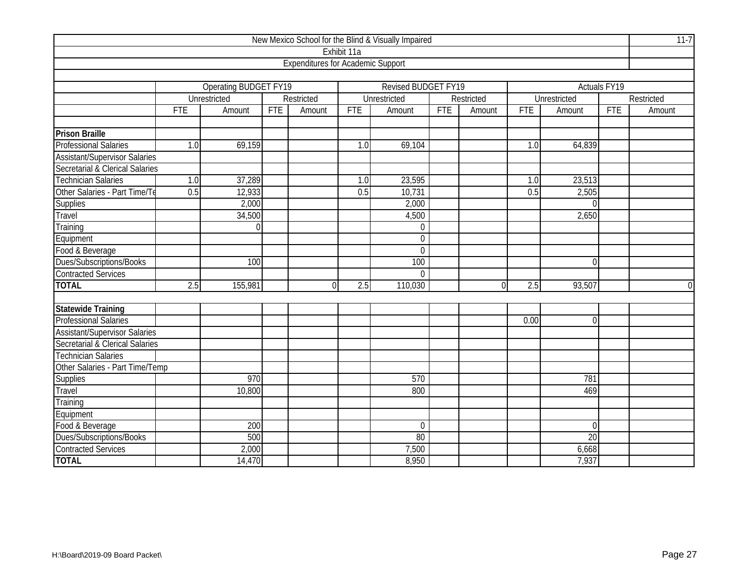| New Mexico School for the Blind & Visually Impaired |                          |                       |            |                                          |                  |                     |            |            |            |                |              |                |
|-----------------------------------------------------|--------------------------|-----------------------|------------|------------------------------------------|------------------|---------------------|------------|------------|------------|----------------|--------------|----------------|
|                                                     |                          |                       |            |                                          | Exhibit 11a      |                     |            |            |            |                |              |                |
|                                                     |                          |                       |            | <b>Expenditures for Academic Support</b> |                  |                     |            |            |            |                |              |                |
|                                                     |                          |                       |            |                                          |                  |                     |            |            |            |                |              |                |
|                                                     |                          | Operating BUDGET FY19 |            |                                          |                  | Revised BUDGET FY19 |            |            |            |                | Actuals FY19 |                |
|                                                     |                          | Unrestricted          |            | Restricted                               |                  | Unrestricted        |            | Restricted |            | Unrestricted   |              | Restricted     |
|                                                     | <b>FTE</b>               | Amount                | <b>FTE</b> | Amount                                   | FTE              | Amount              | <b>FTE</b> | Amount     | <b>FTE</b> | Amount         | <b>FTE</b>   | Amount         |
|                                                     |                          |                       |            |                                          |                  |                     |            |            |            |                |              |                |
| <b>Prison Braille</b>                               |                          |                       |            |                                          |                  |                     |            |            |            |                |              |                |
| Professional Salaries                               | 1.0                      | 69,159                |            |                                          | 1.0              | 69,104              |            |            | 1.0        | 64,839         |              |                |
| <b>Assistant/Supervisor Salaries</b>                |                          |                       |            |                                          |                  |                     |            |            |            |                |              |                |
| Secretarial & Clerical Salaries                     |                          |                       |            |                                          |                  |                     |            |            |            |                |              |                |
| <b>Technician Salaries</b>                          | 1.0                      | 37,289                |            |                                          | 1.0              | 23,595              |            |            | 1.0        | 23,513         |              |                |
| Other Salaries - Part Time/Te                       | 0.5                      | 12,933                |            |                                          | 0.5              | 10,731              |            |            | 0.5        | 2,505          |              |                |
| Supplies                                            |                          | 2,000                 |            |                                          |                  | 2,000               |            |            |            | $\Omega$       |              |                |
| Travel                                              | 34,500<br>4,500<br>2,650 |                       |            |                                          |                  |                     |            |            |            |                |              |                |
| Training                                            |                          | $\Omega$              |            |                                          |                  | $\boldsymbol{0}$    |            |            |            |                |              |                |
| Equipment                                           |                          |                       |            |                                          |                  | $\overline{0}$      |            |            |            |                |              |                |
| Food & Beverage                                     |                          |                       |            |                                          |                  | $\overline{0}$      |            |            |            |                |              |                |
| Dues/Subscriptions/Books                            |                          | 100                   |            |                                          |                  | 100                 |            |            |            | $\Omega$       |              |                |
| <b>Contracted Services</b>                          |                          |                       |            |                                          |                  | $\overline{0}$      |            |            |            |                |              |                |
| <b>TOTAL</b>                                        | $\overline{2.5}$         | 155,981               |            | $\Omega$                                 | $\overline{2.5}$ | 110,030             |            | 0          | 2.5        | 93,507         |              | $\overline{0}$ |
|                                                     |                          |                       |            |                                          |                  |                     |            |            |            |                |              |                |
| <b>Statewide Training</b>                           |                          |                       |            |                                          |                  |                     |            |            |            |                |              |                |
| <b>Professional Salaries</b>                        |                          |                       |            |                                          |                  |                     |            |            | 0.00       | $\overline{0}$ |              |                |
| <b>Assistant/Supervisor Salaries</b>                |                          |                       |            |                                          |                  |                     |            |            |            |                |              |                |
| Secretarial & Clerical Salaries                     |                          |                       |            |                                          |                  |                     |            |            |            |                |              |                |
| <b>Technician Salaries</b>                          |                          |                       |            |                                          |                  |                     |            |            |            |                |              |                |
| Other Salaries - Part Time/Temp                     |                          |                       |            |                                          |                  |                     |            |            |            |                |              |                |
| Supplies                                            |                          | 970                   |            |                                          |                  | 570                 |            |            |            | 781            |              |                |
| Travel                                              |                          | 10,800                |            |                                          |                  | 800                 |            |            |            | 469            |              |                |
| Training                                            |                          |                       |            |                                          |                  |                     |            |            |            |                |              |                |
| Equipment                                           |                          |                       |            |                                          |                  |                     |            |            |            |                |              |                |
| Food & Beverage                                     |                          | 200                   |            |                                          |                  | $\overline{0}$      |            |            |            | $\theta$       |              |                |
| Dues/Subscriptions/Books                            |                          | 500                   |            |                                          |                  | 80                  |            |            |            | 20             |              |                |
| <b>Contracted Services</b>                          |                          | 2,000                 |            |                                          |                  | 7,500               |            |            |            | 6,668          |              |                |
| <b>TOTAL</b>                                        |                          | 14,470                |            |                                          |                  | 8,950               |            |            |            | 7,937          |              |                |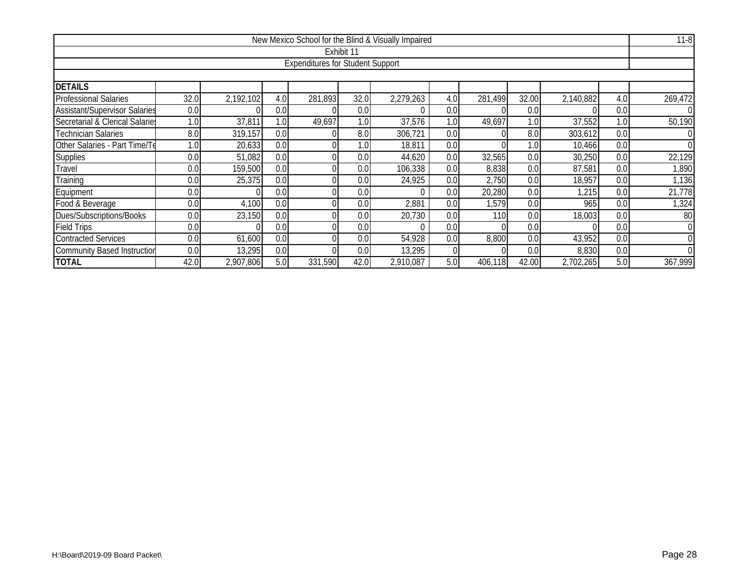| New Mexico School for the Blind & Visually Impaired                                                   |                                                                                                |           |     |                                         |            |           |     |         |       |           |     |          |  |  |
|-------------------------------------------------------------------------------------------------------|------------------------------------------------------------------------------------------------|-----------|-----|-----------------------------------------|------------|-----------|-----|---------|-------|-----------|-----|----------|--|--|
|                                                                                                       |                                                                                                |           |     |                                         | Exhibit 11 |           |     |         |       |           |     |          |  |  |
|                                                                                                       |                                                                                                |           |     | <b>Expenditures for Student Support</b> |            |           |     |         |       |           |     |          |  |  |
|                                                                                                       |                                                                                                |           |     |                                         |            |           |     |         |       |           |     |          |  |  |
| <b>DETAILS</b>                                                                                        |                                                                                                |           |     |                                         |            |           |     |         |       |           |     |          |  |  |
| <b>Professional Salaries</b>                                                                          | 32.0                                                                                           | 2,192,102 | 4.0 | 281,893                                 | 32.0       | 2,279,263 | 4.0 | 281,499 | 32.00 | 2,140,882 | 4.0 | 269,472  |  |  |
| <b>Assistant/Supervisor Salaries</b>                                                                  | 0.0                                                                                            |           | 0.0 |                                         | 0.0        |           | 0.0 |         | 0.0   |           | 0.0 |          |  |  |
| Secretarial & Clerical Salaries                                                                       | 1.0 <sub>1</sub>                                                                               | 37,811    | 1.0 | 49,697                                  | 1.0        | 37,576    | 1.0 | 49,697  | 1.0   | 37,552    | 1.0 | 50,190   |  |  |
| <b>Technician Salaries</b><br>8.0<br>319,157<br>8.0<br>306,721<br>0.0<br>8.0<br>303,612<br>0.0<br>0.0 |                                                                                                |           |     |                                         |            |           |     |         |       |           |     |          |  |  |
| Other Salaries - Part Time/Te                                                                         | 20,633<br>0.0<br>1.0 <sub>1</sub><br>18,811<br>0.0<br>0.0<br>1.0 <sub>1</sub><br>1.0<br>10,466 |           |     |                                         |            |           |     |         |       |           |     |          |  |  |
| Supplies                                                                                              | 51,082<br>30,250<br>0.0<br>0.0<br>0.0<br>0.0<br>44,620<br>0.0<br>32,565<br>0.0                 |           |     |                                         |            |           |     |         |       |           |     |          |  |  |
| Travel                                                                                                | 0.0                                                                                            | 159,500   | 0.0 |                                         | 0.0        | 106,338   | 0.0 | 8,838   | 0.0   | 87,581    | 0.0 | ,890     |  |  |
| Training                                                                                              | 0.0                                                                                            | 25,375    | 0.0 |                                         | 0.0        | 24,925    | 0.0 | 2,750   | 0.0   | 18,957    | 0.0 | 1,136    |  |  |
| Equipment                                                                                             | 0.0                                                                                            |           | 0.0 |                                         | 0.0        |           | 0.0 | 20,280  | 0.0   | 1,215     | 0.0 | 21,778   |  |  |
| Food & Beverage                                                                                       | 0.0                                                                                            | 4,100     | 0.0 |                                         | 0.0        | 2,881     | 0.0 | 1,579   | 0.0   | 965       | 0.0 | 1,324    |  |  |
| Dues/Subscriptions/Books                                                                              | 0.0                                                                                            | 23,150    | 0.0 |                                         | 0.0        | 20,730    | 0.0 | 110     | 0.0   | 18,003    | 0.0 | 80       |  |  |
| <b>Field Trips</b>                                                                                    | 0.0                                                                                            |           | 0.0 |                                         | 0.0        |           | 0.0 |         | 0.0   |           | 0.0 | $\Omega$ |  |  |
| <b>Contracted Services</b>                                                                            | 0.0                                                                                            | 61,600    | 0.0 |                                         | 0.0        | 54,928    | 0.0 | 8,800   | 0.0   | 43,952    | 0.0 |          |  |  |
| 13,295<br><b>Community Based Instruction</b><br>0.0<br>13,295<br>8,830<br>0.0<br>0.0<br>0.0<br>0.0    |                                                                                                |           |     |                                         |            |           |     |         |       |           |     |          |  |  |
| <b>TOTAL</b>                                                                                          | 42.0                                                                                           | 2,907,806 | 5.0 | 331,590                                 | 42.0       | 2,910,087 | 5.0 | 406,118 | 42.00 | 2,702,265 | 5.0 | 367,999  |  |  |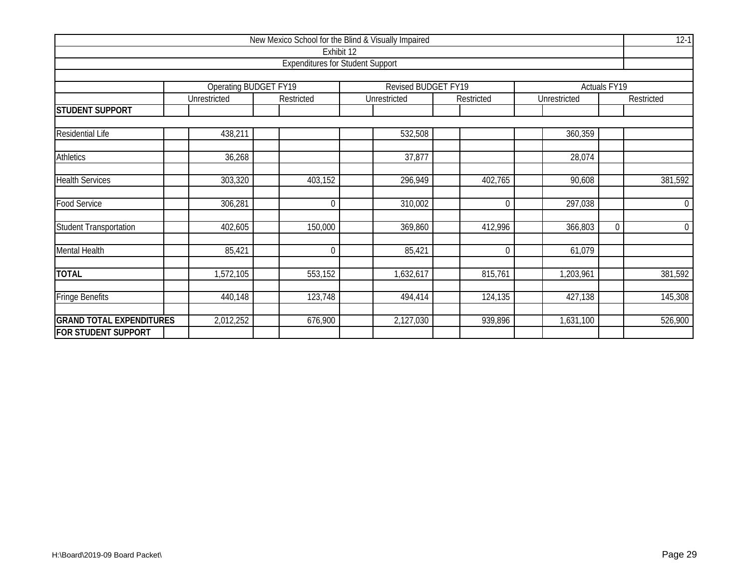| New Mexico School for the Blind & Visually Impaired |                              |             |                                         |                |              |                     |                |  |  |  |  |  |
|-----------------------------------------------------|------------------------------|-------------|-----------------------------------------|----------------|--------------|---------------------|----------------|--|--|--|--|--|
|                                                     |                              |             | Exhibit 12                              |                |              |                     |                |  |  |  |  |  |
|                                                     |                              |             | <b>Expenditures for Student Support</b> |                |              |                     |                |  |  |  |  |  |
|                                                     |                              |             |                                         |                |              |                     |                |  |  |  |  |  |
|                                                     | <b>Operating BUDGET FY19</b> |             | <b>Revised BUDGET FY19</b>              |                |              | <b>Actuals FY19</b> |                |  |  |  |  |  |
|                                                     | Unrestricted                 | Restricted  | Unrestricted                            | Restricted     | Unrestricted |                     | Restricted     |  |  |  |  |  |
| <b>STUDENT SUPPORT</b>                              |                              |             |                                         |                |              |                     |                |  |  |  |  |  |
|                                                     |                              |             |                                         |                |              |                     |                |  |  |  |  |  |
| Residential Life                                    | 438,211                      |             | 532,508                                 |                | 360,359      |                     |                |  |  |  |  |  |
|                                                     |                              |             |                                         |                |              |                     |                |  |  |  |  |  |
| <b>Athletics</b>                                    | 36,268                       |             | 37,877                                  |                | 28,074       |                     |                |  |  |  |  |  |
|                                                     |                              |             |                                         |                |              |                     |                |  |  |  |  |  |
| <b>Health Services</b>                              | 303,320                      | 403,152     | 296,949                                 | 402,765        | 90,608       |                     | 381,592        |  |  |  |  |  |
|                                                     |                              |             |                                         |                |              |                     |                |  |  |  |  |  |
| <b>Food Service</b>                                 | 306,281                      | $\mathbf 0$ | 310,002                                 | $\overline{0}$ | 297,038      |                     | $\overline{0}$ |  |  |  |  |  |
|                                                     |                              |             |                                         |                |              |                     |                |  |  |  |  |  |
| <b>Student Transportation</b>                       | 402,605                      | 150,000     | 369,860                                 | 412,996        | 366,803      | $\mathbf 0$         | $\overline{0}$ |  |  |  |  |  |
| Mental Health                                       | 85,421                       | $\mathbf 0$ | 85,421                                  | $\overline{0}$ | 61,079       |                     |                |  |  |  |  |  |
|                                                     |                              |             |                                         |                |              |                     |                |  |  |  |  |  |
| <b>TOTAL</b>                                        | 1,572,105                    | 553,152     | 1,632,617                               | 815,761        | 1,203,961    |                     | 381,592        |  |  |  |  |  |
|                                                     |                              |             |                                         |                |              |                     |                |  |  |  |  |  |
| <b>Fringe Benefits</b>                              | 440,148                      | 123,748     | 494,414                                 | 124,135        | 427,138      |                     | 145,308        |  |  |  |  |  |
|                                                     |                              |             |                                         |                |              |                     |                |  |  |  |  |  |
| <b>GRAND TOTAL EXPENDITURES</b>                     | 2,012,252                    | 676,900     | 2,127,030                               | 939,896        | 1,631,100    |                     | 526,900        |  |  |  |  |  |
| <b>FOR STUDENT SUPPORT</b>                          |                              |             |                                         |                |              |                     |                |  |  |  |  |  |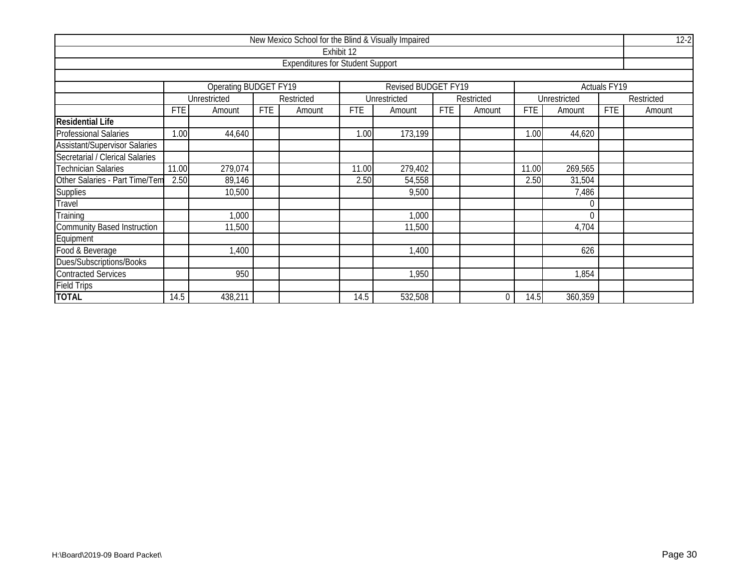| New Mexico School for the Blind & Visually Impaired |                                                          |                              |            |                                         |            |                     |            |            |            |              |                     |            |  |  |  |
|-----------------------------------------------------|----------------------------------------------------------|------------------------------|------------|-----------------------------------------|------------|---------------------|------------|------------|------------|--------------|---------------------|------------|--|--|--|
|                                                     |                                                          |                              |            |                                         | Exhibit 12 |                     |            |            |            |              |                     |            |  |  |  |
|                                                     |                                                          |                              |            | <b>Expenditures for Student Support</b> |            |                     |            |            |            |              |                     |            |  |  |  |
|                                                     |                                                          |                              |            |                                         |            |                     |            |            |            |              |                     |            |  |  |  |
|                                                     |                                                          | <b>Operating BUDGET FY19</b> |            |                                         |            | Revised BUDGET FY19 |            |            |            |              | <b>Actuals FY19</b> |            |  |  |  |
|                                                     |                                                          | Unrestricted                 |            | Restricted                              |            | Unrestricted        |            | Restricted |            | Unrestricted |                     | Restricted |  |  |  |
|                                                     | <b>FTE</b>                                               | Amount                       | <b>FTE</b> | Amount                                  | <b>FTE</b> | Amount              | <b>FTE</b> | Amount     | <b>FTE</b> | Amount       | <b>FTE</b>          | Amount     |  |  |  |
| <b>Residential Life</b>                             |                                                          |                              |            |                                         |            |                     |            |            |            |              |                     |            |  |  |  |
| <b>Professional Salaries</b>                        | 1.00                                                     | 44,640                       |            |                                         | 1.00       | 173,199             |            |            | 1.00       | 44,620       |                     |            |  |  |  |
| <b>Assistant/Supervisor Salaries</b>                |                                                          |                              |            |                                         |            |                     |            |            |            |              |                     |            |  |  |  |
| Secretarial / Clerical Salaries                     |                                                          |                              |            |                                         |            |                     |            |            |            |              |                     |            |  |  |  |
| <b>Technician Salaries</b>                          | 279,074<br>11.00<br>269,565<br>11.00<br>11.00<br>279,402 |                              |            |                                         |            |                     |            |            |            |              |                     |            |  |  |  |
| Other Salaries - Part Time/Tem                      | 2.50                                                     | 89,146                       |            |                                         | 2.50       | 54,558              |            |            | 2.50       | 31,504       |                     |            |  |  |  |
| Supplies                                            |                                                          | 10,500                       |            |                                         |            | 9,500               |            |            |            | 7,486        |                     |            |  |  |  |
| Travel                                              |                                                          |                              |            |                                         |            |                     |            |            |            |              |                     |            |  |  |  |
| Training                                            |                                                          | 1,000                        |            |                                         |            | 1,000               |            |            |            |              |                     |            |  |  |  |
| Community Based Instruction                         |                                                          | 11,500                       |            |                                         |            | 11,500              |            |            |            | 4,704        |                     |            |  |  |  |
| Equipment                                           |                                                          |                              |            |                                         |            |                     |            |            |            |              |                     |            |  |  |  |
| Food & Beverage                                     | 1,400<br>1,400                                           |                              |            |                                         |            |                     |            |            |            | 626          |                     |            |  |  |  |
| Dues/Subscriptions/Books                            |                                                          |                              |            |                                         |            |                     |            |            |            |              |                     |            |  |  |  |
| <b>Contracted Services</b>                          |                                                          | 950                          |            |                                         |            | 1,950               |            |            |            | 1,854        |                     |            |  |  |  |
| <b>Field Trips</b>                                  |                                                          |                              |            |                                         |            |                     |            |            |            |              |                     |            |  |  |  |
| <b>TOTAL</b>                                        | 14.5                                                     | 438,211                      |            |                                         | 14.5       | 532,508             |            | 0          | 14.5       | 360,359      |                     |            |  |  |  |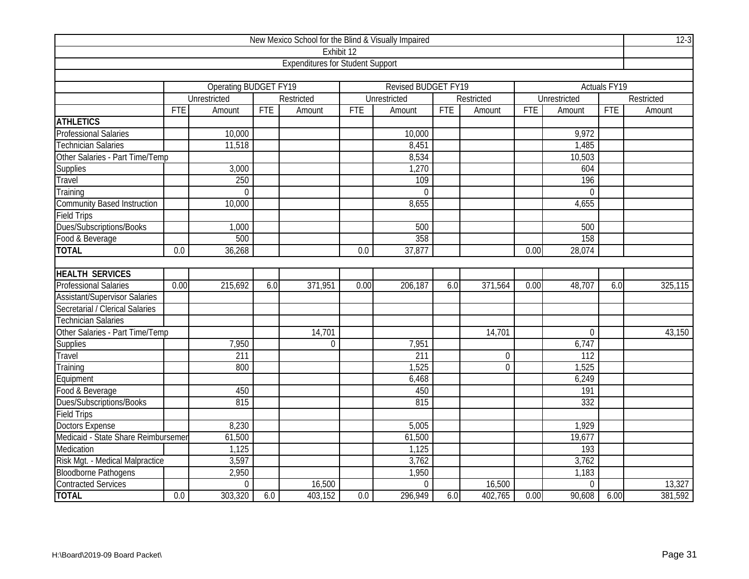| New Mexico School for the Blind & Visually Impaired |            |                              |            |                                         |      |                            |     |             |            |                  |              |            |
|-----------------------------------------------------|------------|------------------------------|------------|-----------------------------------------|------|----------------------------|-----|-------------|------------|------------------|--------------|------------|
|                                                     |            |                              |            | Exhibit 12                              |      |                            |     |             |            |                  |              |            |
|                                                     |            |                              |            | <b>Expenditures for Student Support</b> |      |                            |     |             |            |                  |              |            |
|                                                     |            |                              |            |                                         |      |                            |     |             |            |                  |              |            |
|                                                     |            | <b>Operating BUDGET FY19</b> |            |                                         |      | <b>Revised BUDGET FY19</b> |     |             |            |                  | Actuals FY19 |            |
|                                                     |            | Unrestricted                 |            | Restricted                              |      | Unrestricted               |     | Restricted  |            | Unrestricted     |              | Restricted |
|                                                     | <b>FTE</b> | Amount                       | <b>FTE</b> | Amount                                  | FTE  | Amount                     | FTE | Amount      | <b>FTE</b> | Amount           | <b>FTE</b>   | Amount     |
| <b>ATHLETICS</b>                                    |            |                              |            |                                         |      |                            |     |             |            |                  |              |            |
| <b>Professional Salaries</b>                        |            | 10,000                       |            |                                         |      | 10,000                     |     |             |            | 9,972            |              |            |
| <b>Technician Salaries</b>                          |            | 11,518                       |            |                                         |      | 8,451                      |     |             |            | 1,485            |              |            |
| Other Salaries - Part Time/Temp                     |            |                              |            |                                         |      | 8,534                      |     |             |            | 10,503           |              |            |
| Supplies                                            |            | 3,000                        |            |                                         |      | 1,270                      |     |             |            | 604              |              |            |
| Travel                                              |            | 250                          |            |                                         |      | 109                        |     |             |            | 196              |              |            |
| Training                                            |            | $\Omega$                     |            |                                         |      | $\Omega$                   |     |             |            | $\Omega$         |              |            |
| <b>Community Based Instruction</b>                  |            | 10,000                       |            |                                         |      | 8,655                      |     |             |            | 4,655            |              |            |
| <b>Field Trips</b>                                  |            |                              |            |                                         |      |                            |     |             |            |                  |              |            |
| Dues/Subscriptions/Books                            |            | 1,000                        |            |                                         |      | 500                        |     |             |            | 500              |              |            |
| Food & Beverage                                     |            | 500                          |            |                                         |      | 358                        |     |             |            | 158              |              |            |
| <b>TOTAL</b>                                        | 0.0        | 36,268                       |            |                                         | 0.0  | 37,877                     |     |             | 0.00       | 28,074           |              |            |
|                                                     |            |                              |            |                                         |      |                            |     |             |            |                  |              |            |
| <b>HEALTH SERVICES</b>                              |            |                              |            |                                         |      |                            |     |             |            |                  |              |            |
| <b>Professional Salaries</b>                        | 0.00       | 215,692                      | 6.0        | 371,951                                 | 0.00 | 206,187                    | 6.0 | 371,564     | 0.00       | 48,707           | 6.0          | 325,115    |
| <b>Assistant/Supervisor Salaries</b>                |            |                              |            |                                         |      |                            |     |             |            |                  |              |            |
| Secretarial / Clerical Salaries                     |            |                              |            |                                         |      |                            |     |             |            |                  |              |            |
| <b>Technician Salaries</b>                          |            |                              |            |                                         |      |                            |     |             |            |                  |              |            |
| Other Salaries - Part Time/Temp                     |            |                              |            | 14,701                                  |      |                            |     | 14,701      |            | $\overline{0}$   |              | 43,150     |
| Supplies                                            |            | 7,950                        |            | $\mathbf 0$                             |      | 7,951                      |     |             |            | 6,747            |              |            |
| Travel                                              |            | 211                          |            |                                         |      | $\overline{211}$           |     | $\mathbf 0$ |            | $\overline{112}$ |              |            |
| Training                                            |            | 800                          |            |                                         |      | 1,525                      |     | 0           |            | 1,525            |              |            |
| Equipment                                           |            |                              |            |                                         |      | 6,468                      |     |             |            | 6,249            |              |            |
| Food & Beverage                                     |            | 450                          |            |                                         |      | 450                        |     |             |            | 191              |              |            |
| Dues/Subscriptions/Books                            |            | 815                          |            |                                         |      | 815                        |     |             |            | 332              |              |            |
| Field Trips                                         |            |                              |            |                                         |      |                            |     |             |            |                  |              |            |
| <b>Doctors Expense</b>                              |            | 8,230                        |            |                                         |      | 5,005                      |     |             |            | 1,929            |              |            |
| Medicaid - State Share Reimbursemer                 |            | 61,500                       |            |                                         |      | 61,500                     |     |             |            | 19,677           |              |            |
| Medication                                          |            | 1,125                        |            |                                         |      | 1,125                      |     |             |            | 193              |              |            |
| Risk Mgt. - Medical Malpractice                     | 3,597      |                              |            |                                         |      | 3,762                      |     |             |            | 3,762            |              |            |
| <b>Bloodborne Pathogens</b>                         |            | 2,950                        |            |                                         |      | 1,950                      |     |             |            | 1,183            |              |            |
| Contracted Services                                 |            | $\mathbf 0$                  |            | 16,500                                  |      | $\Omega$                   |     | 16,500      |            | $\overline{0}$   |              | 13,327     |
| <b>TOTAL</b>                                        | 0.0        | 303,320                      | 6.0        | 403,152                                 | 0.0  | 296,949                    | 6.0 | 402,765     | 0.00       | 90,608           | 6.00         | 381,592    |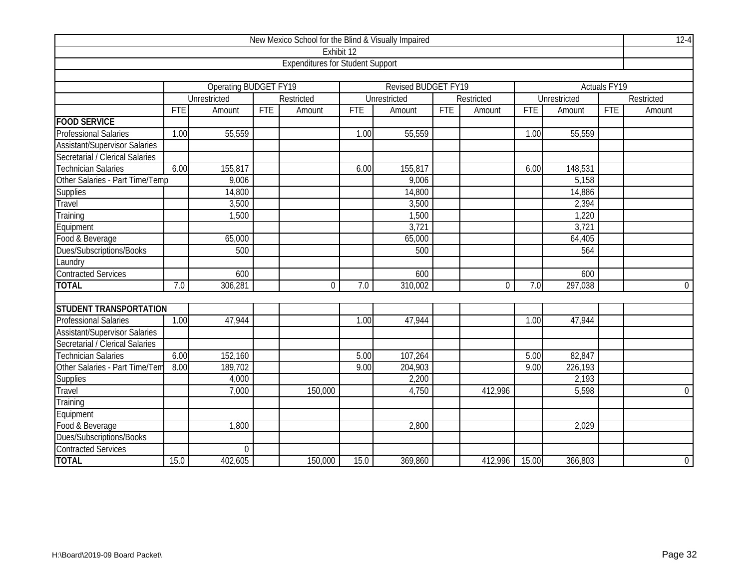| New Mexico School for the Blind & Visually Impaired |            |                              |            |                                         |            |                            |     |            |            |              |                     |                |
|-----------------------------------------------------|------------|------------------------------|------------|-----------------------------------------|------------|----------------------------|-----|------------|------------|--------------|---------------------|----------------|
|                                                     |            |                              |            | Exhibit <sub>12</sub>                   |            |                            |     |            |            |              |                     |                |
|                                                     |            |                              |            | <b>Expenditures for Student Support</b> |            |                            |     |            |            |              |                     |                |
|                                                     |            |                              |            |                                         |            |                            |     |            |            |              |                     |                |
|                                                     |            | <b>Operating BUDGET FY19</b> |            |                                         |            | <b>Revised BUDGET FY19</b> |     |            |            |              | <b>Actuals FY19</b> |                |
|                                                     |            | Unrestricted                 |            | Restricted                              |            | Unrestricted               |     | Restricted |            | Unrestricted |                     | Restricted     |
|                                                     | <b>FTE</b> | Amount                       | <b>FTE</b> | Amount                                  | <b>FTE</b> | Amount                     | FTE | Amount     | <b>FTE</b> | Amount       | <b>FTE</b>          | Amount         |
| <b>FOOD SERVICE</b>                                 |            |                              |            |                                         |            |                            |     |            |            |              |                     |                |
| <b>Professional Salaries</b>                        | 1.00       | 55,559                       |            |                                         | 1.00       | 55,559                     |     |            | 1.00       | 55,559       |                     |                |
| <b>Assistant/Supervisor Salaries</b>                |            |                              |            |                                         |            |                            |     |            |            |              |                     |                |
| Secretarial / Clerical Salaries                     |            |                              |            |                                         |            |                            |     |            |            |              |                     |                |
| <b>Technician Salaries</b>                          | 6.00       | 155,817                      |            |                                         | 6.00       | 155,817                    |     |            | 6.00       | 148,531      |                     |                |
| Other Salaries - Part Time/Temp                     |            | 9,006                        |            |                                         |            | 9,006                      |     |            |            | 5,158        |                     |                |
| Supplies                                            |            | 14,800                       |            |                                         |            | 14,800                     |     |            |            | 14,886       |                     |                |
| Travel                                              |            | 3,500                        |            |                                         |            | 3,500                      |     |            |            | 2,394        |                     |                |
| Training                                            |            | 1,500                        |            |                                         |            | 1,500                      |     |            |            | 1,220        |                     |                |
| Equipment                                           |            |                              |            |                                         |            | 3,721                      |     |            |            | 3,721        |                     |                |
| Food & Beverage                                     |            | 65,000                       |            |                                         |            | 65,000                     |     |            |            | 64,405       |                     |                |
| Dues/Subscriptions/Books                            |            | 500                          |            |                                         |            | 500                        |     |            |            | 564          |                     |                |
| Laundry                                             |            |                              |            |                                         |            |                            |     |            |            |              |                     |                |
| <b>Contracted Services</b>                          |            | 600                          |            |                                         |            | 600                        |     |            |            | 600          |                     |                |
| <b>TOTAL</b>                                        | 7.0        | 306,281                      |            | $\mathbf 0$                             | 7.0        | 310,002                    |     | 0          | 7.0        | 297,038      |                     | $\overline{0}$ |
|                                                     |            |                              |            |                                         |            |                            |     |            |            |              |                     |                |
| <b>STUDENT TRANSPORTATION</b>                       |            |                              |            |                                         |            |                            |     |            |            |              |                     |                |
| <b>Professional Salaries</b>                        | 1.00       | 47,944                       |            |                                         | 1.00       | 47,944                     |     |            | 1.00       | 47,944       |                     |                |
| <b>Assistant/Supervisor Salaries</b>                |            |                              |            |                                         |            |                            |     |            |            |              |                     |                |
| Secretarial / Clerical Salaries                     |            |                              |            |                                         |            |                            |     |            |            |              |                     |                |
| <b>Technician Salaries</b>                          | 6.00       | 152,160                      |            |                                         | 5.00       | 107,264                    |     |            | 5.00       | 82,847       |                     |                |
| Other Salaries - Part Time/Tem                      | 8.00       | 189,702                      |            |                                         | 9.00       | 204,903                    |     |            | 9.00       | 226,193      |                     |                |
| Supplies                                            |            | 4,000                        |            |                                         |            | 2,200                      |     |            |            | 2,193        |                     |                |
| Travel                                              |            | 7,000                        |            | 150,000                                 |            | 4,750                      |     | 412,996    |            | 5,598        |                     | $\overline{0}$ |
| Training                                            |            |                              |            |                                         |            |                            |     |            |            |              |                     |                |
| Equipment                                           |            |                              |            |                                         |            |                            |     |            |            |              |                     |                |
| Food & Beverage                                     |            | 1,800                        |            |                                         |            | 2,800                      |     |            |            | 2,029        |                     |                |
| Dues/Subscriptions/Books                            |            |                              |            |                                         |            |                            |     |            |            |              |                     |                |
| <b>Contracted Services</b>                          |            | $\mathbf 0$                  |            |                                         |            |                            |     |            |            |              |                     |                |
| <b>TOTAL</b>                                        | 15.0       | 402,605                      |            | 150,000                                 | 15.0       | 369,860                    |     | 412,996    | 15.00      | 366,803      |                     | $\overline{0}$ |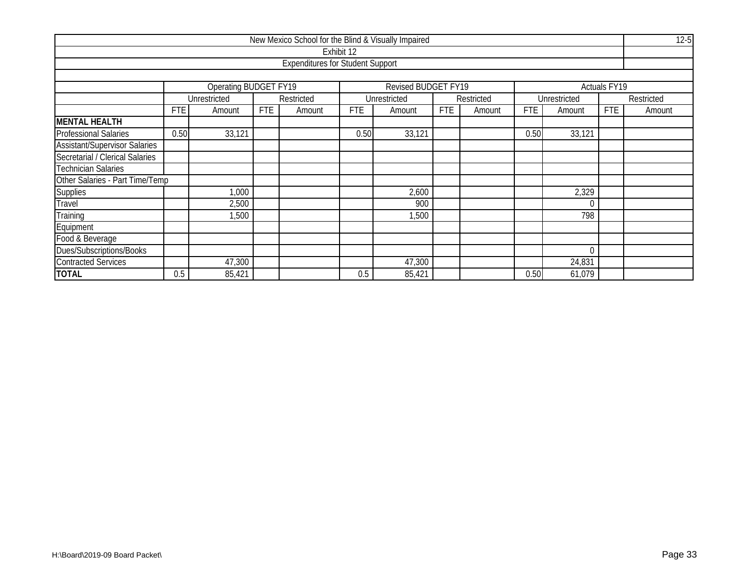| New Mexico School for the Blind & Visually Impaired |            |                       |            |                                         |            |                     |            |            |            |              |                          |            |  |
|-----------------------------------------------------|------------|-----------------------|------------|-----------------------------------------|------------|---------------------|------------|------------|------------|--------------|--------------------------|------------|--|
|                                                     |            |                       |            |                                         | Exhibit 12 |                     |            |            |            |              |                          |            |  |
|                                                     |            |                       |            | <b>Expenditures for Student Support</b> |            |                     |            |            |            |              |                          |            |  |
|                                                     |            |                       |            |                                         |            |                     |            |            |            |              |                          |            |  |
|                                                     |            | Operating BUDGET FY19 |            |                                         |            | Revised BUDGET FY19 |            |            |            |              | Actuals FY <sub>19</sub> |            |  |
|                                                     |            | Unrestricted          |            | Restricted                              |            | Unrestricted        |            | Restricted |            | Unrestricted |                          | Restricted |  |
|                                                     | <b>FTE</b> | Amount                | <b>FTE</b> | Amount                                  | FTE        | Amount              | <b>FTE</b> | Amount     | <b>FTE</b> | Amount       | <b>FTE</b>               | Amount     |  |
| <b>MENTAL HEALTH</b>                                |            |                       |            |                                         |            |                     |            |            |            |              |                          |            |  |
| <b>Professional Salaries</b>                        | 0.50       | 33,121                |            |                                         | 0.50       | 33,121              |            |            | 0.50       | 33,121       |                          |            |  |
| <b>Assistant/Supervisor Salaries</b>                |            |                       |            |                                         |            |                     |            |            |            |              |                          |            |  |
| Secretarial / Clerical Salaries                     |            |                       |            |                                         |            |                     |            |            |            |              |                          |            |  |
| <b>Technician Salaries</b>                          |            |                       |            |                                         |            |                     |            |            |            |              |                          |            |  |
| Other Salaries - Part Time/Temp                     |            |                       |            |                                         |            |                     |            |            |            |              |                          |            |  |
| Supplies                                            |            | 1,000                 |            |                                         |            | 2,600               |            |            |            | 2,329        |                          |            |  |
| Travel                                              |            | 2,500                 |            |                                         |            | 900                 |            |            |            |              |                          |            |  |
| Training                                            |            | 1,500                 |            |                                         |            | 1,500               |            |            |            | 798          |                          |            |  |
| Equipment                                           |            |                       |            |                                         |            |                     |            |            |            |              |                          |            |  |
| Food & Beverage                                     |            |                       |            |                                         |            |                     |            |            |            |              |                          |            |  |
| Dues/Subscriptions/Books                            |            |                       |            |                                         |            |                     |            |            |            |              |                          |            |  |
| <b>Contracted Services</b>                          |            | 47,300                |            |                                         |            | 47,300              |            |            |            | 24,831       |                          |            |  |
| <b>TOTAL</b>                                        | 0.5        | 85,421                |            |                                         | 0.5        | 85,421              |            |            | 0.50       | 61,079       |                          |            |  |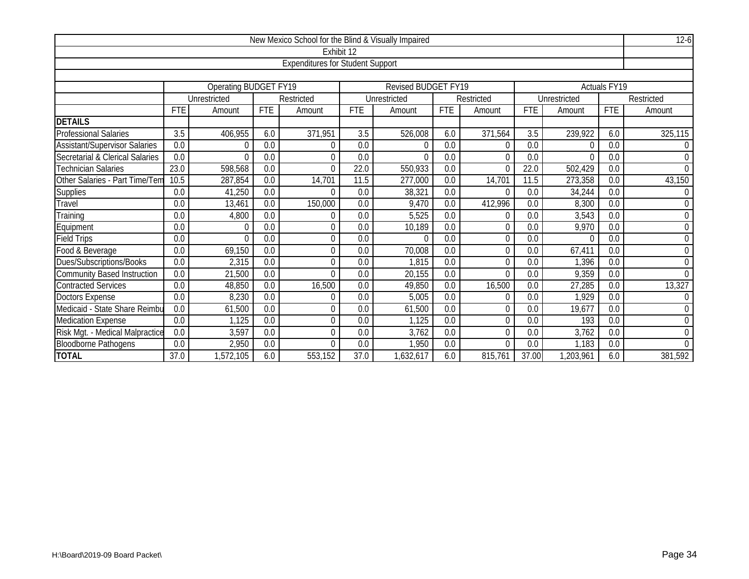| New Mexico School for the Blind & Visually Impaired |                  |                       |                  |                                         |                   |                            |            |            |            |              |                  |                  |  |
|-----------------------------------------------------|------------------|-----------------------|------------------|-----------------------------------------|-------------------|----------------------------|------------|------------|------------|--------------|------------------|------------------|--|
|                                                     |                  |                       |                  |                                         | Exhibit 12        |                            |            |            |            |              |                  |                  |  |
|                                                     |                  |                       |                  | <b>Expenditures for Student Support</b> |                   |                            |            |            |            |              |                  |                  |  |
|                                                     |                  |                       |                  |                                         |                   |                            |            |            |            |              |                  |                  |  |
|                                                     |                  | Operating BUDGET FY19 |                  |                                         |                   | <b>Revised BUDGET FY19</b> |            |            |            |              | Actuals FY19     |                  |  |
|                                                     |                  | Unrestricted          |                  | Restricted                              |                   | Unrestricted               |            | Restricted |            | Unrestricted |                  | Restricted       |  |
|                                                     | <b>FTE</b>       | Amount                | <b>FTE</b>       | Amount                                  | <b>FTE</b>        | Amount                     | <b>FTE</b> | Amount     | <b>FTE</b> | Amount       | <b>FTE</b>       | Amount           |  |
| <b>DETAILS</b>                                      |                  |                       |                  |                                         |                   |                            |            |            |            |              |                  |                  |  |
| <b>Professional Salaries</b>                        | 3.5              | 406,955               | 6.0              | 371,951                                 | 3.5               | 526,008                    | 6.0        | 371,564    | 3.5        | 239,922      | 6.0              | 325,115          |  |
| <b>Assistant/Supervisor Salaries</b>                | 0.0              | 0                     | 0.0              | $\Omega$                                | 0.0               | $\Omega$                   | 0.0        | O          | 0.0        |              | 0.0              | $\overline{0}$   |  |
| Secretarial & Clerical Salaries                     | 0.0              | $\Omega$              | 0.0              | 0                                       | 0.0               | $\Omega$                   | 0.0        | $\Omega$   | 0.0        |              | 0.0              | 0                |  |
| <b>Technician Salaries</b>                          | 23.0             | 598,568               | 0.0              | $\Omega$                                | 22.0              | 550,933                    | 0.0        | $\Omega$   | 22.0       | 502,429      | 0.0              | $\overline{0}$   |  |
| Other Salaries - Part Time/Tem                      | 10.5             | 287,854               | 0.0              | 14,701                                  | 11.5              | 277,000                    | 0.0        | 14,701     | 11.5       | 273,358      | 0.0              | 43,150           |  |
| Supplies                                            | 0.0              | 41,250                | 0.0              | $\Omega$                                | 0.0               | 38,321                     | 0.0        |            | 0.0        | 34,244       | 0.0              | $\boldsymbol{0}$ |  |
| Travel                                              | 0.0              | 13,461                | 0.0              | 150,000                                 | 0.0               | 9,470                      | 0.0        | 412,996    | 0.0        | 8,300        | 0.0              | $\mathbf 0$      |  |
| Training                                            | 0.0              | 4,800                 | 0.0              | 0                                       | 0.0               | 5,525                      | 0.0        | N          | 0.0        | 3,543        | 0.0              | $\mathbf 0$      |  |
| Equipment                                           | 0.0              | $\Omega$              | 0.0              | 0                                       | 0.0               | 10,189                     | 0.0        | $\Omega$   | 0.0        | 9,970        | $\overline{0.0}$ | $\boldsymbol{0}$ |  |
| <b>Field Trips</b>                                  | 0.0              | $\Omega$              | 0.0              | $\overline{0}$                          | 0.0               | $\Omega$                   | 0.0        | $\Omega$   | 0.0        | $\cap$       | 0.0              | $\boldsymbol{0}$ |  |
| Food & Beverage                                     | 0.0              | 69,150                | 0.0              | $\Omega$                                | 0.0               | 70,008                     | 0.0        | O          | 0.0        | 67,411       | 0.0              | $\mathbf 0$      |  |
| Dues/Subscriptions/Books                            | 0.0              | 2,315                 | 0.0              | 0                                       | 0.0               | 1,815                      | 0.0        | 0          | 0.0        | 1,396        | 0.0              | $\boldsymbol{0}$ |  |
| <b>Community Based Instruction</b>                  | 0.0              | 21,500                | 0.0              | $\Omega$                                | 0.0               | 20,155                     | 0.0        | $\Omega$   | 0.0        | 9,359        | 0.0              | $\overline{0}$   |  |
| <b>Contracted Services</b>                          | 0.0              | 48,850                | 0.0              | 16,500                                  | 0.0               | 49,850                     | 0.0        | 16,500     | 0.0        | 27,285       | 0.0              | 13,327           |  |
| <b>Doctors Expense</b>                              | 0.0              | 8,230                 | 0.0              | $\Omega$                                | 0.0               | 5,005                      | 0.0        | $\Omega$   | 0.0        | 1,929        | 0.0              | 0                |  |
| Medicaid - State Share Reimbu                       | 0.0              | 61,500                | 0.0              | 0                                       | 0.0               | 61,500                     | 0.0        | $\Omega$   | 0.0        | 19,677       | 0.0              | $\boldsymbol{0}$ |  |
| <b>Medication Expense</b>                           | $\overline{0.0}$ | 1,125                 | $\overline{0.0}$ | 0                                       | $\overline{0.0}$  | 1,125                      | 0.0        | 0          | 0.0        | 193          | $\overline{0.0}$ | 0                |  |
| Risk Mgt. - Medical Malpractice                     | 0.0              | 3,597                 | 0.0              | $\Omega$                                | 0.0               | 3,762                      | 0.0        | $\Omega$   | 0.0        | 3,762        | 0.0              | $\mathbf 0$      |  |
| <b>Bloodborne Pathogens</b>                         | 0.0              | 2,950                 | 0.0              | $\Omega$                                | 0.0               | 1,950                      | 0.0        | O          | 0.0        | 1,183        | $\overline{0.0}$ | $\overline{0}$   |  |
| <b>TOTAL</b>                                        | 37.0             | 1,572,105             | 6.0              | 553,152                                 | $\overline{37.0}$ | 1,632,617                  | 6.0        | 815,761    | 37.00      | 1,203,961    | 6.0              | 381,592          |  |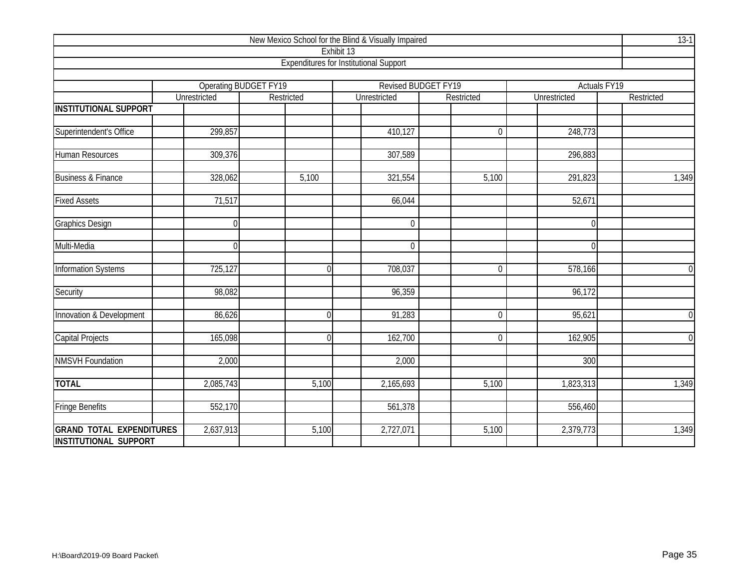| New Mexico School for the Blind & Visually Impaired             |                              |                |                                               |                     |                     |                     |  |  |  |  |  |  |
|-----------------------------------------------------------------|------------------------------|----------------|-----------------------------------------------|---------------------|---------------------|---------------------|--|--|--|--|--|--|
|                                                                 |                              |                | Exhibit 13                                    |                     |                     |                     |  |  |  |  |  |  |
|                                                                 |                              |                | <b>Expenditures for Institutional Support</b> |                     |                     |                     |  |  |  |  |  |  |
|                                                                 | <b>Operating BUDGET FY19</b> |                |                                               | Revised BUDGET FY19 |                     | <b>Actuals FY19</b> |  |  |  |  |  |  |
|                                                                 | Unrestricted                 | Restricted     | Unrestricted                                  | Restricted          | Unrestricted        | Restricted          |  |  |  |  |  |  |
| <b>INSTITUTIONAL SUPPORT</b>                                    |                              |                |                                               |                     |                     |                     |  |  |  |  |  |  |
|                                                                 |                              |                |                                               |                     |                     |                     |  |  |  |  |  |  |
| Superintendent's Office                                         | 299,857                      |                | 410,127                                       | $\overline{0}$      | 248,773             |                     |  |  |  |  |  |  |
| <b>Human Resources</b>                                          | 309,376                      |                | 307,589                                       |                     | 296,883             |                     |  |  |  |  |  |  |
| <b>Business &amp; Finance</b>                                   | 328,062                      | 5,100          | 321,554                                       | 5,100               | 291,823             | 1,349               |  |  |  |  |  |  |
| <b>Fixed Assets</b>                                             | 71,517                       |                | 66,044                                        |                     | $\overline{52,671}$ |                     |  |  |  |  |  |  |
| <b>Graphics Design</b>                                          | $\Omega$                     |                | $\Omega$                                      |                     | $\Omega$            |                     |  |  |  |  |  |  |
| Multi-Media                                                     | $\Omega$                     |                | $\mathbf 0$                                   |                     | $\Omega$            |                     |  |  |  |  |  |  |
| <b>Information Systems</b>                                      | 725,127                      | $\overline{0}$ | 708,037                                       | $\overline{0}$      | 578,166             | $\overline{0}$      |  |  |  |  |  |  |
| Security                                                        | 98,082                       |                | 96,359                                        |                     | 96,172              |                     |  |  |  |  |  |  |
| Innovation & Development                                        | 86,626                       | $\overline{0}$ | 91,283                                        | $\overline{0}$      | 95,621              | $\overline{0}$      |  |  |  |  |  |  |
| <b>Capital Projects</b>                                         | 165,098                      | $\overline{0}$ | 162,700                                       | $\overline{0}$      | 162,905             | $\overline{0}$      |  |  |  |  |  |  |
| <b>NMSVH Foundation</b>                                         | 2,000                        |                | 2,000                                         |                     | 300                 |                     |  |  |  |  |  |  |
| <b>TOTAL</b>                                                    | 2,085,743                    | 5,100          | 2,165,693                                     | 5,100               | 1,823,313           | 1,349               |  |  |  |  |  |  |
| <b>Fringe Benefits</b>                                          | 552,170                      |                | 561,378                                       |                     | 556,460             |                     |  |  |  |  |  |  |
| <b>GRAND TOTAL EXPENDITURES</b><br><b>INSTITUTIONAL SUPPORT</b> | 2,637,913                    | 5,100          | 2,727,071                                     | 5,100               | 2,379,773           | 1,349               |  |  |  |  |  |  |
|                                                                 |                              |                |                                               |                     |                     |                     |  |  |  |  |  |  |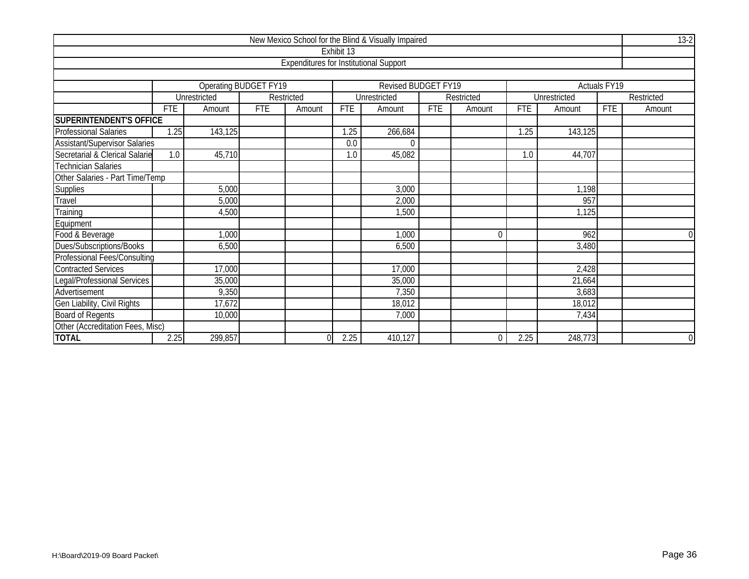| New Mexico School for the Blind & Visually Impaired |            |                       |            |                                               |            |                     |            |                |            |              |              |                |  |
|-----------------------------------------------------|------------|-----------------------|------------|-----------------------------------------------|------------|---------------------|------------|----------------|------------|--------------|--------------|----------------|--|
|                                                     |            |                       |            |                                               | Exhibit 13 |                     |            |                |            |              |              |                |  |
|                                                     |            |                       |            | <b>Expenditures for Institutional Support</b> |            |                     |            |                |            |              |              |                |  |
|                                                     |            |                       |            |                                               |            |                     |            |                |            |              |              |                |  |
|                                                     |            | Operating BUDGET FY19 |            |                                               |            | Revised BUDGET FY19 |            |                |            |              | Actuals FY19 |                |  |
|                                                     |            | Unrestricted          |            | Restricted                                    |            | Unrestricted        |            | Restricted     |            | Unrestricted |              | Restricted     |  |
|                                                     | <b>FTE</b> | Amount                | <b>FTE</b> | Amount                                        | <b>FTE</b> | Amount              | <b>FTE</b> | Amount         | <b>FTE</b> | Amount       | <b>FTE</b>   | Amount         |  |
| <b>SUPERINTENDENT'S OFFICE</b>                      |            |                       |            |                                               |            |                     |            |                |            |              |              |                |  |
| <b>Professional Salaries</b>                        | 1.25       | 143,125               |            |                                               | 1.25       | 266,684             |            |                | 1.25       | 143,125      |              |                |  |
| Assistant/Supervisor Salaries                       |            |                       |            |                                               | 0.0        | 0                   |            |                |            |              |              |                |  |
| Secretarial & Clerical Salarie                      | 1.0        | 45,710                |            |                                               | 1.0        | 45,082              |            |                | 1.0        | 44,707       |              |                |  |
| <b>Technician Salaries</b>                          |            |                       |            |                                               |            |                     |            |                |            |              |              |                |  |
| Other Salaries - Part Time/Temp                     |            |                       |            |                                               |            |                     |            |                |            |              |              |                |  |
| Supplies                                            |            | 5,000                 |            |                                               |            | 3,000               |            |                |            | 1,198        |              |                |  |
| $Tr$ avel                                           |            | 5,000                 |            |                                               |            | 2,000               |            |                |            | 957          |              |                |  |
| Training                                            |            | 4,500                 |            |                                               |            | 1,500               |            |                |            | 1,125        |              |                |  |
| Equipment                                           |            |                       |            |                                               |            |                     |            |                |            |              |              |                |  |
| Food & Beverage                                     |            | 1,000                 |            |                                               |            | 1,000               |            | $\overline{0}$ |            | 962          |              | $\Omega$       |  |
| Dues/Subscriptions/Books                            |            | 6,500                 |            |                                               |            | 6,500               |            |                |            | 3,480        |              |                |  |
| <b>Professional Fees/Consulting</b>                 |            |                       |            |                                               |            |                     |            |                |            |              |              |                |  |
| <b>Contracted Services</b>                          |            | 17,000                |            |                                               |            | 17,000              |            |                |            | 2,428        |              |                |  |
| Legal/Professional Services                         |            | 35,000                |            |                                               |            | 35,000              |            |                |            | 21,664       |              |                |  |
| Advertisement                                       |            | 9,350                 |            |                                               |            | 7,350               |            |                |            | 3,683        |              |                |  |
| Gen Liability, Civil Rights                         |            | 17,672                |            |                                               |            | 18,012              |            |                |            | 18,012       |              |                |  |
| <b>Board of Regents</b>                             |            | 10,000                |            |                                               |            | 7,000               |            |                |            | 7,434        |              |                |  |
| Other (Accreditation Fees, Misc)                    |            |                       |            |                                               |            |                     |            |                |            |              |              |                |  |
| <b>TOTAL</b>                                        | 2.25       | 299,857               |            | $\Omega$                                      | 2.25       | 410,127             |            | $\Omega$       | 2.25       | 248,773      |              | $\overline{0}$ |  |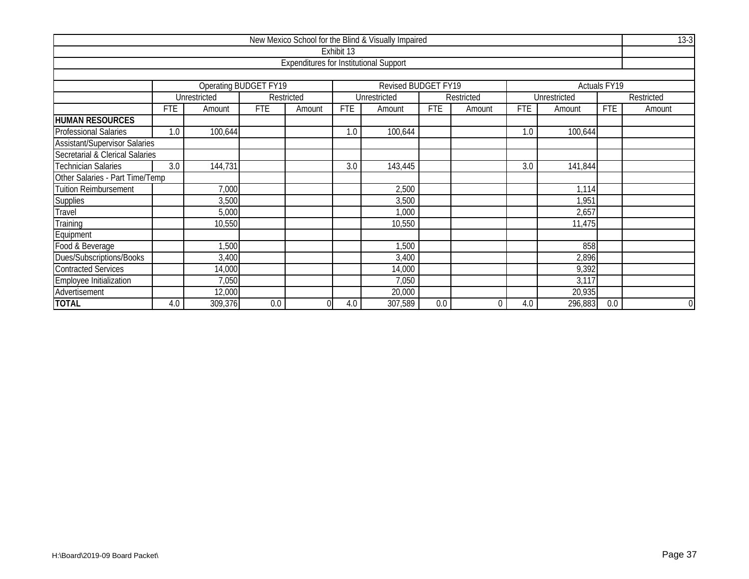|                                      |                                                                     |                                             |            |                                               |            | New Mexico School for the Blind & Visually Impaired |            |                |            |              |            | $13-3$     |  |  |  |
|--------------------------------------|---------------------------------------------------------------------|---------------------------------------------|------------|-----------------------------------------------|------------|-----------------------------------------------------|------------|----------------|------------|--------------|------------|------------|--|--|--|
|                                      |                                                                     |                                             |            |                                               | Exhibit 13 |                                                     |            |                |            |              |            |            |  |  |  |
|                                      |                                                                     |                                             |            | <b>Expenditures for Institutional Support</b> |            |                                                     |            |                |            |              |            |            |  |  |  |
|                                      |                                                                     |                                             |            |                                               |            |                                                     |            |                |            |              |            |            |  |  |  |
|                                      | <b>Operating BUDGET FY19</b><br>Revised BUDGET FY19<br>Actuals FY19 |                                             |            |                                               |            |                                                     |            |                |            |              |            |            |  |  |  |
|                                      |                                                                     | Unrestricted                                |            | Restricted                                    |            | Unrestricted                                        |            | Restricted     |            | Unrestricted |            | Restricted |  |  |  |
|                                      | <b>FTE</b>                                                          | Amount                                      | <b>FTE</b> | Amount                                        | <b>FTE</b> | Amount                                              | <b>FTE</b> | Amount         | <b>FTE</b> | Amount       | <b>FTE</b> | Amount     |  |  |  |
| <b>HUMAN RESOURCES</b>               |                                                                     |                                             |            |                                               |            |                                                     |            |                |            |              |            |            |  |  |  |
| <b>Professional Salaries</b>         | 1.0                                                                 | 100,644                                     |            |                                               | 1.0        | 100,644                                             |            |                | 1.0        | 100,644      |            |            |  |  |  |
| <b>Assistant/Supervisor Salaries</b> |                                                                     |                                             |            |                                               |            |                                                     |            |                |            |              |            |            |  |  |  |
| Secretarial & Clerical Salaries      |                                                                     |                                             |            |                                               |            |                                                     |            |                |            |              |            |            |  |  |  |
| <b>Technician Salaries</b>           | 3.0                                                                 | 144,731<br>3.0<br>143,445<br>3.0<br>141,844 |            |                                               |            |                                                     |            |                |            |              |            |            |  |  |  |
| Other Salaries - Part Time/Temp      |                                                                     |                                             |            |                                               |            |                                                     |            |                |            |              |            |            |  |  |  |
| <b>Tuition Reimbursement</b>         |                                                                     | 7,000                                       |            |                                               |            | 2,500                                               |            |                |            | 1,114        |            |            |  |  |  |
| Supplies                             |                                                                     | 3,500                                       |            |                                               |            | 3,500                                               |            |                |            | 1,951        |            |            |  |  |  |
| Travel                               |                                                                     | 5,000                                       |            |                                               |            | 1,000                                               |            |                |            | 2,657        |            |            |  |  |  |
| Training                             |                                                                     | 10,550                                      |            |                                               |            | 10,550                                              |            |                |            | 11,475       |            |            |  |  |  |
| Equipment                            |                                                                     |                                             |            |                                               |            |                                                     |            |                |            |              |            |            |  |  |  |
| Food & Beverage                      |                                                                     | 1,500                                       |            |                                               |            | 1,500                                               |            |                |            | 858          |            |            |  |  |  |
| Dues/Subscriptions/Books             |                                                                     | 3,400                                       |            |                                               |            | 3,400                                               |            |                |            | 2,896        |            |            |  |  |  |
| Contracted Services                  |                                                                     | 14,000                                      |            |                                               |            | 14,000                                              |            |                |            | 9,392        |            |            |  |  |  |
| Employee Initialization              |                                                                     | 7,050                                       |            |                                               |            | 7,050                                               |            |                |            | 3,117        |            |            |  |  |  |
| Advertisement                        |                                                                     | 12,000                                      |            |                                               |            | 20,000                                              |            |                |            | 20,935       |            |            |  |  |  |
| <b>TOTAL</b>                         | 4.0                                                                 | 309,376                                     | 0.0        | $\Omega$                                      | 4.0        | 307,589                                             | 0.0        | $\overline{0}$ | 4.0        | 296,883      | 0.0        | $\Omega$   |  |  |  |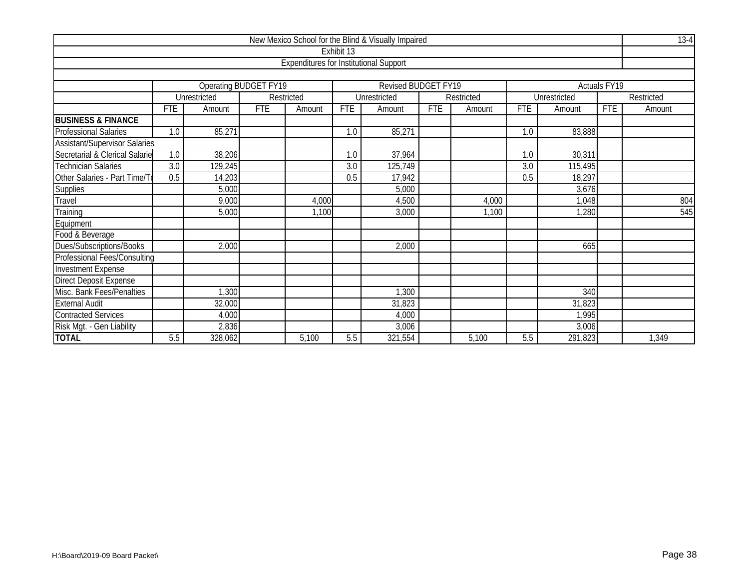|                                      |                  |                                          |            |                                               |            | New Mexico School for the Blind & Visually Impaired |            |            |            |              |                          | $13-4$     |  |
|--------------------------------------|------------------|------------------------------------------|------------|-----------------------------------------------|------------|-----------------------------------------------------|------------|------------|------------|--------------|--------------------------|------------|--|
|                                      |                  |                                          |            |                                               | Exhibit 13 |                                                     |            |            |            |              |                          |            |  |
|                                      |                  |                                          |            | <b>Expenditures for Institutional Support</b> |            |                                                     |            |            |            |              |                          |            |  |
|                                      |                  |                                          |            |                                               |            |                                                     |            |            |            |              |                          |            |  |
|                                      |                  | Operating BUDGET FY19                    |            |                                               |            | Revised BUDGET FY19                                 |            |            |            |              | Actuals FY <sub>19</sub> |            |  |
|                                      |                  | Unrestricted                             |            | Restricted                                    |            | Unrestricted                                        |            | Restricted |            | Unrestricted |                          | Restricted |  |
|                                      | <b>FTE</b>       | Amount                                   | <b>FTE</b> | Amount                                        | <b>FTE</b> | Amount                                              | <b>FTE</b> | Amount     | <b>FTE</b> | Amount       | <b>FTE</b>               | Amount     |  |
| <b>BUSINESS &amp; FINANCE</b>        |                  |                                          |            |                                               |            |                                                     |            |            |            |              |                          |            |  |
| <b>Professional Salaries</b>         | 1.0              | 85,271                                   |            |                                               | 1.0        | 85,271                                              |            |            | 1.0        | 83,888       |                          |            |  |
| <b>Assistant/Supervisor Salaries</b> |                  |                                          |            |                                               |            |                                                     |            |            |            |              |                          |            |  |
| Secretarial & Clerical Salarie       | $\overline{1.0}$ | 38,206                                   |            |                                               | 1.0        | 37,964                                              |            |            | 1.0        | 30,311       |                          |            |  |
| <b>Technician Salaries</b>           | 3.0              | 129,245                                  |            |                                               | 3.0        | 125,749                                             |            |            | 3.0        | 115,495      |                          |            |  |
| Other Salaries - Part Time/To        | 0.5              | 14,203<br>17,942<br>0.5<br>0.5<br>18,297 |            |                                               |            |                                                     |            |            |            |              |                          |            |  |
| Supplies                             |                  | 5,000<br>5,000<br>3,676                  |            |                                               |            |                                                     |            |            |            |              |                          |            |  |
| Travel                               |                  | 9,000                                    |            | 4,000                                         |            | 4,500                                               |            | 4,000      |            | 1,048        |                          | 804        |  |
| Training                             |                  | 5,000                                    |            | 1,100                                         |            | 3,000                                               |            | 1,100      |            | 1,280        |                          | 545        |  |
| Equipment                            |                  |                                          |            |                                               |            |                                                     |            |            |            |              |                          |            |  |
| Food & Beverage                      |                  |                                          |            |                                               |            |                                                     |            |            |            |              |                          |            |  |
| Dues/Subscriptions/Books             |                  | 2,000                                    |            |                                               |            | 2,000                                               |            |            |            | 665          |                          |            |  |
| <b>Professional Fees/Consulting</b>  |                  |                                          |            |                                               |            |                                                     |            |            |            |              |                          |            |  |
| <b>Investment Expense</b>            |                  |                                          |            |                                               |            |                                                     |            |            |            |              |                          |            |  |
| <b>Direct Deposit Expense</b>        |                  |                                          |            |                                               |            |                                                     |            |            |            |              |                          |            |  |
| Misc. Bank Fees/Penalties            |                  | , 300                                    |            |                                               |            | 1,300                                               |            |            |            | 340          |                          |            |  |
| <b>External Audit</b>                |                  | 32,000                                   |            |                                               |            | 31,823                                              |            |            |            | 31,823       |                          |            |  |
| <b>Contracted Services</b>           |                  | 4,000                                    |            |                                               |            | 4,000                                               |            |            |            | 1,995        |                          |            |  |
| Risk Mgt. - Gen Liability            |                  | 2,836                                    |            |                                               |            | 3,006                                               |            |            |            | 3,006        |                          |            |  |
| <b>TOTAL</b>                         | 5.5              | 328,062                                  |            | 5,100                                         | 5.5        | 321,554                                             |            | 5,100      | 5.5        | 291,823      |                          | 1,349      |  |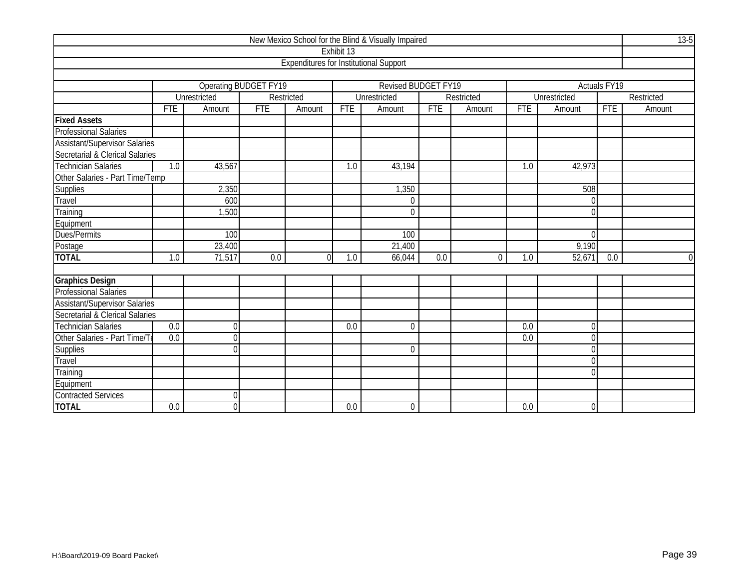|                                      |                  |                              |                  |                                               |                  | New Mexico School for the Blind & Visually Impaired |            |            |            |                |              | $13-5$     |
|--------------------------------------|------------------|------------------------------|------------------|-----------------------------------------------|------------------|-----------------------------------------------------|------------|------------|------------|----------------|--------------|------------|
|                                      |                  |                              |                  |                                               | Exhibit 13       |                                                     |            |            |            |                |              |            |
|                                      |                  |                              |                  | <b>Expenditures for Institutional Support</b> |                  |                                                     |            |            |            |                |              |            |
|                                      |                  |                              |                  |                                               |                  |                                                     |            |            |            |                |              |            |
|                                      |                  | <b>Operating BUDGET FY19</b> |                  |                                               |                  | Revised BUDGET FY19                                 |            |            |            |                | Actuals FY19 |            |
|                                      |                  | Unrestricted                 |                  | Restricted                                    |                  | Unrestricted                                        |            | Restricted |            | Unrestricted   |              | Restricted |
|                                      | <b>FTE</b>       | Amount                       | <b>FTE</b>       | Amount                                        | <b>FTE</b>       | Amount                                              | <b>FTE</b> | Amount     | <b>FTE</b> | Amount         | <b>FTE</b>   | Amount     |
| <b>Fixed Assets</b>                  |                  |                              |                  |                                               |                  |                                                     |            |            |            |                |              |            |
| <b>Professional Salaries</b>         |                  |                              |                  |                                               |                  |                                                     |            |            |            |                |              |            |
| <b>Assistant/Supervisor Salaries</b> |                  |                              |                  |                                               |                  |                                                     |            |            |            |                |              |            |
| Secretarial & Clerical Salaries      |                  |                              |                  |                                               |                  |                                                     |            |            |            |                |              |            |
| Technician Salaries                  | 1.0              | 43,567                       |                  |                                               | 1.0              | 43,194                                              |            |            | 1.0        | 42,973         |              |            |
| Other Salaries - Part Time/Temp      |                  |                              |                  |                                               |                  |                                                     |            |            |            |                |              |            |
|                                      |                  | 2,350                        |                  |                                               |                  | 1,350                                               |            |            |            | 508            |              |            |
| Supplies<br>Travel                   |                  | 600                          |                  |                                               |                  | 0                                                   |            |            |            | ΩI             |              |            |
| Training                             |                  | 1,500                        |                  |                                               |                  | $\theta$                                            |            |            |            | በ              |              |            |
| Equipment                            |                  |                              |                  |                                               |                  |                                                     |            |            |            |                |              |            |
| Dues/Permits                         |                  | 100                          |                  |                                               |                  | 100                                                 |            |            |            | $\Omega$       |              |            |
| Postage                              |                  | 23,400                       |                  |                                               |                  | 21,400                                              |            |            |            | 9,190          |              |            |
| <b>TOTAL</b>                         | 1.0              | 71,517                       | $\overline{0.0}$ | $\Omega$                                      | 1.0              | 66,044                                              | 0.0        | $\Omega$   | 1.0        | 52,671         | 0.0          | $\Omega$   |
|                                      |                  |                              |                  |                                               |                  |                                                     |            |            |            |                |              |            |
| <b>Graphics Design</b>               |                  |                              |                  |                                               |                  |                                                     |            |            |            |                |              |            |
| Professional Salaries                |                  |                              |                  |                                               |                  |                                                     |            |            |            |                |              |            |
| <b>Assistant/Supervisor Salaries</b> |                  |                              |                  |                                               |                  |                                                     |            |            |            |                |              |            |
| Secretarial & Clerical Salaries      |                  |                              |                  |                                               |                  |                                                     |            |            |            |                |              |            |
| Technician Salaries                  | $\overline{0.0}$ | $\theta$                     |                  |                                               | 0.0              | $\Omega$                                            |            |            | 0.0        | 0l             |              |            |
| Other Salaries - Part Time/To        | 0.0              | $\Omega$                     |                  |                                               |                  |                                                     |            |            | 0.0        | U              |              |            |
| <b>Supplies</b>                      |                  | $\Omega$                     |                  |                                               |                  | $\Omega$                                            |            |            |            | U              |              |            |
| <b>Travel</b>                        |                  |                              |                  |                                               |                  |                                                     |            |            |            | 0              |              |            |
| Training                             |                  |                              |                  |                                               |                  |                                                     |            |            |            | U              |              |            |
| Equipment                            |                  |                              |                  |                                               |                  |                                                     |            |            |            |                |              |            |
| <b>Contracted Services</b>           |                  | $\Omega$                     |                  |                                               |                  |                                                     |            |            |            |                |              |            |
| <b>TOTAL</b>                         | 0.0              | $\Omega$                     |                  |                                               | $\overline{0.0}$ | $\boldsymbol{0}$                                    |            |            | 0.0        | $\overline{0}$ |              |            |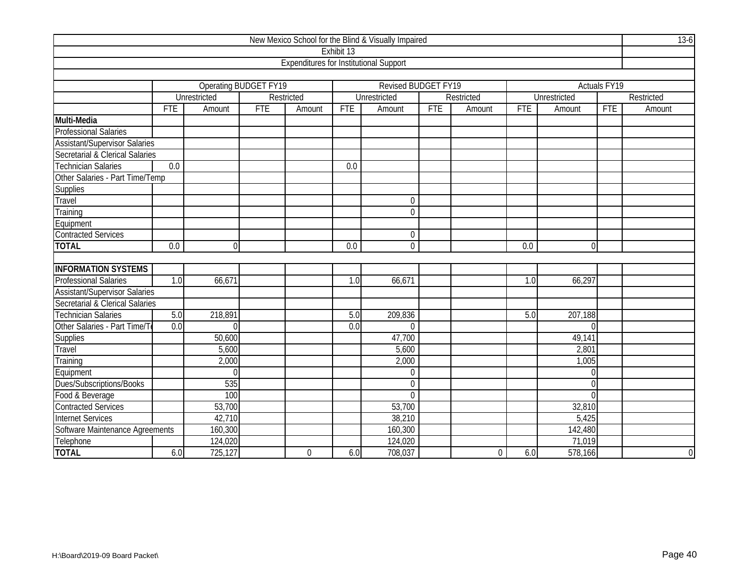|                                      |                  |                              |            |                                               |            | New Mexico School for the Blind & Visually Impaired |            |            |            |                |              | $13-6$     |
|--------------------------------------|------------------|------------------------------|------------|-----------------------------------------------|------------|-----------------------------------------------------|------------|------------|------------|----------------|--------------|------------|
|                                      |                  |                              |            |                                               | Exhibit 13 |                                                     |            |            |            |                |              |            |
|                                      |                  |                              |            | <b>Expenditures for Institutional Support</b> |            |                                                     |            |            |            |                |              |            |
|                                      |                  |                              |            |                                               |            |                                                     |            |            |            |                |              |            |
|                                      |                  | <b>Operating BUDGET FY19</b> |            |                                               |            | Revised BUDGET FY19                                 |            |            |            |                | Actuals FY19 |            |
|                                      |                  | Unrestricted                 |            | Restricted                                    |            | Unrestricted                                        |            | Restricted |            | Unrestricted   |              | Restricted |
|                                      | <b>FTE</b>       | Amount                       | <b>FTE</b> | Amount                                        | <b>FTE</b> | Amount                                              | <b>FTE</b> | Amount     | <b>FTE</b> | Amount         | <b>FTE</b>   | Amount     |
| Multi-Media                          |                  |                              |            |                                               |            |                                                     |            |            |            |                |              |            |
| <b>Professional Salaries</b>         |                  |                              |            |                                               |            |                                                     |            |            |            |                |              |            |
| <b>Assistant/Supervisor Salaries</b> |                  |                              |            |                                               |            |                                                     |            |            |            |                |              |            |
| Secretarial & Clerical Salaries      |                  |                              |            |                                               |            |                                                     |            |            |            |                |              |            |
| <b>Technician Salaries</b>           | 0.0              |                              |            |                                               | 0.0        |                                                     |            |            |            |                |              |            |
| Other Salaries - Part Time/Temp      |                  |                              |            |                                               |            |                                                     |            |            |            |                |              |            |
| <b>Supplies</b>                      |                  |                              |            |                                               |            |                                                     |            |            |            |                |              |            |
| Travel                               |                  |                              |            |                                               |            | $\mathbf 0$                                         |            |            |            |                |              |            |
| Training                             |                  |                              |            |                                               |            | $\overline{0}$                                      |            |            |            |                |              |            |
| Equipment                            |                  |                              |            |                                               |            |                                                     |            |            |            |                |              |            |
| <b>Contracted Services</b>           |                  |                              |            |                                               |            | $\mathbf 0$                                         |            |            |            |                |              |            |
| <b>TOTAL</b>                         | 0.0              | $\mathbf 0$                  |            |                                               | 0.0        | $\overline{0}$                                      |            |            | 0.0        | $\overline{0}$ |              |            |
|                                      |                  |                              |            |                                               |            |                                                     |            |            |            |                |              |            |
| <b>INFORMATION SYSTEMS</b>           |                  |                              |            |                                               |            |                                                     |            |            |            |                |              |            |
| Professional Salaries                | 1.0              | 66,671                       |            |                                               | 1.0        | 66,671                                              |            |            | 1.0        | 66,297         |              |            |
| <b>Assistant/Supervisor Salaries</b> |                  |                              |            |                                               |            |                                                     |            |            |            |                |              |            |
| Secretarial & Clerical Salaries      |                  |                              |            |                                               |            |                                                     |            |            |            |                |              |            |
| <b>Technician Salaries</b>           | 5.0              | 218,891                      |            |                                               | 5.0        | 209,836                                             |            |            | 5.0        | 207,188        |              |            |
| Other Salaries - Part Time/T         | $\overline{0.0}$ | $\Omega$                     |            |                                               | 0.0        | $\Omega$                                            |            |            |            | $\Omega$       |              |            |
| Supplies                             |                  | 50,600                       |            |                                               |            | 47,700                                              |            |            |            | 49,141         |              |            |
| Travel                               |                  | 5,600                        |            |                                               |            | 5,600                                               |            |            |            | 2,801          |              |            |
| Training                             |                  | 2,000                        |            |                                               |            | 2,000                                               |            |            |            | 1,005          |              |            |
| Equipment                            |                  | $\Omega$                     |            |                                               |            | $\Omega$                                            |            |            |            | $\Omega$       |              |            |
| Dues/Subscriptions/Books             |                  | 535                          |            |                                               |            | $\mathbf 0$                                         |            |            |            | $\Omega$       |              |            |
| Food & Beverage                      |                  | 100                          |            |                                               |            | $\Omega$                                            |            |            |            | $\Omega$       |              |            |
| <b>Contracted Services</b>           |                  | 53,700                       |            |                                               |            | 53,700                                              |            |            |            | 32,810         |              |            |
| <b>Internet Services</b>             |                  | 42,710                       |            |                                               |            | 38,210                                              |            |            |            | 5,425          |              |            |
| Software Maintenance Agreements      |                  | 160,300                      |            |                                               | 160,300    |                                                     |            |            | 142,480    |                |              |            |
| Telephone                            |                  | 124,020                      |            |                                               |            | 124,020                                             |            |            |            | 71,019         |              |            |
| <b>TOTAL</b>                         | 6.0              | 725,127                      |            | 0                                             | 6.0        | 708,037                                             |            | $\Omega$   | 6.0        | 578,166        |              | $\Omega$   |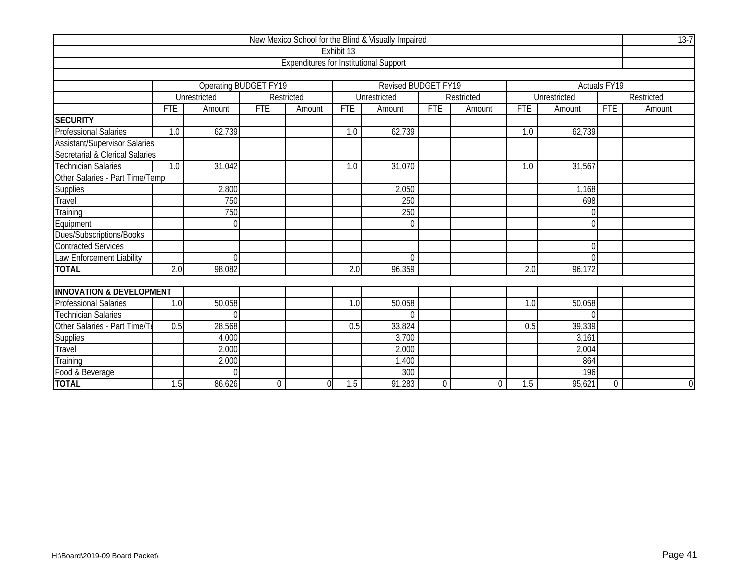|                                      |            |              |                       |                                               |            | New Mexico School for the Blind & Visually Impaired |             |            |                  |              |              | $13-7$         |
|--------------------------------------|------------|--------------|-----------------------|-----------------------------------------------|------------|-----------------------------------------------------|-------------|------------|------------------|--------------|--------------|----------------|
|                                      |            |              |                       |                                               | Exhibit 13 |                                                     |             |            |                  |              |              |                |
|                                      |            |              |                       | <b>Expenditures for Institutional Support</b> |            |                                                     |             |            |                  |              |              |                |
|                                      |            |              |                       |                                               |            |                                                     |             |            |                  |              |              |                |
|                                      |            |              | Operating BUDGET FY19 |                                               |            | Revised BUDGET FY19                                 |             |            |                  |              | Actuals FY19 |                |
|                                      |            | Unrestricted |                       | Restricted                                    |            | Unrestricted                                        |             | Restricted |                  | Unrestricted |              | Restricted     |
|                                      | <b>FTE</b> | Amount       | <b>FTE</b>            | Amount                                        | <b>FTE</b> | Amount                                              | <b>FTE</b>  | Amount     | <b>FTE</b>       | Amount       | <b>FTE</b>   | Amount         |
| <b>SECURITY</b>                      |            |              |                       |                                               |            |                                                     |             |            |                  |              |              |                |
| <b>Professional Salaries</b>         | 1.0        | 62,739       |                       |                                               | 1.0        | 62,739                                              |             |            | 1.0              | 62,739       |              |                |
| <b>Assistant/Supervisor Salaries</b> |            |              |                       |                                               |            |                                                     |             |            |                  |              |              |                |
| Secretarial & Clerical Salaries      |            |              |                       |                                               |            |                                                     |             |            |                  |              |              |                |
| <b>Technician Salaries</b>           | 1.0        | 31,042       |                       |                                               | 1.0        | 31,070                                              |             |            | 1.0              | 31,567       |              |                |
| Other Salaries - Part Time/Temp      |            |              |                       |                                               |            |                                                     |             |            |                  |              |              |                |
|                                      |            | 2,800        |                       |                                               |            | 2,050                                               |             |            |                  | 1,168        |              |                |
| Supplies<br>Travel                   |            | 750          |                       |                                               |            | 250                                                 |             |            |                  | 698          |              |                |
| Training                             |            | 750          |                       |                                               |            | 250                                                 |             |            |                  |              |              |                |
| Equipment                            |            | $\Omega$     |                       |                                               |            | $\mathbf 0$                                         |             |            |                  | $\cap$       |              |                |
| Dues/Subscriptions/Books             |            |              |                       |                                               |            |                                                     |             |            |                  |              |              |                |
| <b>Contracted Services</b>           |            |              |                       |                                               |            |                                                     |             |            |                  | $\Omega$     |              |                |
| Law Enforcement Liability            |            | $\Omega$     |                       |                                               |            | $\Omega$                                            |             |            |                  |              |              |                |
| <b>TOTAL</b>                         | 2.0        | 98,082       |                       |                                               | 2.0        | 96,359                                              |             |            | 2.0              | 96,172       |              |                |
|                                      |            |              |                       |                                               |            |                                                     |             |            |                  |              |              |                |
| <b>INNOVATION &amp; DEVELOPMENT</b>  |            |              |                       |                                               |            |                                                     |             |            |                  |              |              |                |
| <b>Professional Salaries</b>         | 1.0        | 50,058       |                       |                                               | 1.0        | 50,058                                              |             |            | $\overline{1.0}$ | 50,058       |              |                |
| <b>Technician Salaries</b>           |            |              |                       |                                               |            | $\Omega$                                            |             |            |                  |              |              |                |
| Other Salaries - Part Time/T         | 0.5        | 28,568       |                       |                                               | 0.5        | 33,824                                              |             |            | 0.5              | 39,339       |              |                |
| <b>Supplies</b>                      |            | 4,000        |                       |                                               |            | 3,700                                               |             |            |                  | 3,161        |              |                |
| Travel                               |            | 2,000        |                       |                                               |            | 2,000                                               |             |            |                  | 2,004        |              |                |
| Training                             |            | 2,000        |                       |                                               |            | 1,400                                               |             |            |                  | 864          |              |                |
| Food & Beverage                      |            |              |                       |                                               |            | 300                                                 |             |            |                  | 196          |              |                |
| <b>TOTAL</b>                         | 1.5        | 86,626       | 0                     | $\overline{0}$                                | 1.5        | 91,283                                              | $\mathbf 0$ | 0          | 1.5              | 95,621       | 0            | $\overline{0}$ |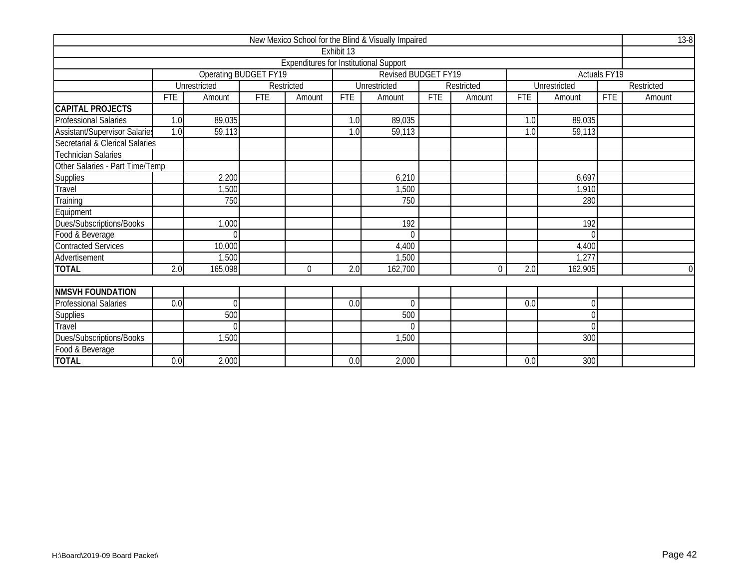|                                 |            |                              |            |                                               |            | New Mexico School for the Blind & Visually Impaired |            |            |            |                     |                     | $13-8$     |
|---------------------------------|------------|------------------------------|------------|-----------------------------------------------|------------|-----------------------------------------------------|------------|------------|------------|---------------------|---------------------|------------|
|                                 |            |                              |            |                                               | Exhibit 13 |                                                     |            |            |            |                     |                     |            |
|                                 |            |                              |            | <b>Expenditures for Institutional Support</b> |            |                                                     |            |            |            |                     |                     |            |
|                                 |            | <b>Operating BUDGET FY19</b> |            |                                               |            | Revised BUDGET FY19                                 |            |            |            |                     | <b>Actuals FY19</b> |            |
|                                 |            | Unrestricted                 |            | Restricted                                    |            | <b>Unrestricted</b>                                 |            | Restricted |            | <b>Unrestricted</b> |                     | Restricted |
|                                 | <b>FTE</b> | Amount                       | <b>FTE</b> | Amount                                        | <b>FTE</b> | Amount                                              | <b>FTE</b> | Amount     | <b>FTE</b> | Amount              | <b>FTE</b>          | Amount     |
| <b>CAPITAL PROJECTS</b>         |            |                              |            |                                               |            |                                                     |            |            |            |                     |                     |            |
| <b>Professional Salaries</b>    | 1.0        | 89,035                       |            |                                               | 1.0        | 89,035                                              |            |            | 1.0        | 89,035              |                     |            |
| Assistant/Supervisor Salaries   | 1.0        | 59,113                       |            |                                               | 1.0        | 59,113                                              |            |            | 1.0        | 59,113              |                     |            |
| Secretarial & Clerical Salaries |            |                              |            |                                               |            |                                                     |            |            |            |                     |                     |            |
| <b>Technician Salaries</b>      |            |                              |            |                                               |            |                                                     |            |            |            |                     |                     |            |
| Other Salaries - Part Time/Temp |            |                              |            |                                               |            |                                                     |            |            |            |                     |                     |            |
| <b>Supplies</b>                 |            | 2,200                        |            |                                               |            | 6,210                                               |            |            |            | 6,697               |                     |            |
| Travel                          |            | ,500                         |            |                                               |            | 1,500                                               |            |            |            | 1,910               |                     |            |
| Training                        |            | 750                          |            |                                               |            | 750                                                 |            |            |            | 280                 |                     |            |
| Equipment                       |            |                              |            |                                               |            |                                                     |            |            |            |                     |                     |            |
| Dues/Subscriptions/Books        |            | 1,000                        |            |                                               |            | 192                                                 |            |            |            | 192                 |                     |            |
| Food & Beverage                 |            | $\Omega$                     |            |                                               |            | $\Omega$                                            |            |            |            |                     |                     |            |
| <b>Contracted Services</b>      |            | 10,000                       |            |                                               |            | 4,400                                               |            |            |            | 4,400               |                     |            |
| Advertisement                   |            | 1,500                        |            |                                               |            | 1,500                                               |            |            |            | 1,277               |                     |            |
| <b>TOTAL</b>                    | 2.0        | 165,098                      |            | $\Omega$                                      | 2.0        | 162,700                                             |            | $\Omega$   | 2.0        | 162,905             |                     | $\Omega$   |
|                                 |            |                              |            |                                               |            |                                                     |            |            |            |                     |                     |            |
| <b>NMSVH FOUNDATION</b>         |            |                              |            |                                               |            |                                                     |            |            |            |                     |                     |            |
| <b>Professional Salaries</b>    | 0.0        | $\Omega$                     |            |                                               | 0.0        | $\theta$                                            |            |            | 0.0        | U                   |                     |            |
| <b>Supplies</b>                 |            | 500                          |            |                                               |            | 500                                                 |            |            |            | 0                   |                     |            |
| Travel                          |            | $\Omega$                     |            |                                               |            | $\Omega$                                            |            |            |            | 0                   |                     |            |
| Dues/Subscriptions/Books        |            | 1,500                        |            |                                               |            | 1,500                                               |            |            |            | 300                 |                     |            |
| Food & Beverage                 |            |                              |            |                                               |            |                                                     |            |            |            |                     |                     |            |
| <b>TOTAL</b>                    | 0.0        | 2,000                        |            |                                               | 0.0        | 2,000                                               |            |            | 0.0        | 300                 |                     |            |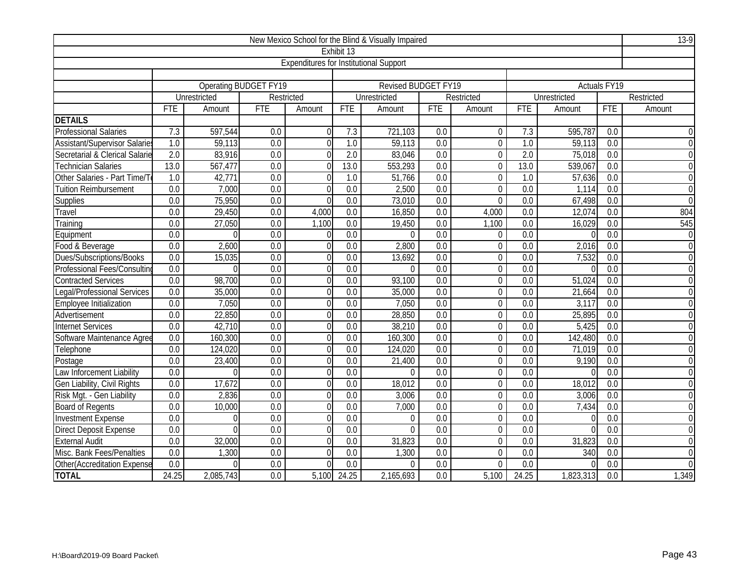|                                 |                  |              |                              |                                               |                  | New Mexico School for the Blind & Visually Impaired |                  |                |                  |              |                     | $13-9$           |
|---------------------------------|------------------|--------------|------------------------------|-----------------------------------------------|------------------|-----------------------------------------------------|------------------|----------------|------------------|--------------|---------------------|------------------|
|                                 |                  |              |                              |                                               | Exhibit 13       |                                                     |                  |                |                  |              |                     |                  |
|                                 |                  |              |                              | <b>Expenditures for Institutional Support</b> |                  |                                                     |                  |                |                  |              |                     |                  |
|                                 |                  |              |                              |                                               |                  |                                                     |                  |                |                  |              |                     |                  |
|                                 |                  |              | <b>Operating BUDGET FY19</b> |                                               |                  | <b>Revised BUDGET FY19</b>                          |                  |                |                  |              | <b>Actuals FY19</b> |                  |
|                                 |                  | Unrestricted |                              | Restricted                                    |                  | Unrestricted                                        |                  | Restricted     |                  | Unrestricted |                     | Restricted       |
|                                 | <b>FTE</b>       | Amount       | <b>FTE</b>                   | Amount                                        | <b>FTE</b>       | Amount                                              | <b>FTE</b>       | Amount         | <b>FTE</b>       | Amount       | <b>FTE</b>          | Amount           |
| <b>DETAILS</b>                  |                  |              |                              |                                               |                  |                                                     |                  |                |                  |              |                     |                  |
| <b>Professional Salaries</b>    | 7.3              | 597,544      | 0.0                          | $\Omega$                                      | 7.3              | 721,103                                             | 0.0              | 0              | 7.3              | 595,787      | 0.0                 | $\mathbf 0$      |
| Assistant/Supervisor Salaries   | 1.0              | 59,113       | 0.0                          | $\theta$                                      | 1.0              | 59,113                                              | 0.0              | $\mathbf 0$    | 1.0              | 59,113       | 0.0                 | $\overline{0}$   |
| Secretarial & Clerical Salarie  | 2.0              | 83,916       | 0.0                          | 0                                             | 2.0              | 83,046                                              | $\overline{0.0}$ | $\overline{0}$ | 2.0              | 75,018       | $\overline{0.0}$    | $\overline{0}$   |
| <b>Technician Salaries</b>      | 13.0             | 567,477      | 0.0                          | $\Omega$                                      | 13.0             | 553,293                                             | 0.0              | $\overline{0}$ | 13.0             | 539,067      | 0.0                 | $\overline{0}$   |
| Other Salaries - Part Time/T    | 1.0              | 42,771       | $\overline{0.0}$             | 0                                             | $\overline{1.0}$ | 51,766                                              | $\overline{0.0}$ | $\mathbf 0$    | 1.0              | 57,636       | $\overline{0.0}$    | $\boldsymbol{0}$ |
| <b>Tuition Reimbursement</b>    | 0.0              | 7,000        | 0.0                          | 0                                             | 0.0              | 2,500                                               | 0.0              | $\overline{0}$ | $\overline{0.0}$ | 1,114        | 0.0                 | $\overline{0}$   |
| Supplies                        | 0.0              | 75,950       | 0.0                          | $\Omega$                                      | $\overline{0.0}$ | 73,010                                              | 0.0              | $\Omega$       | 0.0              | 67,498       | 0.0                 | $\overline{0}$   |
| Travel                          | 0.0              | 29,450       | 0.0                          | 4,000                                         | $\overline{0.0}$ | 16,850                                              | 0.0              | 4,000          | 0.0              | 12,074       | $\overline{0.0}$    | 804              |
| Training                        | $\overline{0.0}$ | 27,050       | $\overline{0.0}$             | 1,100                                         | 0.0              | 19,450                                              | 0.0              | 1,100          | $\overline{0.0}$ | 16,029       | $\overline{0.0}$    | 545              |
| Equipment                       | $\overline{0.0}$ | $\Omega$     | $\overline{0.0}$             | $\Omega$                                      | $\overline{0.0}$ | $\Omega$                                            | 0.0              | $\mathbf 0$    | $\overline{0.0}$ |              | 0.0                 | $\overline{0}$   |
| Food & Beverage                 | 0.0              | 2,600        | 0.0                          | $\Omega$                                      | 0.0              | 2,800                                               | 0.0              | $\overline{0}$ | 0.0              | 2,016        | $\boldsymbol{0}$    |                  |
| <b>Dues/Subscriptions/Books</b> | 0.0              | 15,035       | 0.0                          | 0                                             | 0.0              | 13,692                                              | $\overline{0.0}$ | $\mathbf 0$    | $\overline{0.0}$ | 7,532        | $\overline{0.0}$    | $\overline{0}$   |
| Professional Fees/Consulting    | $\overline{0.0}$ | $\Omega$     | 0.0                          | $\Omega$                                      | 0.0              | $\theta$                                            | 0.0              | $\mathbf 0$    | 0.0              |              | 0.0                 | $\overline{0}$   |
| <b>Contracted Services</b>      | $\overline{0.0}$ | 98,700       | $\overline{0.0}$             | 0                                             | 0.0              | 93,100                                              | $\overline{0.0}$ | $\overline{0}$ | $\overline{0.0}$ | 51,024       | $\overline{0.0}$    | $\overline{0}$   |
| Legal/Professional Services     | 0.0              | 35,000       | 0.0                          | $\theta$                                      | 0.0              | 35,000                                              | 0.0              | $\overline{0}$ | $\overline{0.0}$ | 21,664       | $\overline{0.0}$    | $\overline{0}$   |
| Employee Initialization         | $\overline{0.0}$ | 7,050        | $\overline{0.0}$             | 0                                             | $\overline{0.0}$ | 7,050                                               | $\overline{0.0}$ | $\mathbf 0$    | $\overline{0.0}$ | 3,117        | $\overline{0.0}$    | $\boldsymbol{0}$ |
| Advertisement                   | $\overline{0.0}$ | 22,850       | $\overline{0.0}$             | 0                                             | 0.0              | 28,850                                              | 0.0              | $\mathbf 0$    | $\overline{0.0}$ | 25,895       | 0.0                 | $\overline{0}$   |
| <b>Internet Services</b>        | 0.0              | 42,710       | 0.0                          | 0                                             | 0.0              | 38,210                                              | 0.0              | $\overline{0}$ | 0.0              | 5,425        | 0.0                 | $\overline{0}$   |
| Software Maintenance Agree      | $\overline{0.0}$ | 160,300      | $\overline{0.0}$             | 0                                             | $\overline{0.0}$ | 160,300                                             | 0.0              | $\overline{0}$ | $\overline{0.0}$ | 142,480      | $\overline{0.0}$    | $\overline{0}$   |
| Telephone                       | 0.0              | 124,020      | 0.0                          | $\Omega$                                      | 0.0              | 124,020                                             | 0.0              | $\overline{0}$ | 0.0              | 71,019       | 0.0                 | $\overline{0}$   |
| Postage                         | 0.0              | 23,400       | 0.0                          | $\overline{0}$                                | 0.0              | 21,400                                              | 0.0              | $\overline{0}$ | 0.0              | 9,190        | 0.0                 | $\overline{0}$   |
| Law Inforcement Liability       | $\overline{0.0}$ | $\Omega$     | $\overline{0.0}$             | 0                                             | $\overline{0.0}$ | $\Omega$                                            | $\overline{0.0}$ | $\overline{0}$ | $\overline{0.0}$ |              | $\overline{0.0}$    | $\overline{0}$   |
| Gen Liability, Civil Rights     | 0.0              | 17,672       | $\overline{0.0}$             | 0                                             | 0.0              | 18,012                                              | $\overline{0.0}$ | $\mathbf 0$    | 0.0              | 18,012       | $\overline{0.0}$    | $\overline{0}$   |
| Risk Mgt. - Gen Liability       | $\overline{0.0}$ | 2,836        | 0.0                          | $\Omega$                                      | 0.0              | 3,006                                               | $\overline{0.0}$ | $\mathbf 0$    | $\overline{0.0}$ | 3,006        | 0.0                 | $\overline{0}$   |
| <b>Board of Regents</b>         | 0.0              | 10,000       | 0.0                          | 0                                             | 0.0              | 7,000                                               | 0.0              | $\overline{0}$ | 0.0              | 7,434        | $\overline{0.0}$    | $\overline{0}$   |
| <b>Investment Expense</b>       | 0.0              | $\Omega$     | $\overline{0.0}$             | $\theta$                                      | $\overline{0.0}$ | $\Omega$                                            | 0.0              | $\mathbf 0$    | 0.0              |              | 0.0                 | $\overline{0}$   |
| <b>Direct Deposit Expense</b>   | $\overline{0.0}$ | $\Omega$     | $\overline{0.0}$             | $\theta$                                      | $\overline{0.0}$ | $\overline{0}$                                      | $\overline{0.0}$ | $\mathbf 0$    | 0.0              |              | $\overline{0.0}$    | $\overline{0}$   |
| <b>External Audit</b>           | 0.0              | 32,000       | 0.0                          | 0                                             | 0.0              | 31,823                                              | 0.0              | 0              | 0.0              | 31,823       | 0.0                 | $\boldsymbol{0}$ |
| Misc. Bank Fees/Penalties       | 0.0              | 1,300        | $\overline{0.0}$             | O                                             | 0.0              | 1,300                                               | 0.0              | $\overline{0}$ | 0.0              | 340          | 0.0                 | $\boldsymbol{0}$ |
| Other(Accreditation Expense     | 0.0              | $\Omega$     | $\overline{0.0}$             | U                                             | $\overline{0.0}$ | $\Omega$                                            | $\overline{0.0}$ | $\Omega$       | $\overline{0.0}$ |              | $\overline{0.0}$    | $\overline{0}$   |
| <b>TOTAL</b>                    | 24.25            | 2,085,743    | $\overline{0.0}$             | 5,100                                         | 24.25            | 2,165,693                                           | $\overline{0.0}$ | 5,100          | 24.25            | 1,823,313    | $\overline{0.0}$    | 1,349            |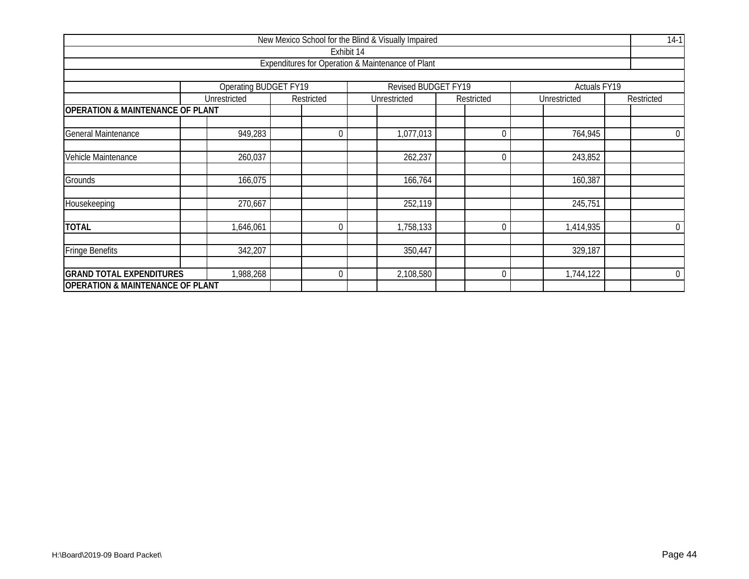|                                             |                                             |  |            |            | New Mexico School for the Blind & Visually Impaired |  |                |  |                     |  | $14-1$           |  |  |
|---------------------------------------------|---------------------------------------------|--|------------|------------|-----------------------------------------------------|--|----------------|--|---------------------|--|------------------|--|--|
|                                             |                                             |  |            | Exhibit 14 |                                                     |  |                |  |                     |  |                  |  |  |
|                                             |                                             |  |            |            | Expenditures for Operation & Maintenance of Plant   |  |                |  |                     |  |                  |  |  |
|                                             |                                             |  |            |            |                                                     |  |                |  |                     |  |                  |  |  |
|                                             | Operating BUDGET FY19                       |  |            |            | <b>Revised BUDGET FY19</b>                          |  |                |  | <b>Actuals FY19</b> |  |                  |  |  |
|                                             | Unrestricted                                |  | Restricted |            | Unrestricted                                        |  | Restricted     |  | Unrestricted        |  | Restricted       |  |  |
|                                             | <b>OPERATION &amp; MAINTENANCE OF PLANT</b> |  |            |            |                                                     |  |                |  |                     |  |                  |  |  |
| General Maintenance                         | 949,283                                     |  | $\Omega$   |            | 1,077,013                                           |  | $\overline{0}$ |  | 764,945             |  | $\boldsymbol{0}$ |  |  |
| Vehicle Maintenance                         | 260,037                                     |  |            |            | 262,237                                             |  | $\overline{0}$ |  | 243,852             |  |                  |  |  |
| Grounds                                     | 166,075                                     |  |            |            | 166,764                                             |  |                |  | 160,387             |  |                  |  |  |
|                                             |                                             |  |            |            |                                                     |  |                |  |                     |  |                  |  |  |
| Housekeeping                                | 270,667                                     |  |            |            | 252,119                                             |  |                |  | 245,751             |  |                  |  |  |
| <b>TOTAL</b>                                | 1,646,061                                   |  | $\Omega$   |            | 1,758,133                                           |  | $\Omega$       |  | 1,414,935           |  | $\overline{0}$   |  |  |
| <b>Fringe Benefits</b>                      | 342,207                                     |  |            |            | 350,447                                             |  |                |  | 329,187             |  |                  |  |  |
| <b>GRAND TOTAL EXPENDITURES</b>             | 1,988,268                                   |  | 0          |            | 2,108,580                                           |  | 0              |  | 1,744,122           |  | $\overline{0}$   |  |  |
| <b>OPERATION &amp; MAINTENANCE OF PLANT</b> |                                             |  |            |            |                                                     |  |                |  |                     |  |                  |  |  |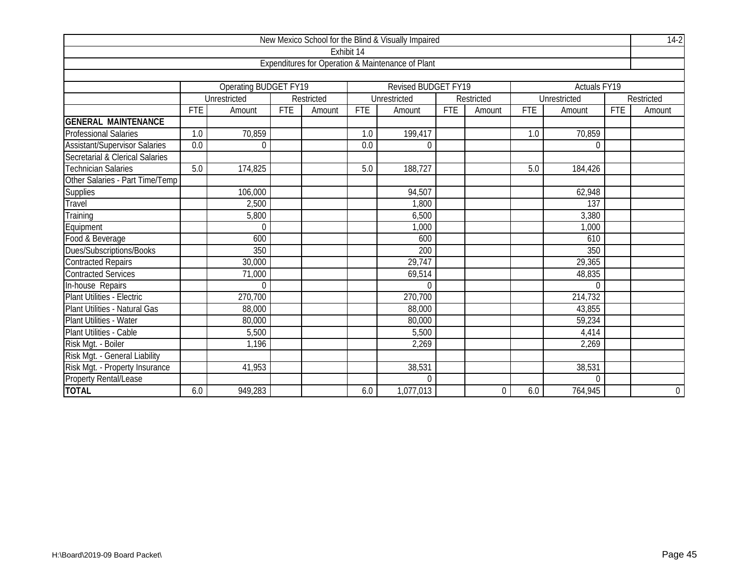|                                      |            |                       |            |            |            | New Mexico School for the Blind & Visually Impaired |            |                |            |              |            | $14-2$         |
|--------------------------------------|------------|-----------------------|------------|------------|------------|-----------------------------------------------------|------------|----------------|------------|--------------|------------|----------------|
|                                      |            |                       |            |            | Exhibit 14 |                                                     |            |                |            |              |            |                |
|                                      |            |                       |            |            |            | Expenditures for Operation & Maintenance of Plant   |            |                |            |              |            |                |
|                                      |            |                       |            |            |            |                                                     |            |                |            |              |            |                |
|                                      |            | Operating BUDGET FY19 |            |            |            | <b>Revised BUDGET FY19</b>                          |            |                |            | Actuals FY19 |            |                |
|                                      |            | Unrestricted          |            | Restricted |            | Unrestricted                                        |            | Restricted     |            | Unrestricted |            | Restricted     |
|                                      | <b>FTE</b> | Amount                | <b>FTE</b> | Amount     | <b>FTE</b> | Amount                                              | <b>FTE</b> | Amount         | <b>FTE</b> | Amount       | <b>FTE</b> | Amount         |
| <b>GENERAL MAINTENANCE</b>           |            |                       |            |            |            |                                                     |            |                |            |              |            |                |
| <b>Professional Salaries</b>         | 1.0        | 70,859                |            |            | 1.0        | 199,417                                             |            |                | 1.0        | 70,859       |            |                |
| <b>Assistant/Supervisor Salaries</b> | 0.0        | $\overline{0}$        |            |            | 0.0        | $\overline{0}$                                      |            |                |            | $\theta$     |            |                |
| Secretarial & Clerical Salaries      |            |                       |            |            |            |                                                     |            |                |            |              |            |                |
| <b>Technician Salaries</b>           | 5.0        | 174,825               |            |            | 5.0        | 188,727                                             |            |                | 5.0        | 184,426      |            |                |
| Other Salaries - Part Time/Temp      |            |                       |            |            |            |                                                     |            |                |            |              |            |                |
| <b>Supplies</b>                      |            | 106,000               |            |            |            | 94,507                                              |            |                |            | 62,948       |            |                |
| Travel                               |            | 2,500                 |            |            |            | 1,800                                               |            |                |            | 137          |            |                |
| Training                             |            | 5,800                 |            |            |            | 6,500                                               |            |                |            | 3,380        |            |                |
| Equipment                            |            | $\overline{0}$        |            |            |            | 1,000                                               |            |                |            | 1,000        |            |                |
| Food & Beverage                      |            | 600                   |            |            |            | 600                                                 |            |                |            | 610          |            |                |
| Dues/Subscriptions/Books             |            | 350                   |            |            |            | 200                                                 |            |                |            | 350          |            |                |
| <b>Contracted Repairs</b>            |            | 30,000                |            |            |            | 29,747                                              |            |                |            | 29,365       |            |                |
| <b>Contracted Services</b>           |            | 71,000                |            |            |            | 69,514                                              |            |                |            | 48,835       |            |                |
| In-house Repairs                     |            | $\overline{0}$        |            |            |            | $\Omega$                                            |            |                |            | $\mathbf 0$  |            |                |
| Plant Utilities - Electric           |            | 270,700               |            |            |            | 270,700                                             |            |                |            | 214,732      |            |                |
| Plant Utilities - Natural Gas        |            | 88,000                |            |            |            | 88,000                                              |            |                |            | 43,855       |            |                |
| Plant Utilities - Water              |            | 80,000                |            |            |            | 80,000                                              |            |                |            | 59,234       |            |                |
| Plant Utilities - Cable              |            | 5,500                 |            |            |            | 5,500                                               |            |                |            | 4,414        |            |                |
| Risk Mgt. - Boiler                   |            | 1,196                 |            |            |            | 2,269                                               |            |                |            | 2,269        |            |                |
| Risk Mgt. - General Liability        |            |                       |            |            |            |                                                     |            |                |            |              |            |                |
| Risk Mgt. - Property Insurance       |            | 41,953                |            |            |            | 38,531                                              |            |                |            | 38,531       |            |                |
| <b>Property Rental/Lease</b>         |            |                       |            |            |            | $\Omega$                                            |            |                |            | $\theta$     |            |                |
| <b>TOTAL</b>                         | 6.0        | 949,283               |            |            | 6.0        | 1,077,013                                           |            | $\overline{0}$ | 6.0        | 764,945      |            | $\overline{0}$ |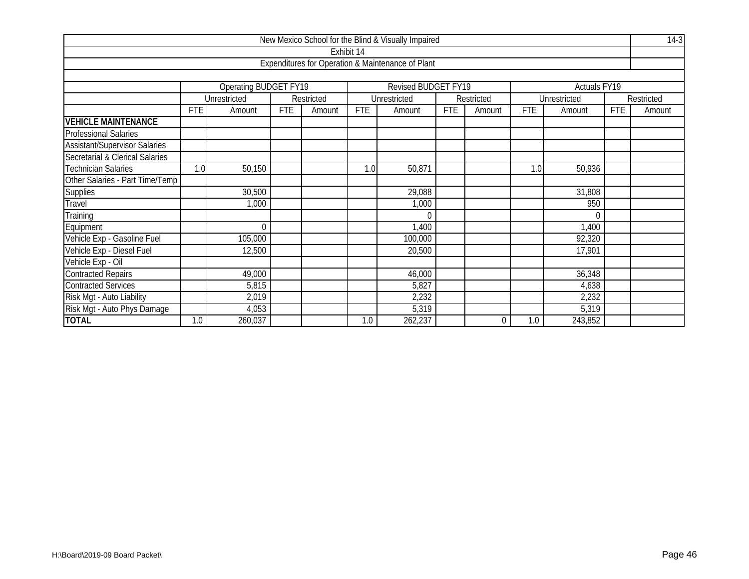|                                      |            |                       |            |            |            | New Mexico School for the Blind & Visually Impaired |            |            |            |              |      | $14-3$     |
|--------------------------------------|------------|-----------------------|------------|------------|------------|-----------------------------------------------------|------------|------------|------------|--------------|------|------------|
|                                      |            |                       |            |            | Exhibit 14 |                                                     |            |            |            |              |      |            |
|                                      |            |                       |            |            |            | Expenditures for Operation & Maintenance of Plant   |            |            |            |              |      |            |
|                                      |            |                       |            |            |            |                                                     |            |            |            |              |      |            |
|                                      |            | Operating BUDGET FY19 |            |            |            | <b>Revised BUDGET FY19</b>                          |            |            |            | Actuals FY19 |      |            |
|                                      |            | Unrestricted          |            | Restricted |            | Unrestricted                                        |            | Restricted |            | Unrestricted |      | Restricted |
|                                      | <b>FTE</b> | Amount                | <b>FTE</b> | Amount     | <b>FTE</b> | Amount                                              | <b>FTE</b> | Amount     | <b>FTE</b> | Amount       | FTE. | Amount     |
| <b>VEHICLE MAINTENANCE</b>           |            |                       |            |            |            |                                                     |            |            |            |              |      |            |
| <b>Professional Salaries</b>         |            |                       |            |            |            |                                                     |            |            |            |              |      |            |
| <b>Assistant/Supervisor Salaries</b> |            |                       |            |            |            |                                                     |            |            |            |              |      |            |
| Secretarial & Clerical Salaries      |            |                       |            |            |            |                                                     |            |            |            |              |      |            |
| <b>Technician Salaries</b>           | 1.0        | 50,150                |            |            | 1.0        | 50,871                                              |            |            | 1.0        | 50,936       |      |            |
| Other Salaries - Part Time/Temp      |            |                       |            |            |            |                                                     |            |            |            |              |      |            |
| <b>Supplies</b>                      |            | 30,500                |            |            |            | 29,088                                              |            |            |            | 31,808       |      |            |
| Travel                               |            | 1,000                 |            |            |            | 1,000                                               |            |            |            | 950          |      |            |
| Training                             |            |                       |            |            |            | $\Omega$                                            |            |            |            | $\Omega$     |      |            |
| Equipment                            |            | $\Omega$              |            |            |            | 1,400                                               |            |            |            | 1,400        |      |            |
| Vehicle Exp - Gasoline Fuel          |            | 105,000               |            |            |            | 100,000                                             |            |            |            | 92,320       |      |            |
| Vehicle Exp - Diesel Fuel            |            | 12,500                |            |            |            | 20,500                                              |            |            |            | 17,901       |      |            |
| Vehicle Exp - Oil                    |            |                       |            |            |            |                                                     |            |            |            |              |      |            |
| <b>Contracted Repairs</b>            |            | 49,000                |            |            |            | 46,000                                              |            |            |            | 36,348       |      |            |
| <b>Contracted Services</b>           |            | 5,815                 |            |            |            | 5,827                                               |            |            |            | 4,638        |      |            |
| Risk Mgt - Auto Liability            |            | 2,019                 |            |            |            | 2,232                                               |            |            |            | 2,232        |      |            |
| Risk Mgt - Auto Phys Damage          |            | 4,053                 |            |            |            | 5,319                                               |            |            |            | 5,319        |      |            |
| <b>TOTAL</b>                         | 1.0        | 260,037               |            |            | 1.0        | 262,237                                             |            | $\Omega$   | 1.0        | 243,852      |      |            |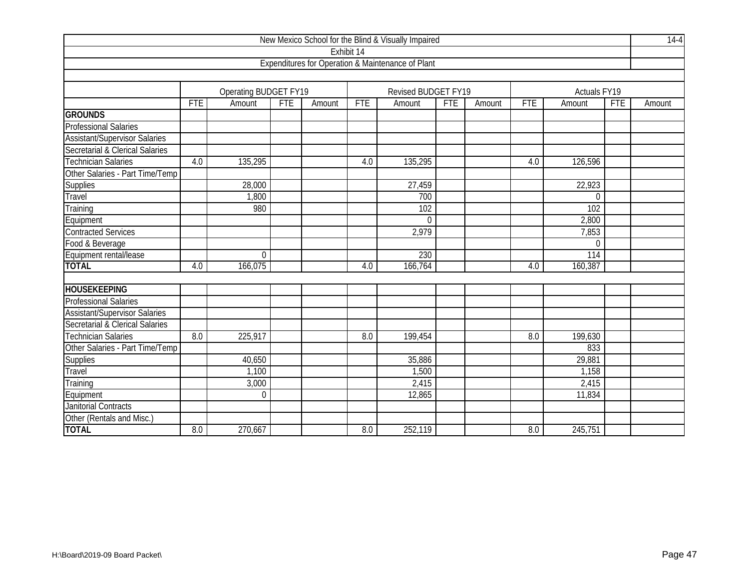|                                      |            |                              |     |        |            | New Mexico School for the Blind & Visually Impaired |            |        |            |                     |            | $14-4$ |
|--------------------------------------|------------|------------------------------|-----|--------|------------|-----------------------------------------------------|------------|--------|------------|---------------------|------------|--------|
|                                      |            |                              |     |        | Exhibit 14 |                                                     |            |        |            |                     |            |        |
|                                      |            |                              |     |        |            | Expenditures for Operation & Maintenance of Plant   |            |        |            |                     |            |        |
|                                      |            |                              |     |        |            |                                                     |            |        |            |                     |            |        |
|                                      |            | <b>Operating BUDGET FY19</b> |     |        |            | Revised BUDGET FY19                                 |            |        |            | <b>Actuals FY19</b> |            |        |
|                                      | <b>FTE</b> | Amount                       | FTE | Amount | FTE        | Amount                                              | <b>FTE</b> | Amount | <b>FTE</b> | Amount              | <b>FTE</b> | Amount |
| <b>GROUNDS</b>                       |            |                              |     |        |            |                                                     |            |        |            |                     |            |        |
| <b>Professional Salaries</b>         |            |                              |     |        |            |                                                     |            |        |            |                     |            |        |
| <b>Assistant/Supervisor Salaries</b> |            |                              |     |        |            |                                                     |            |        |            |                     |            |        |
| Secretarial & Clerical Salaries      |            |                              |     |        |            |                                                     |            |        |            |                     |            |        |
| <b>Technician Salaries</b>           | 4.0        | 135,295                      |     |        | 4.0        | 135,295                                             |            |        | 4.0        | 126,596             |            |        |
| Other Salaries - Part Time/Temp      |            |                              |     |        |            |                                                     |            |        |            |                     |            |        |
| Supplies                             |            | 28,000                       |     |        |            | 27,459                                              |            |        |            | 22,923              |            |        |
| Travel                               |            | 1,800                        |     |        |            | 700                                                 |            |        |            | $\Omega$            |            |        |
| Training                             |            | 980                          |     |        |            | 102                                                 |            |        |            | 102                 |            |        |
| Equipment                            |            |                              |     |        |            | $\Omega$                                            |            |        |            | 2,800               |            |        |
| <b>Contracted Services</b>           |            |                              |     |        |            | 2,979                                               |            |        |            | 7,853               |            |        |
| Food & Beverage                      |            |                              |     |        |            |                                                     |            |        |            | $\mathbf 0$         |            |        |
| Equipment rental/lease               |            | $\boldsymbol{0}$             |     |        |            | 230                                                 |            |        |            | 114                 |            |        |
| <b>TOTAL</b>                         | 4.0        | 166,075                      |     |        | 4.0        | 166,764                                             |            |        | 4.0        | 160,387             |            |        |
|                                      |            |                              |     |        |            |                                                     |            |        |            |                     |            |        |
| <b>HOUSEKEEPING</b>                  |            |                              |     |        |            |                                                     |            |        |            |                     |            |        |
| <b>Professional Salaries</b>         |            |                              |     |        |            |                                                     |            |        |            |                     |            |        |
| <b>Assistant/Supervisor Salaries</b> |            |                              |     |        |            |                                                     |            |        |            |                     |            |        |
| Secretarial & Clerical Salaries      |            |                              |     |        |            |                                                     |            |        |            |                     |            |        |
| <b>Technician Salaries</b>           | 8.0        | 225,917                      |     |        | 8.0        | 199,454                                             |            |        | 8.0        | 199,630             |            |        |
| Other Salaries - Part Time/Temp      |            |                              |     |        |            |                                                     |            |        |            | 833                 |            |        |
| Supplies                             |            | 40,650                       |     |        |            | 35,886                                              |            |        |            | 29,881              |            |        |
| Travel                               |            | 1,100                        |     |        |            | 1,500                                               |            |        |            | 1,158               |            |        |
| Training                             |            | 3,000                        |     |        |            | 2,415                                               |            |        |            | 2,415               |            |        |
| Equipment                            |            | $\mathbf 0$                  |     |        |            | 12,865                                              |            |        |            | 11,834              |            |        |
| <b>Janitorial Contracts</b>          |            |                              |     |        |            |                                                     |            |        |            |                     |            |        |
| Other (Rentals and Misc.)            |            |                              |     |        |            |                                                     |            |        |            |                     |            |        |
| <b>TOTAL</b>                         | 8.0        | 270,667                      |     |        | 8.0        | 252,119                                             |            |        | 8.0        | 245,751             |            |        |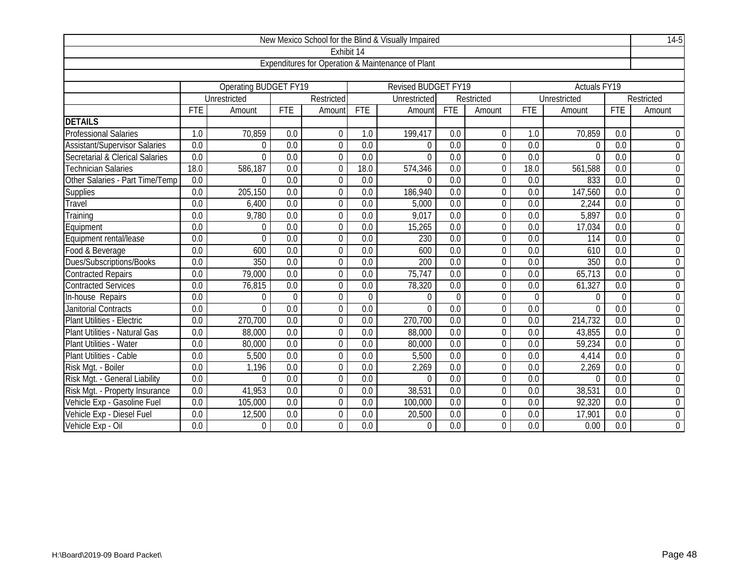|                                      |                  |                              |                  |                  |                  | New Mexico School for the Blind & Visually Impaired |                  |                |                  |                          |                  | $14-5$           |
|--------------------------------------|------------------|------------------------------|------------------|------------------|------------------|-----------------------------------------------------|------------------|----------------|------------------|--------------------------|------------------|------------------|
|                                      |                  |                              |                  | Exhibit 14       |                  |                                                     |                  |                |                  |                          |                  |                  |
|                                      |                  |                              |                  |                  |                  | Expenditures for Operation & Maintenance of Plant   |                  |                |                  |                          |                  |                  |
|                                      |                  |                              |                  |                  |                  |                                                     |                  |                |                  |                          |                  |                  |
|                                      |                  | <b>Operating BUDGET FY19</b> |                  |                  |                  | <b>Revised BUDGET FY19</b>                          |                  |                |                  | Actuals FY <sub>19</sub> |                  |                  |
|                                      |                  | Unrestricted                 |                  | Restricted       |                  | Unrestricted                                        |                  | Restricted     |                  | Unrestricted             |                  | Restricted       |
|                                      | <b>FTE</b>       | Amount                       | <b>FTE</b>       | Amount           | FTE              | Amount                                              | <b>FTE</b>       | Amount         | <b>FTE</b>       | Amount                   | <b>FTE</b>       | Amount           |
| <b>DETAILS</b>                       |                  |                              |                  |                  |                  |                                                     |                  |                |                  |                          |                  |                  |
| <b>Professional Salaries</b>         | 1.0              | 70,859                       | 0.0              | $\boldsymbol{0}$ | 1.0              | 199,417                                             | 0.0              | $\mathbf 0$    | 1.0              | 70,859                   | 0.0              | 0                |
| <b>Assistant/Supervisor Salaries</b> | 0.0              | $\Omega$                     | 0.0              | $\overline{0}$   | 0.0              | $\Omega$                                            | 0.0              | $\overline{0}$ | $\overline{0.0}$ | $\Omega$                 | 0.0              | $\boldsymbol{0}$ |
| Secretarial & Clerical Salaries      | 0.0              | $\Omega$                     | 0.0              | $\Omega$         | 0.0              | $\Omega$                                            | 0.0              | $\mathbf 0$    | 0.0              | $\theta$                 | 0.0              | $\mathbf 0$      |
| <b>Technician Salaries</b>           | 18.0             | 586,187                      | 0.0              | $\mathbf{0}$     | 18.0             | 574,346                                             | 0.0              | $\mathbf 0$    | 18.0             | 561,588                  | 0.0              | $\boldsymbol{0}$ |
| Other Salaries - Part Time/Temp      | 0.0              | $\Omega$                     | 0.0              | $\boldsymbol{0}$ | 0.0              | $\Omega$                                            | 0.0              | 0              | 0.0              | 833                      | 0.0              | $\boldsymbol{0}$ |
| Supplies                             | 0.0              | 205,150                      | 0.0              | $\theta$         | 0.0              | 186,940                                             | $\overline{0.0}$ | 0              | 0.0              | 147,560                  | $\overline{0.0}$ | $\mathbf 0$      |
| Travel                               | 0.0              | 6,400                        | 0.0              | $\overline{0}$   | 0.0              | 5,000                                               | 0.0              | $\mathbf 0$    | 0.0              | 2,244                    | 0.0              | $\boldsymbol{0}$ |
| Training                             | 0.0              | 9,780                        | 0.0              | $\mathbf 0$      | $\overline{0.0}$ | 9,017                                               | $\overline{0.0}$ | $\overline{0}$ | $\overline{0.0}$ | 5,897                    | $\overline{0.0}$ | $\overline{0}$   |
| Equipment                            | 0.0              | 0                            | 0.0              | $\Omega$         | 0.0              | 15,265                                              | 0.0              | $\mathbf 0$    | 0.0              | 17,034                   | 0.0              | $0\,$            |
| Equipment rental/lease               | 0.0              | $\Omega$                     | 0.0              | $\theta$         | 0.0              | 230                                                 | 0.0              | 0              | 0.0              | 114                      | 0.0              | $\boldsymbol{0}$ |
| Food & Beverage                      | 0.0              | 600                          | 0.0              | $\theta$         | 0.0              | 600                                                 | 0.0              | 0              | 0.0              | 610                      | 0.0              | $\overline{0}$   |
| Dues/Subscriptions/Books             | $\overline{0.0}$ | 350                          | 0.0              | $\overline{0}$   | $\overline{0.0}$ | 200                                                 | $\overline{0.0}$ | $\overline{0}$ | $\overline{0.0}$ | 350                      | $\overline{0.0}$ | $\overline{0}$   |
| <b>Contracted Repairs</b>            | 0.0              | 79,000                       | 0.0              | $\mathbf 0$      | 0.0              | 75,747                                              | 0.0              | $\mathbf 0$    | 0.0              | 65,713                   | $\overline{0.0}$ | $\overline{0}$   |
| <b>Contracted Services</b>           | 0.0              | 76,815                       | 0.0              | $\overline{0}$   | $\overline{0.0}$ | 78,320                                              | $\overline{0.0}$ | $\overline{0}$ | $\overline{0.0}$ | 61,327                   | 0.0              | $\mathbf 0$      |
| In-house Repairs                     | 0.0              | $\Omega$                     | $\Omega$         | $\Omega$         | $\overline{0}$   | $\Omega$                                            | $\Omega$         | 0              | $\overline{0}$   | $\Omega$                 | $\Omega$         | $\boldsymbol{0}$ |
| Janitorial Contracts                 | $\overline{0.0}$ | $\Omega$                     | 0.0              | $\overline{0}$   | $\overline{0.0}$ | $\Omega$                                            | $\overline{0.0}$ | $\overline{0}$ | $\overline{0.0}$ | $\overline{0}$           | $\overline{0.0}$ | $\overline{0}$   |
| Plant Utilities - Electric           | $\overline{0.0}$ | 270,700                      | $\overline{0.0}$ | $\theta$         | $\overline{0.0}$ | 270,700                                             | $\overline{0.0}$ | 0              | $\overline{0.0}$ | 214,732                  | $\overline{0.0}$ | $\mathbf 0$      |
| Plant Utilities - Natural Gas        | $\overline{0.0}$ | 88,000                       | 0.0              | $\overline{0}$   | $\overline{0.0}$ | 88,000                                              | $\overline{0.0}$ | $\overline{0}$ | $\overline{0.0}$ | 43,855                   | $\overline{0.0}$ | $\overline{0}$   |
| Plant Utilities - Water              | 0.0              | 80,000                       | $\overline{0.0}$ | $\overline{0}$   | $\overline{0.0}$ | 80,000                                              | $\overline{0.0}$ | $\overline{0}$ | $\overline{0.0}$ | 59,234                   | $\overline{0.0}$ | $\overline{0}$   |
| Plant Utilities - Cable              | $\overline{0.0}$ | 5,500                        | $\overline{0.0}$ | $\overline{0}$   | $\overline{0.0}$ | 5,500                                               | $\overline{0.0}$ | $\overline{0}$ | $\overline{0.0}$ | 4,414                    | $\overline{0.0}$ | $\overline{0}$   |
| Risk Mgt. - Boiler                   | 0.0              | 1,196                        | 0.0              | $\Omega$         | 0.0              | 2,269                                               | 0.0              | 0              | 0.0              | 2,269                    | 0.0              | $\mathbf 0$      |
| Risk Mgt. - General Liability        | $\overline{0.0}$ | $\Omega$                     | 0.0              | $\overline{0}$   | 0.0              | $\Omega$                                            | $\overline{0.0}$ | $\overline{0}$ | 0.0              | $\Omega$                 | $\overline{0.0}$ | $\mathbf 0$      |
| Risk Mgt. - Property Insurance       | 0.0              | 41,953                       | 0.0              | $\overline{0}$   | 0.0              | 38,531                                              | 0.0              | 0              | 0.0              | 38,531                   | 0.0              | $\mathbf 0$      |
| Vehicle Exp - Gasoline Fuel          | 0.0              | 105,000                      | 0.0              | 0                | 0.0              | 100,000                                             | 0.0              | $\mathbf 0$    | 0.0              | 92,320                   | 0.0              | $\mathbf 0$      |
| Vehicle Exp - Diesel Fuel            | 0.0              | 12,500                       | 0.0              | $\theta$         | 0.0              | 20,500                                              | 0.0              | $\Omega$       | 0.0              | 17,901                   | 0.0              | $\mathbf 0$      |
| Vehicle Exp - Oil                    | 0.0              | $\Omega$                     | 0.0              | $\Omega$         | 0.0              | $\Omega$                                            | 0.0              | $\Omega$       | 0.0              | 0.00                     | 0.0              | $\mathbf 0$      |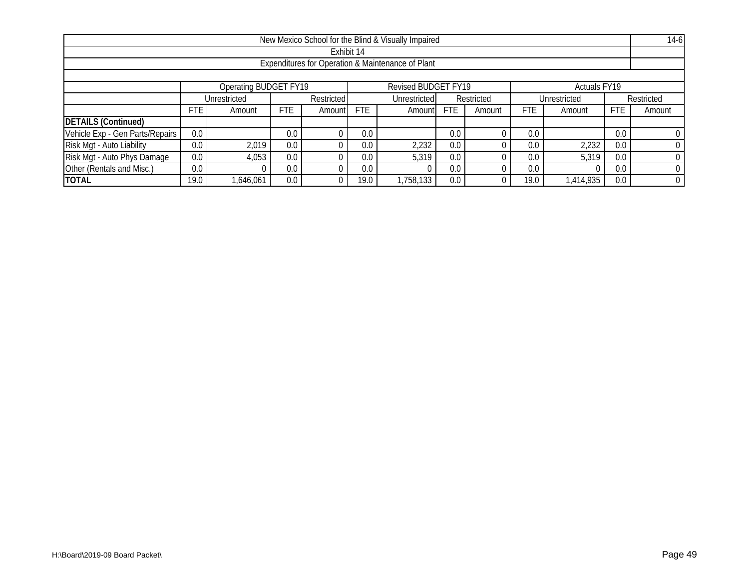|                                                   | New Mexico School for the Blind & Visually Impaired |                       |      |            |      |                     |            |            |                 |                     |            | $14-6$     |
|---------------------------------------------------|-----------------------------------------------------|-----------------------|------|------------|------|---------------------|------------|------------|-----------------|---------------------|------------|------------|
| Exhibit 14                                        |                                                     |                       |      |            |      |                     |            |            |                 |                     |            |            |
| Expenditures for Operation & Maintenance of Plant |                                                     |                       |      |            |      |                     |            |            |                 |                     |            |            |
|                                                   |                                                     |                       |      |            |      |                     |            |            |                 |                     |            |            |
|                                                   |                                                     | Operating BUDGET FY19 |      |            |      | Revised BUDGET FY19 |            |            |                 | <b>Actuals FY19</b> |            |            |
|                                                   |                                                     | Unrestricted          |      | Restricted |      | Unrestricted        |            | Restricted |                 | Unrestricted        |            | Restricted |
|                                                   | FTE                                                 | Amount                | FTE. | Amount     | FTE  | Amount              | <b>FTE</b> | Amount     | FTE             | Amount              | <b>FTE</b> | Amount     |
| <b>DETAILS (Continued)</b>                        |                                                     |                       |      |            |      |                     |            |            |                 |                     |            |            |
| Vehicle Exp - Gen Parts/Repairs                   | 0.0                                                 |                       | 0.0  |            | 0.0  |                     | 0.0        |            | 0.0             |                     | 0.0        |            |
| Risk Mgt - Auto Liability                         | 0.0                                                 | 2,019                 | 0.0  |            | 0.0  | 2,232               | 0.0        |            | 0.0             | 2,232               | 0.0        |            |
| Risk Mgt - Auto Phys Damage                       | 0.0                                                 | 4,053                 | 0.0  |            | 0.0  | 5,319               | 0.0        |            | 0.0             | 5,319               | 0.0        |            |
| Other (Rentals and Misc.)                         | 0.0                                                 |                       | 0.0  |            | 0.0  |                     | 0.0        |            | 0. <sub>C</sub> |                     | 0.0        |            |
| <b>TOTAL</b>                                      | 19.0                                                | ,646,061              | 0.0  |            | 19.0 | ,758,133            | 0.0        |            | 19 <sub>c</sub> | 1,414,935           | 0.0        |            |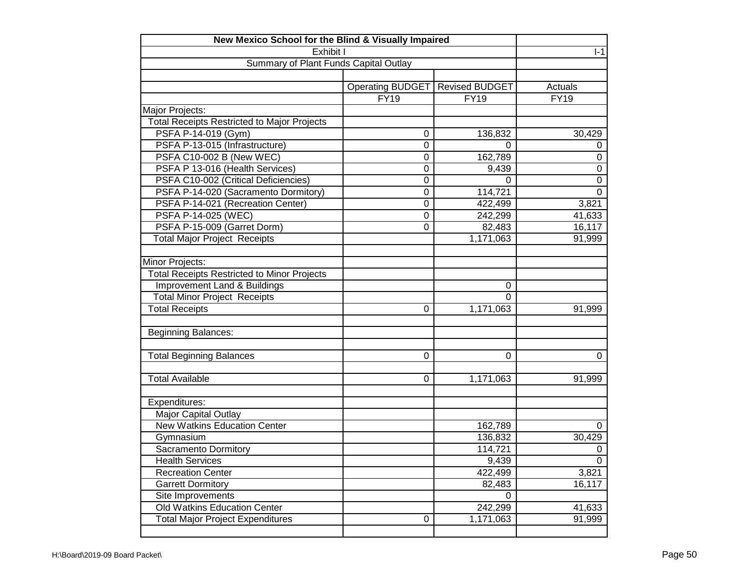| New Mexico School for the Blind & Visually Impaired |                         |                       |                  |
|-----------------------------------------------------|-------------------------|-----------------------|------------------|
| Exhibit I                                           |                         |                       | $I-1$            |
| Summary of Plant Funds Capital Outlay               |                         |                       |                  |
|                                                     |                         |                       |                  |
|                                                     | <b>Operating BUDGET</b> | <b>Revised BUDGET</b> | Actuals          |
|                                                     | <b>FY19</b>             | <b>FY19</b>           | <b>FY19</b>      |
| Major Projects:                                     |                         |                       |                  |
| <b>Total Receipts Restricted to Major Projects</b>  |                         |                       |                  |
| PSFA P-14-019 (Gym)                                 | 0                       | 136,832               | 30,429           |
| PSFA P-13-015 (Infrastructure)                      | 0                       | 0                     | 0                |
| PSFA C10-002 B (New WEC)                            | 0                       | 162,789               | 0                |
| PSFA P 13-016 (Health Services)                     | 0                       | 9,439                 | $\mathbf 0$      |
| PSFA C10-002 (Critical Deficiencies)                | 0                       | 0                     | $\boldsymbol{0}$ |
| PSFA P-14-020 (Sacramento Dormitory)                | 0                       | 114,721               | $\boldsymbol{0}$ |
| PSFA P-14-021 (Recreation Center)                   | 0                       | 422,499               | 3,821            |
| PSFA P-14-025 (WEC)                                 | 0                       | 242,299               | 41,633           |
| PSFA P-15-009 (Garret Dorm)                         | 0                       | 82,483                | 16,117           |
| <b>Total Major Project Receipts</b>                 |                         | 1,171,063             | 91,999           |
|                                                     |                         |                       |                  |
| Minor Projects:                                     |                         |                       |                  |
| <b>Total Receipts Restricted to Minor Projects</b>  |                         |                       |                  |
| <b>Improvement Land &amp; Buildings</b>             |                         | 0                     |                  |
| <b>Total Minor Project Receipts</b>                 |                         | $\Omega$              |                  |
| <b>Total Receipts</b>                               | $\mathbf 0$             | 1,171,063             | 91,999           |
|                                                     |                         |                       |                  |
| Beginning Balances:                                 |                         |                       |                  |
|                                                     |                         |                       |                  |
| <b>Total Beginning Balances</b>                     | 0                       | $\Omega$              | 0                |
|                                                     |                         |                       |                  |
| <b>Total Available</b>                              | 0                       | 1,171,063             | 91,999           |
|                                                     |                         |                       |                  |
| Expenditures:                                       |                         |                       |                  |
| Major Capital Outlay                                |                         |                       |                  |
| <b>New Watkins Education Center</b>                 |                         | 162,789               | 0                |
| Gymnasium                                           |                         | 136,832               | 30,429           |
| Sacramento Dormitory                                |                         | 114,721               | $\pmb{0}$        |
| <b>Health Services</b>                              |                         | 9,439                 | 0                |
| <b>Recreation Center</b>                            |                         | 422,499               | 3,821            |
| <b>Garrett Dormitory</b>                            |                         | 82,483                | 16,117           |
| Site Improvements                                   |                         | $\Omega$              |                  |
| Old Watkins Education Center                        |                         | 242,299               | 41,633           |
| <b>Total Major Project Expenditures</b>             | $\pmb{0}$               | 1,171,063             | 91,999           |
|                                                     |                         |                       |                  |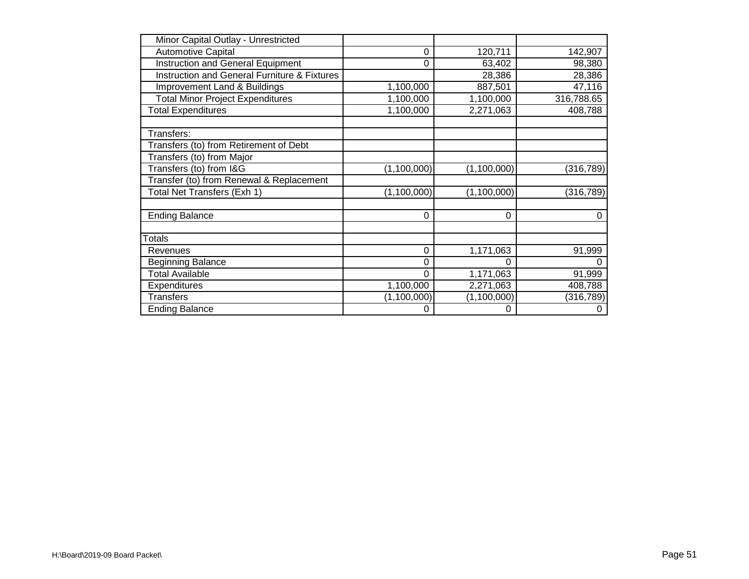| Minor Capital Outlay - Unrestricted                     |               |               |            |
|---------------------------------------------------------|---------------|---------------|------------|
| <b>Automotive Capital</b>                               | $\Omega$      | 120,711       | 142,907    |
| <b>Instruction and General Equipment</b>                | $\Omega$      | 63,402        | 98,380     |
| <b>Instruction and General Furniture &amp; Fixtures</b> |               | 28,386        | 28,386     |
| Improvement Land & Buildings                            | 1,100,000     | 887,501       | 47,116     |
| <b>Total Minor Project Expenditures</b>                 | 1,100,000     | 1,100,000     | 316,788.65 |
| <b>Total Expenditures</b>                               | 1,100,000     | 2,271,063     | 408,788    |
|                                                         |               |               |            |
| Transfers:                                              |               |               |            |
| Transfers (to) from Retirement of Debt                  |               |               |            |
| Transfers (to) from Major                               |               |               |            |
| Transfers (to) from I&G                                 | (1, 100, 000) | (1, 100, 000) | (316, 789) |
| Transfer (to) from Renewal & Replacement                |               |               |            |
| Total Net Transfers (Exh 1)                             | (1, 100, 000) | (1, 100, 000) | (316, 789) |
|                                                         |               |               |            |
| <b>Ending Balance</b>                                   | $\Omega$      | $\Omega$      | $\Omega$   |
|                                                         |               |               |            |
| <b>Totals</b>                                           |               |               |            |
| Revenues                                                | 0             | 1,171,063     | 91,999     |
| <b>Beginning Balance</b>                                | 0             | 0             | $\Omega$   |
| <b>Total Available</b>                                  | $\mathbf 0$   | 1,171,063     | 91,999     |
| Expenditures                                            | 1,100,000     | 2,271,063     | 408,788    |
| Transfers                                               | (1, 100, 000) | (1, 100, 000) | (316, 789) |
| <b>Ending Balance</b>                                   | 0             | 0             | 0          |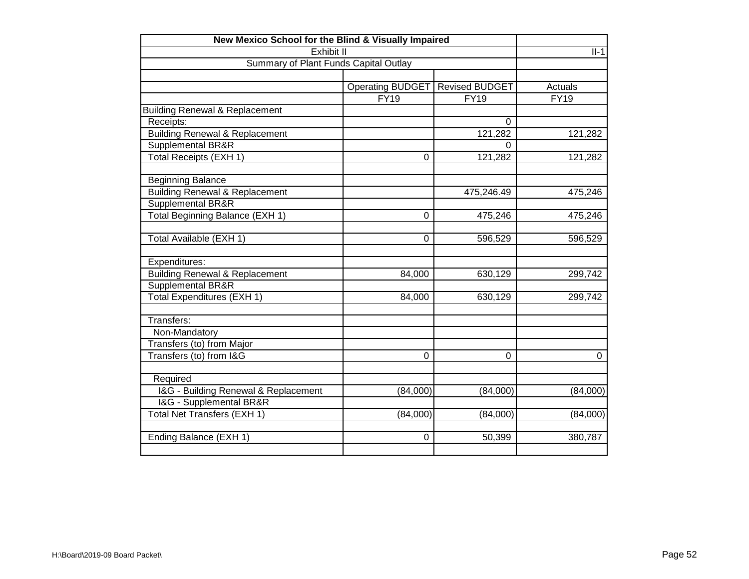| New Mexico School for the Blind & Visually Impaired |                         |                       |             |
|-----------------------------------------------------|-------------------------|-----------------------|-------------|
| Exhibit II                                          |                         |                       | $II-1$      |
| Summary of Plant Funds Capital Outlay               |                         |                       |             |
|                                                     |                         |                       |             |
|                                                     | <b>Operating BUDGET</b> | <b>Revised BUDGET</b> | Actuals     |
|                                                     | <b>FY19</b>             | <b>FY19</b>           | <b>FY19</b> |
| <b>Building Renewal &amp; Replacement</b>           |                         |                       |             |
| Receipts:                                           |                         | $\Omega$              |             |
| <b>Building Renewal &amp; Replacement</b>           |                         | 121,282               | 121,282     |
| Supplemental BR&R                                   |                         | $\Omega$              |             |
| <b>Total Receipts (EXH 1)</b>                       | 0                       | 121,282               | 121,282     |
|                                                     |                         |                       |             |
| <b>Beginning Balance</b>                            |                         |                       |             |
| <b>Building Renewal &amp; Replacement</b>           |                         | 475,246.49            | 475,246     |
| Supplemental BR&R                                   |                         |                       |             |
| Total Beginning Balance (EXH 1)                     | 0                       | 475,246               | 475,246     |
|                                                     |                         |                       |             |
| Total Available (EXH 1)                             | 0                       | 596,529               | 596,529     |
|                                                     |                         |                       |             |
| Expenditures:                                       |                         |                       |             |
| <b>Building Renewal &amp; Replacement</b>           | 84,000                  | 630,129               | 299,742     |
| Supplemental BR&R                                   |                         |                       |             |
| <b>Total Expenditures (EXH 1)</b>                   | 84,000                  | 630,129               | 299,742     |
|                                                     |                         |                       |             |
| Transfers:                                          |                         |                       |             |
| Non-Mandatory                                       |                         |                       |             |
| Transfers (to) from Major                           |                         |                       |             |
| Transfers (to) from I&G                             | $\Omega$                | $\Omega$              | 0           |
|                                                     |                         |                       |             |
| Required                                            |                         |                       |             |
| I&G - Building Renewal & Replacement                | (84,000)                | (84,000)              | (84,000)    |
| I&G - Supplemental BR&R                             |                         |                       |             |
| Total Net Transfers (EXH 1)                         | (84,000)                | (84,000)              | (84,000)    |
|                                                     |                         |                       |             |
| Ending Balance (EXH 1)                              | 0                       | 50,399                | 380,787     |
|                                                     |                         |                       |             |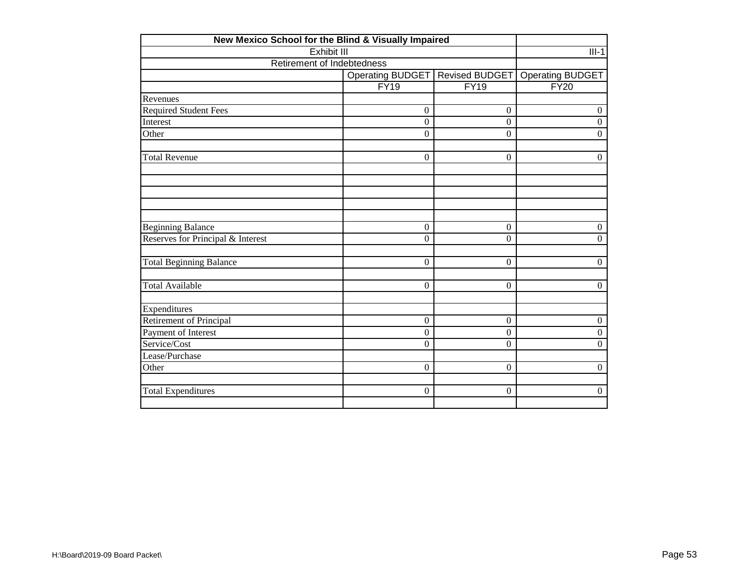| New Mexico School for the Blind & Visually Impaired |                  |                  |                         |
|-----------------------------------------------------|------------------|------------------|-------------------------|
| <b>Exhibit III</b>                                  |                  |                  | $III-1$                 |
| Retirement of Indebtedness                          |                  |                  |                         |
|                                                     | Operating BUDGET | Revised BUDGET   | <b>Operating BUDGET</b> |
|                                                     | FY19             | <b>FY19</b>      | FY20                    |
| Revenues                                            |                  |                  |                         |
| <b>Required Student Fees</b>                        | $\overline{0}$   | $\overline{0}$   | $\boldsymbol{0}$        |
| Interest                                            | $\overline{0}$   | $\boldsymbol{0}$ | $\boldsymbol{0}$        |
| Other                                               | $\boldsymbol{0}$ | $\boldsymbol{0}$ | $\boldsymbol{0}$        |
| <b>Total Revenue</b>                                | $\Omega$         | $\Omega$         | $\Omega$                |
|                                                     |                  |                  |                         |
|                                                     |                  |                  |                         |
| <b>Beginning Balance</b>                            | $\mathbf{0}$     | $\mathbf{0}$     | $\boldsymbol{0}$        |
| Reserves for Principal & Interest                   | $\Omega$         | $\Omega$         | $\overline{0}$          |
| <b>Total Beginning Balance</b>                      | $\mathbf{0}$     | $\mathbf{0}$     | $\boldsymbol{0}$        |
| <b>Total Available</b>                              | $\mathbf{0}$     | $\boldsymbol{0}$ | $\overline{0}$          |
| Expenditures                                        |                  |                  |                         |
| <b>Retirement of Principal</b>                      | $\overline{0}$   | $\theta$         | $\boldsymbol{0}$        |
| Payment of Interest                                 | $\Omega$         | $\Omega$         | $\boldsymbol{0}$        |
| Service/Cost                                        | $\mathbf{0}$     | $\boldsymbol{0}$ | $\boldsymbol{0}$        |
| Lease/Purchase                                      |                  |                  |                         |
| Other                                               | $\Omega$         | $\overline{0}$   | $\boldsymbol{0}$        |
| <b>Total Expenditures</b>                           | $\mathbf{0}$     | $\mathbf{0}$     | $\boldsymbol{0}$        |
|                                                     |                  |                  |                         |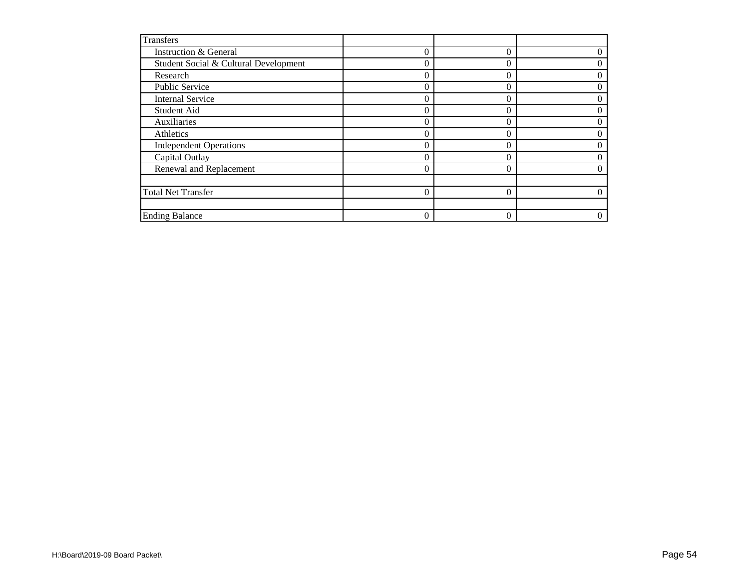| <b>Transfers</b>                      |          |   |  |
|---------------------------------------|----------|---|--|
| Instruction & General                 | $\Omega$ |   |  |
| Student Social & Cultural Development | $\theta$ | 0 |  |
| Research                              |          |   |  |
| Public Service                        |          |   |  |
| <b>Internal Service</b>               | $\Omega$ |   |  |
| Student Aid                           |          |   |  |
| Auxiliaries                           | 0        |   |  |
| Athletics                             | 0        |   |  |
| <b>Independent Operations</b>         |          |   |  |
| Capital Outlay                        |          |   |  |
| Renewal and Replacement               |          |   |  |
|                                       |          |   |  |
| <b>Total Net Transfer</b>             | $\Omega$ |   |  |
|                                       |          |   |  |
| <b>Ending Balance</b>                 | $\Omega$ |   |  |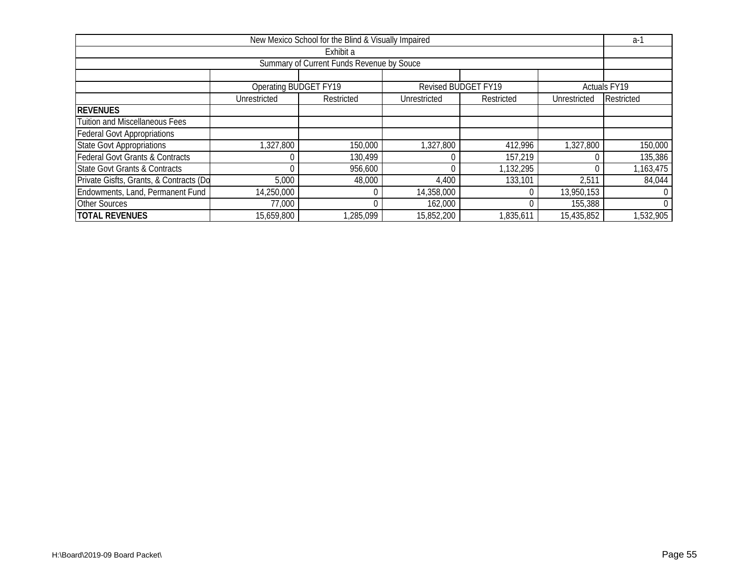| New Mexico School for the Blind & Visually Impaired |                       |            |              |                     |              |                     |  |  |  |
|-----------------------------------------------------|-----------------------|------------|--------------|---------------------|--------------|---------------------|--|--|--|
| Exhibit a                                           |                       |            |              |                     |              |                     |  |  |  |
| Summary of Current Funds Revenue by Souce           |                       |            |              |                     |              |                     |  |  |  |
|                                                     |                       |            |              |                     |              |                     |  |  |  |
|                                                     | Operating BUDGET FY19 |            |              | Revised BUDGET FY19 |              | <b>Actuals FY19</b> |  |  |  |
|                                                     | Unrestricted          | Restricted | Unrestricted | Restricted          | Unrestricted | Restricted          |  |  |  |
| <b>REVENUES</b>                                     |                       |            |              |                     |              |                     |  |  |  |
| <b>Tuition and Miscellaneous Fees</b>               |                       |            |              |                     |              |                     |  |  |  |
| <b>Federal Govt Appropriations</b>                  |                       |            |              |                     |              |                     |  |  |  |
| <b>State Govt Appropriations</b>                    | 1,327,800             | 150,000    | 1,327,800    | 412,996             | 1,327,800    | 150,000             |  |  |  |
| <b>Federal Govt Grants &amp; Contracts</b>          |                       | 130,499    |              | 157,219             |              | 135,386             |  |  |  |
| <b>State Govt Grants &amp; Contracts</b>            |                       | 956,600    |              | 1,132,295           |              | 1,163,475           |  |  |  |
| Private Gisfts, Grants, & Contracts (Do             | 5,000                 | 48,000     | 4,400        | 133,101             | 2,511        | 84,044              |  |  |  |
| Endowments, Land, Permanent Fund                    | 14,250,000            |            | 14,358,000   |                     | 13,950,153   |                     |  |  |  |
| <b>Other Sources</b>                                | 77,000                |            | 162,000      |                     | 155,388      | $\Omega$            |  |  |  |
| <b>TOTAL REVENUES</b>                               | 15,659,800            | ,285,099   | 15,852,200   | 1,835,611           | 15,435,852   | 1,532,905           |  |  |  |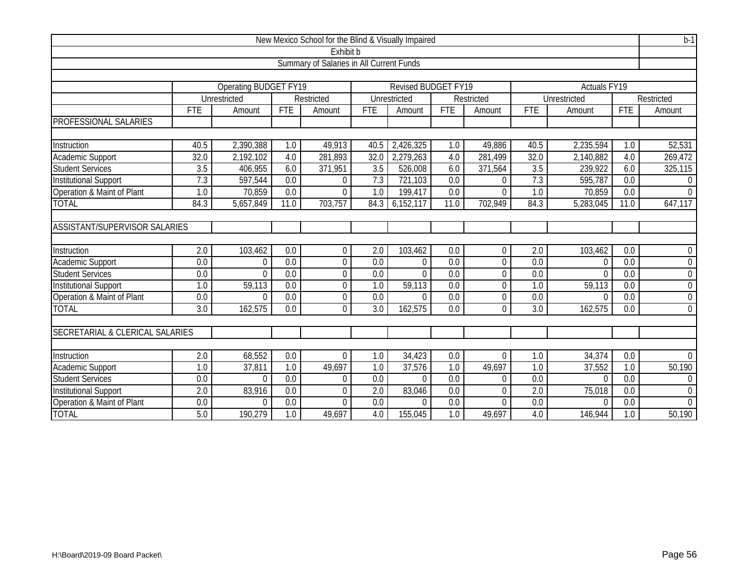| New Mexico School for the Blind & Visually Impaired |                                                                                |              |                  |                  |                  |                |                  |                  |                  | $b-1$               |                   |                  |
|-----------------------------------------------------|--------------------------------------------------------------------------------|--------------|------------------|------------------|------------------|----------------|------------------|------------------|------------------|---------------------|-------------------|------------------|
| Exhibit b                                           |                                                                                |              |                  |                  |                  |                |                  |                  |                  |                     |                   |                  |
| Summary of Salaries in All Current Funds            |                                                                                |              |                  |                  |                  |                |                  |                  |                  |                     |                   |                  |
|                                                     |                                                                                |              |                  |                  |                  |                |                  |                  |                  |                     |                   |                  |
|                                                     | Operating BUDGET FY19<br><b>Revised BUDGET FY19</b><br>Actuals <sub>FY19</sub> |              |                  |                  |                  |                |                  |                  |                  |                     |                   |                  |
|                                                     |                                                                                | Unrestricted |                  | Restricted       |                  | Unrestricted   |                  | Restricted       |                  | <b>Unrestricted</b> |                   | Restricted       |
|                                                     | <b>FTE</b>                                                                     | Amount       | FTE              | Amount           | FTE              | Amount         | <b>FTE</b>       | Amount           | FTE              | Amount              | <b>FTE</b>        | Amount           |
| <b>PROFESSIONAL SALARIES</b>                        |                                                                                |              |                  |                  |                  |                |                  |                  |                  |                     |                   |                  |
|                                                     |                                                                                |              |                  |                  |                  |                |                  |                  |                  |                     |                   |                  |
| Instruction                                         | 40.5                                                                           | 2,390,388    | 1.0              | 49,913           | 40.5             | 2,426,325      | 1.0              | 49,886           | 40.5             | 2,235,594           | 1.0               | 52,531           |
| Academic Support                                    | 32.0                                                                           | 2,192,102    | 4.0              | 281,893          | 32.0             | 2,279,263      | 4.0              | 281,499          | 32.0             | 2,140,882           | 4.0               | 269,472          |
| <b>Student Services</b>                             | 3.5                                                                            | 406,955      | 6.0              | 371,951          | 3.5              | 526,008        | 6.0              | 371,564          | 3.5              | 239,922             | 6.0               | 325,115          |
| <b>Institutional Support</b>                        | $\overline{7.3}$                                                               | 597,544      | $\overline{0.0}$ | $\Omega$         | 7.3              | 721,103        | 0.0              | $\overline{0}$   | 7.3              | 595,787             | $\overline{0.0}$  | $\overline{0}$   |
| Operation & Maint of Plant                          | 1.0                                                                            | 70,859       | $\overline{0.0}$ | $\Omega$         | 1.0              | 199,417        | 0.0              | $\overline{0}$   | 1.0              | 70,859              | 0.0               | $\mathbf{0}$     |
| <b>TOTAL</b>                                        | 84.3                                                                           | 5,657,849    | 11.0             | 703,757          | 84.3             | 6,152,117      | 11.0             | 702,949          | 84.3             | 5,283,045           | $\overline{1}1.0$ | 647,117          |
|                                                     |                                                                                |              |                  |                  |                  |                |                  |                  |                  |                     |                   |                  |
| <b>ASSISTANT/SUPERVISOR SALARIES</b>                |                                                                                |              |                  |                  |                  |                |                  |                  |                  |                     |                   |                  |
|                                                     |                                                                                |              |                  |                  |                  |                |                  |                  |                  |                     |                   |                  |
| Instruction                                         | 2.0                                                                            | 103,462      | 0.0              | 0                | 2.0              | 103,462        | 0.0              | $\boldsymbol{0}$ | 2.0              | 103,462             | 0.0               | $\overline{0}$   |
| Academic Support                                    | 0.0                                                                            | $\Omega$     | 0.0              | $\overline{0}$   | 0.0              | $\overline{0}$ | 0.0              | 0                | 0.0              | $\theta$            | 0.0               | $\boldsymbol{0}$ |
| <b>Student Services</b>                             | 0.0                                                                            | $\Omega$     | $\overline{0.0}$ | 0                | $\overline{0.0}$ | $\overline{0}$ | $\overline{0.0}$ | $\mathbf 0$      | $\overline{0.0}$ | $\Omega$            | $\overline{0.0}$  | $\overline{0}$   |
| <b>Institutional Support</b>                        | 1.0                                                                            | 59,113       | 0.0              | $\boldsymbol{0}$ | 1.0              | 59, 113        | 0.0              | $\boldsymbol{0}$ | 1.0              | 59,113              | 0.0               | $\boldsymbol{0}$ |
| Operation & Maint of Plant                          | 0.0                                                                            | $\Omega$     | $\overline{0.0}$ | $\mathbf 0$      | 0.0              | $\Omega$       | 0.0              | $\boldsymbol{0}$ | 0.0              | $\Omega$            | 0.0               | $\boldsymbol{0}$ |
| <b>TOTAL</b>                                        | 3.0                                                                            | 162,575      | 0.0              | $\overline{0}$   | 3.0              | 162,575        | 0.0              | 0                | 3.0              | 162,575             | 0.0               | $\overline{0}$   |
|                                                     |                                                                                |              |                  |                  |                  |                |                  |                  |                  |                     |                   |                  |
| SECRETARIAL & CLERICAL SALARIES                     |                                                                                |              |                  |                  |                  |                |                  |                  |                  |                     |                   |                  |
|                                                     |                                                                                |              |                  |                  |                  |                |                  |                  |                  |                     |                   |                  |
| Instruction                                         | $\overline{2.0}$                                                               | 68,552       | 0.0              | $\overline{0}$   | $\overline{1.0}$ | 34,423         | 0.0              | $\overline{0}$   | $\overline{1.0}$ | 34,374              | 0.0               | $\overline{0}$   |
| Academic Support                                    | 1.0                                                                            | 37,811       | 1.0              | 49,697           | $\overline{1.0}$ | 37,576         | 1.0              | 49,697           | 1.0              | 37,552              | 1.0               | 50,190           |
| <b>Student Services</b>                             | $\overline{0.0}$                                                               | $\Omega$     | 0.0              | $\Omega$         | $\overline{0.0}$ | $\Omega$       | 0.0              | $\mathbf 0$      | 0.0              | $\Omega$            | 0.0               | $\overline{0}$   |
| Institutional Support                               | 2.0                                                                            | 83,916       | $\overline{0.0}$ | $\Omega$         | $\overline{2.0}$ | 83,046         | 0.0              | 0                | 2.0              | 75,018              | 0.0               | $\boldsymbol{0}$ |
| Operation & Maint of Plant                          | 0.0                                                                            | $\Omega$     | 0.0              | $\Omega$         | 0.0              | $\Omega$       | 0.0              | $\overline{0}$   | 0.0              | $\Omega$            | 0.0               | $\boldsymbol{0}$ |
| <b>TOTAL</b>                                        | 5.0                                                                            | 190,279      | $\overline{1.0}$ | 49,697           | 4.0              | 155,045        | 1.0              | 49,697           | 4.0              | 146,944             | 1.0               | 50,190           |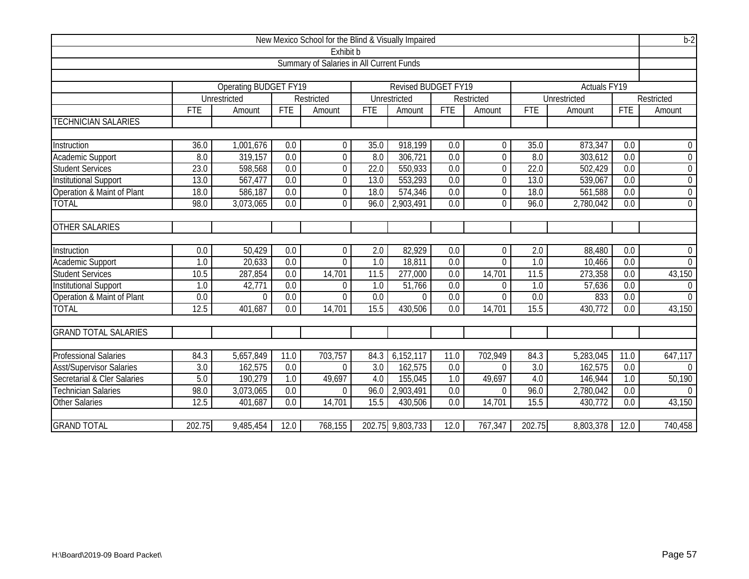|                                 |                                          |                              |                  | New Mexico School for the Blind & Visually Impaired |            |                            |      |                  |                  |                         |                  | $b-2$            |
|---------------------------------|------------------------------------------|------------------------------|------------------|-----------------------------------------------------|------------|----------------------------|------|------------------|------------------|-------------------------|------------------|------------------|
|                                 | Exhibit b                                |                              |                  |                                                     |            |                            |      |                  |                  |                         |                  |                  |
|                                 | Summary of Salaries in All Current Funds |                              |                  |                                                     |            |                            |      |                  |                  |                         |                  |                  |
|                                 |                                          |                              |                  |                                                     |            |                            |      |                  |                  |                         |                  |                  |
|                                 |                                          | <b>Operating BUDGET FY19</b> |                  |                                                     |            | <b>Revised BUDGET FY19</b> |      |                  |                  | Actuals <sub>FY19</sub> |                  |                  |
|                                 |                                          | Unrestricted                 |                  | Restricted                                          |            | Unrestricted               |      | Restricted       |                  | Unrestricted            |                  | Restricted       |
|                                 | <b>FTE</b>                               | Amount                       | <b>FTE</b>       | Amount                                              | <b>FTE</b> | Amount                     | FTE  | Amount           | <b>FTE</b>       | Amount                  | <b>FTE</b>       | Amount           |
| <b>TECHNICIAN SALARIES</b>      |                                          |                              |                  |                                                     |            |                            |      |                  |                  |                         |                  |                  |
| Instruction                     | 36.0                                     | 1,001,676                    | 0.0              | $\mathbf 0$                                         | 35.0       | 918,199                    | 0.0  | $\boldsymbol{0}$ | 35.0             | 873,347                 | 0.0              | $\mathbf 0$      |
| Academic Support                | 8.0                                      | 319,157                      | $\overline{0.0}$ | $\mathbf 0$                                         | 8.0        | $\overline{306}$ , 721     | 0.0  | $\mathbf 0$      | 8.0              | 303,612                 | 0.0              | $\boldsymbol{0}$ |
| <b>Student Services</b>         | 23.0                                     | 598,568                      | $\overline{0.0}$ | $\mathbf 0$                                         | 22.0       | 550,933                    | 0.0  | $\boldsymbol{0}$ | 22.0             | 502,429                 | 0.0              | $\boldsymbol{0}$ |
| Institutional Support           | 13.0                                     | 567,477                      | 0.0              | $\mathbf 0$                                         | 13.0       | $\overline{553,293}$       | 0.0  | $\mathbf 0$      | 13.0             | 539,067                 | 0.0              | $\overline{0}$   |
| Operation & Maint of Plant      | 18.0                                     | 586,187                      | 0.0              | $\mathbf 0$                                         | 18.0       | 574,346                    | 0.0  | $\boldsymbol{0}$ | 18.0             | 561,588                 | 0.0              | $\boldsymbol{0}$ |
| <b>TOTAL</b>                    | 98.0                                     | 3,073,065                    | 0.0              | 0                                                   | 96.0       | 2,903,491                  | 0.0  | $\mathbf 0$      | 96.0             | 2,780,042               | 0.0              | $\overline{0}$   |
| <b>OTHER SALARIES</b>           |                                          |                              |                  |                                                     |            |                            |      |                  |                  |                         |                  |                  |
| Instruction                     | 0.0                                      | 50,429                       | 0.0              | $\overline{0}$                                      | 2.0        | 82,929                     | 0.0  | $\mathbf 0$      | 2.0              | 88,480                  | 0.0              | $\mathbf 0$      |
| Academic Support                | $\overline{1.0}$                         | 20,633                       | 0.0              | 0                                                   | 1.0        | 18,811                     | 0.0  | $\overline{0}$   | 1.0              | 10,466                  | 0.0              | $\overline{0}$   |
| <b>Student Services</b>         | 10.5                                     | 287,854                      | 0.0              | 14,701                                              | 11.5       | $\overline{277,000}$       | 0.0  | 14,701           | 11.5             | 273,358                 | 0.0              | 43,150           |
| Institutional Support           | $\overline{1.0}$                         | 42,771                       | $\overline{0.0}$ | $\overline{0}$                                      | 1.0        | 51,766                     | 0.0  | $\overline{0}$   | 1.0              | 57,636                  | 0.0              | $\overline{0}$   |
| Operation & Maint of Plant      | 0.0                                      | $\Omega$                     | 0.0              | $\overline{0}$                                      | 0.0        | $\overline{0}$             | 0.0  | $\mathbf 0$      | 0.0              | 833                     | 0.0              | $\overline{0}$   |
| <b>TOTAL</b>                    | 12.5                                     | 401,687                      | 0.0              | 14,701                                              | 15.5       | 430,506                    | 0.0  | 14,701           | 15.5             | 430,772                 | $\overline{0.0}$ | 43,150           |
| <b>GRAND TOTAL SALARIES</b>     |                                          |                              |                  |                                                     |            |                            |      |                  |                  |                         |                  |                  |
| <b>Professional Salaries</b>    | 84.3                                     | 5,657,849                    | 11.0             | 703,757                                             | 84.3       | 6,152,117                  | 11.0 | 702,949          | 84.3             | 5,283,045               | 11.0             | 647,117          |
| <b>Asst/Supervisor Salaries</b> | 3.0                                      | 162,575                      | 0.0              | $\Omega$                                            | 3.0        | 162,575                    | 0.0  | $\Omega$         | $\overline{3.0}$ | 162,575                 | 0.0              | $\Omega$         |
| Secretarial & Cler Salaries     | 5.0                                      | 190,279                      | 1.0              | 49,697                                              | 4.0        | 155,045                    | 1.0  | 49,697           | 4.0              | 146,944                 | 1.0              | 50,190           |
| <b>Technician Salaries</b>      | 98.0                                     | 3,073,065                    | 0.0              | $\Omega$                                            | 96.0       | 2,903,491                  | 0.0  | $\theta$         | 96.0             | 2,780,042               | 0.0              | $\Omega$         |
| <b>Other Salaries</b>           | 12.5                                     | 401,687                      | 0.0              | 14,701                                              | 15.5       | 430,506                    | 0.0  | 14,701           | 15.5             | 430,772                 | 0.0              | 43,150           |
| <b>GRAND TOTAL</b>              | 202.75                                   | 9,485,454                    | 12.0             | 768,155                                             |            | 202.75 9,803,733           | 12.0 | 767,347          | 202.75           | 8,803,378               | 12.0             | 740,458          |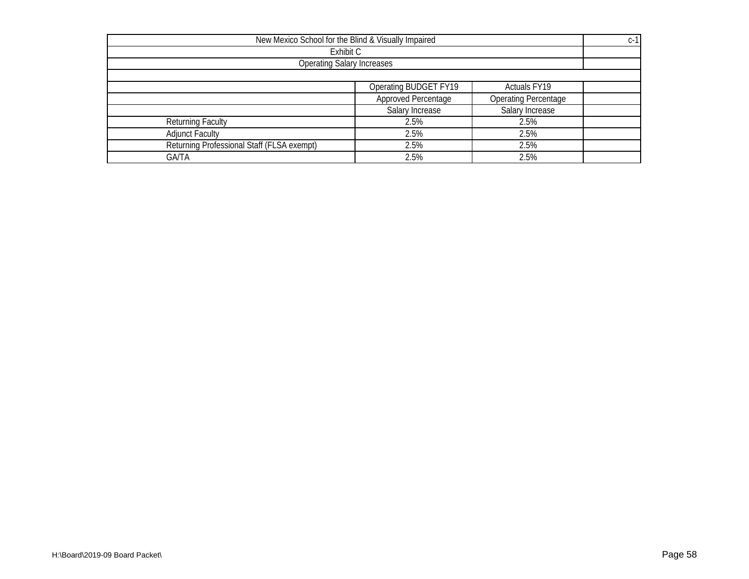| New Mexico School for the Blind & Visually Impaired |                                   |                             |  |  |  |  |  |
|-----------------------------------------------------|-----------------------------------|-----------------------------|--|--|--|--|--|
|                                                     | Exhibit C                         |                             |  |  |  |  |  |
|                                                     | <b>Operating Salary Increases</b> |                             |  |  |  |  |  |
|                                                     |                                   |                             |  |  |  |  |  |
|                                                     | <b>Operating BUDGET FY19</b>      | Actuals FY19                |  |  |  |  |  |
|                                                     | Approved Percentage               | <b>Operating Percentage</b> |  |  |  |  |  |
|                                                     | Salary Increase                   | Salary Increase             |  |  |  |  |  |
| <b>Returning Faculty</b>                            | 2.5%                              | 2.5%                        |  |  |  |  |  |
| <b>Adjunct Faculty</b>                              | 2.5%                              | 2.5%                        |  |  |  |  |  |
| Returning Professional Staff (FLSA exempt)          | 2.5%                              | 2.5%                        |  |  |  |  |  |
| <b>GA/TA</b>                                        | 2.5%                              | 2.5%                        |  |  |  |  |  |